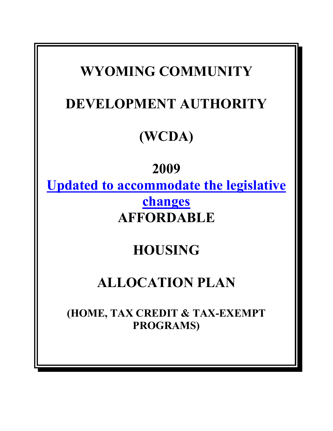# **WYOMING COMMUNITY DEVELOPMENT AUTHORITY (WCDA) 2009 Updated to accommodate the legislative changes AFFORDABLE HOUSING ALLOCATION PLAN (HOME, TAX CREDIT & TAX-EXEMPT PROGRAMS)**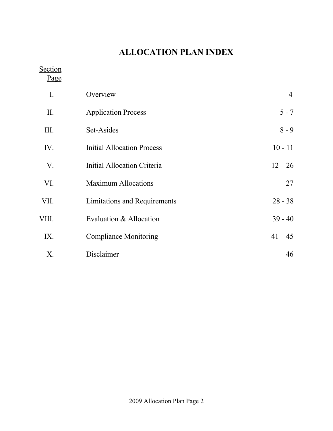# **ALLOCATION PLAN INDEX**

Section

Page

| $\mathbf{I}$ . | Overview                          | $\overline{4}$ |
|----------------|-----------------------------------|----------------|
| II.            | <b>Application Process</b>        | $5 - 7$        |
| Ш.             | Set-Asides                        | $8 - 9$        |
| IV.            | <b>Initial Allocation Process</b> | $10 - 11$      |
| V.             | Initial Allocation Criteria       | $12 - 26$      |
| VI.            | <b>Maximum Allocations</b>        | 27             |
| VII.           | Limitations and Requirements      | $28 - 38$      |
| VIII.          | Evaluation & Allocation           | $39 - 40$      |
| IX.            | <b>Compliance Monitoring</b>      | $41 - 45$      |
| X.             | Disclaimer                        | 46             |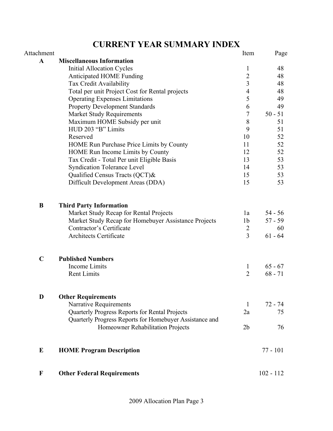# **CURRENT YEAR SUMMARY INDEX**

| Attachment   |                                                         | Item             | Page        |
|--------------|---------------------------------------------------------|------------------|-------------|
| $\mathbf{A}$ | <b>Miscellaneous Information</b>                        |                  |             |
|              | <b>Initial Allocation Cycles</b>                        | $\mathbf{1}$     | 48          |
|              | Anticipated HOME Funding                                | $\overline{2}$   | 48          |
|              | Tax Credit Availability                                 | $\overline{3}$   | 48          |
|              | Total per unit Project Cost for Rental projects         | $\overline{4}$   | 48          |
|              | <b>Operating Expenses Limitations</b>                   | 5                | 49          |
|              | <b>Property Development Standards</b>                   | 6                | 49          |
|              | <b>Market Study Requirements</b>                        | $\boldsymbol{7}$ | $50 - 51$   |
|              | Maximum HOME Subsidy per unit                           | $\,$ 8 $\,$      | 51          |
|              | HUD 203 "B" Limits                                      | 9                | 51          |
|              | Reserved                                                | 10               | 52          |
|              | HOME Run Purchase Price Limits by County                | 11               | 52          |
|              | HOME Run Income Limits by County                        | 12               | 52          |
|              | Tax Credit - Total Per unit Eligible Basis              | 13               | 53          |
|              | <b>Syndication Tolerance Level</b>                      | 14               | 53          |
|              | Qualified Census Tracts (QCT)&                          | 15               | 53          |
|              | Difficult Development Areas (DDA)                       | 15               | 53          |
|              |                                                         |                  |             |
| B            | <b>Third Party Information</b>                          |                  |             |
|              | Market Study Recap for Rental Projects                  | 1a               | $54 - 56$   |
|              | Market Study Recap for Homebuyer Assistance Projects    | 1 <sub>b</sub>   | $57 - 59$   |
|              | Contractor's Certificate                                | $\overline{2}$   | 60          |
|              | Architects Certificate                                  | 3                | $61 - 64$   |
|              |                                                         |                  |             |
| $\mathbf C$  | <b>Published Numbers</b>                                |                  |             |
|              | Income Limits                                           | $\mathbf{1}$     | $65 - 67$   |
|              | <b>Rent Limits</b>                                      | $\overline{2}$   | $68 - 71$   |
|              |                                                         |                  |             |
| D            | <b>Other Requirements</b>                               |                  |             |
|              | Narrative Requirements                                  | 1                | $72 - 74$   |
|              | Quarterly Progress Reports for Rental Projects          | 2a               | 75          |
|              | Quarterly Progress Reports for Homebuyer Assistance and |                  |             |
|              | Homeowner Rehabilitation Projects                       | 2 <sub>b</sub>   | 76          |
| E            | <b>HOME Program Description</b>                         |                  | $77 - 101$  |
|              |                                                         |                  |             |
| $\mathbf F$  | <b>Other Federal Requirements</b>                       |                  | $102 - 112$ |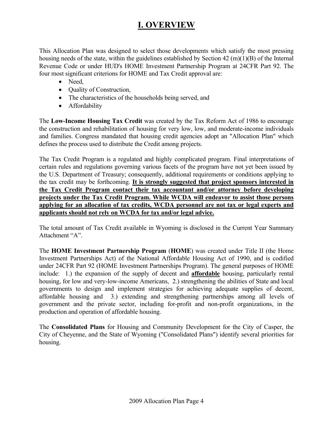### **I. OVERVIEW**

This Allocation Plan was designed to select those developments which satisfy the most pressing housing needs of the state, within the guidelines established by Section 42 (m)(1)(B) of the Internal Revenue Code or under HUD's HOME Investment Partnership Program at 24CFR Part 92. The four most significant criterions for HOME and Tax Credit approval are:

- Need,
- Quality of Construction,
- The characteristics of the households being served, and
- Affordability

The **Low-Income Housing Tax Credit** was created by the Tax Reform Act of 1986 to encourage the construction and rehabilitation of housing for very low, low, and moderate-income individuals and families. Congress mandated that housing credit agencies adopt an "Allocation Plan" which defines the process used to distribute the Credit among projects.

The Tax Credit Program is a regulated and highly complicated program. Final interpretations of certain rules and regulations governing various facets of the program have not yet been issued by the U.S. Department of Treasury; consequently, additional requirements or conditions applying to the tax credit may be forthcoming. **It is strongly suggested that project sponsors interested in the Tax Credit Program contact their tax accountant and/or attorney before developing projects under the Tax Credit Program. While WCDA will endeavor to assist those persons applying for an allocation of tax credits, WCDA personnel are not tax or legal experts and applicants should not rely on WCDA for tax and/or legal advice.**

The total amount of Tax Credit available in Wyoming is disclosed in the Current Year Summary Attachment "A".

The **HOME Investment Partnership Program** (**HOME**) was created under Title II (the Home Investment Partnerships Act) of the National Affordable Housing Act of 1990, and is codified under 24CFR Part 92 (HOME Investment Partnerships Program). The general purposes of HOME include: 1.) the expansion of the supply of decent and **affordable** housing, particularly rental housing, for low and very-low-income Americans, 2.) strengthening the abilities of State and local governments to design and implement strategies for achieving adequate supplies of decent, affordable housing and 3.) extending and strengthening partnerships among all levels of government and the private sector, including for-profit and non-profit organizations, in the production and operation of affordable housing.

The **Consolidated Plans** for Housing and Community Development for the City of Casper, the City of Cheyenne, and the State of Wyoming ("Consolidated Plans") identify several priorities for housing.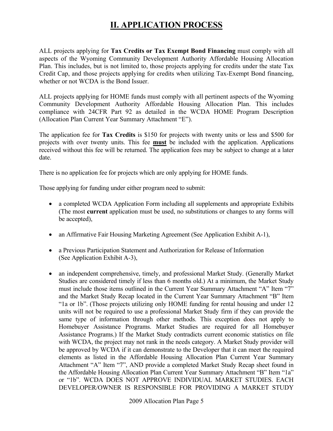### **II. APPLICATION PROCESS**

ALL projects applying for **Tax Credits or Tax Exempt Bond Financing** must comply with all aspects of the Wyoming Community Development Authority Affordable Housing Allocation Plan. This includes, but is not limited to, those projects applying for credits under the state Tax Credit Cap, and those projects applying for credits when utilizing Tax-Exempt Bond financing, whether or not WCDA is the Bond Issuer.

ALL projects applying for HOME funds must comply with all pertinent aspects of the Wyoming Community Development Authority Affordable Housing Allocation Plan. This includes compliance with 24CFR Part 92 as detailed in the WCDA HOME Program Description (Allocation Plan Current Year Summary Attachment "E").

The application fee for **Tax Credits** is \$150 for projects with twenty units or less and \$500 for projects with over twenty units. This fee **must** be included with the application. Applications received without this fee will be returned. The application fees may be subject to change at a later date.

There is no application fee for projects which are only applying for HOME funds.

Those applying for funding under either program need to submit:

- a completed WCDA Application Form including all supplements and appropriate Exhibits (The most **current** application must be used, no substitutions or changes to any forms will be accepted),
- an Affirmative Fair Housing Marketing Agreement (See Application Exhibit A-1),
- a Previous Participation Statement and Authorization for Release of Information (See Application Exhibit A-3),
- an independent comprehensive, timely, and professional Market Study. (Generally Market Studies are considered timely if less than 6 months old.) At a minimum, the Market Study must include those items outlined in the Current Year Summary Attachment "A" Item "7" and the Market Study Recap located in the Current Year Summary Attachment "B" Item "1a or 1b". (Those projects utilizing only HOME funding for rental housing and under 12 units will not be required to use a professional Market Study firm if they can provide the same type of information through other methods. This exception does not apply to Homebuyer Assistance Programs. Market Studies are required for all Homebuyer Assistance Programs.) If the Market Study contradicts current economic statistics on file with WCDA, the project may not rank in the needs category. A Market Study provider will be approved by WCDA if it can demonstrate to the Developer that it can meet the required elements as listed in the Affordable Housing Allocation Plan Current Year Summary Attachment "A" Item "7", AND provide a completed Market Study Recap sheet found in the Affordable Housing Allocation Plan Current Year Summary Attachment "B" Item "1a" or "1b". WCDA DOES NOT APPROVE INDIVIDUAL MARKET STUDIES. EACH DEVELOPER/OWNER IS RESPONSIBLE FOR PROVIDING A MARKET STUDY

2009 Allocation Plan Page 5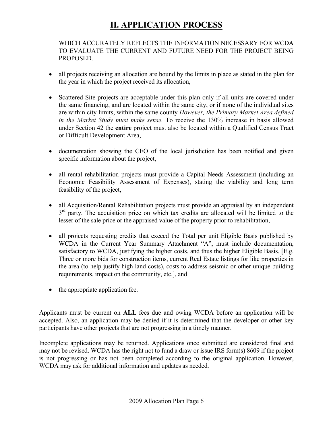### **II. APPLICATION PROCESS**

#### WHICH ACCURATELY REFLECTS THE INFORMATION NECESSARY FOR WCDA TO EVALUATE THE CURRENT AND FUTURE NEED FOR THE PROJECT BEING PROPOSED.

- all projects receiving an allocation are bound by the limits in place as stated in the plan for the year in which the project received its allocation,
- Scattered Site projects are acceptable under this plan only if all units are covered under the same financing, and are located within the same city, or if none of the individual sites are within city limits, within the same county *However, the Primary Market Area defined in the Market Study must make sense.* To receive the 130% increase in basis allowed under Section 42 the **entire** project must also be located within a Qualified Census Tract or Difficult Development Area,
- documentation showing the CEO of the local jurisdiction has been notified and given specific information about the project,
- all rental rehabilitation projects must provide a Capital Needs Assessment (including an Economic Feasibility Assessment of Expenses), stating the viability and long term feasibility of the project,
- all Acquisition/Rental Rehabilitation projects must provide an appraisal by an independent  $3<sup>rd</sup>$  party. The acquisition price on which tax credits are allocated will be limited to the lesser of the sale price or the appraised value of the property prior to rehabilitation,
- all projects requesting credits that exceed the Total per unit Eligible Basis published by WCDA in the Current Year Summary Attachment "A", must include documentation, satisfactory to WCDA, justifying the higher costs, and thus the higher Eligible Basis. [E.g. Three or more bids for construction items, current Real Estate listings for like properties in the area (to help justify high land costs), costs to address seismic or other unique building requirements, impact on the community, etc.], and
- the appropriate application fee.

Applicants must be current on **ALL** fees due and owing WCDA before an application will be accepted. Also, an application may be denied if it is determined that the developer or other key participants have other projects that are not progressing in a timely manner.

Incomplete applications may be returned. Applications once submitted are considered final and may not be revised. WCDA has the right not to fund a draw or issue IRS form(s) 8609 if the project is not progressing or has not been completed according to the original application. However, WCDA may ask for additional information and updates as needed.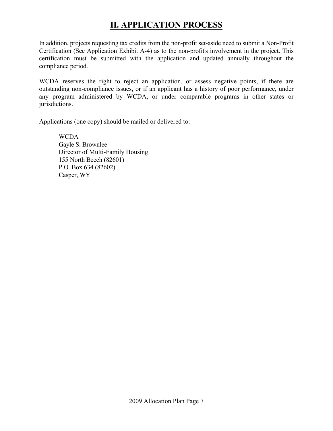### **II. APPLICATION PROCESS**

In addition, projects requesting tax credits from the non-profit set-aside need to submit a Non-Profit Certification (See Application Exhibit A-4) as to the non-profit's involvement in the project. This certification must be submitted with the application and updated annually throughout the compliance period.

WCDA reserves the right to reject an application, or assess negative points, if there are outstanding non-compliance issues, or if an applicant has a history of poor performance, under any program administered by WCDA, or under comparable programs in other states or jurisdictions.

Applications (one copy) should be mailed or delivered to:

 WCDA Gayle S. Brownlee Director of Multi-Family Housing 155 North Beech (82601) P.O. Box 634 (82602) Casper, WY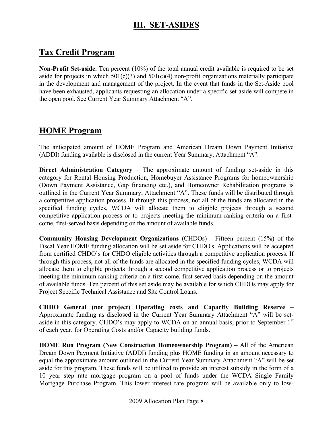### **III. SET-ASIDES**

### **Tax Credit Program**

**Non-Profit Set-aside.** Ten percent (10%) of the total annual credit available is required to be set aside for projects in which  $501(c)(3)$  and  $501(c)(4)$  non-profit organizations materially participate in the development and management of the project. In the event that funds in the Set-Aside pool have been exhausted, applicants requesting an allocation under a specific set-aside will compete in the open pool. See Current Year Summary Attachment "A".

### **HOME Program**

The anticipated amount of HOME Program and American Dream Down Payment Initiative (ADDI) funding available is disclosed in the current Year Summary, Attachment "A".

**Direct Administration Category** – The approximate amount of funding set-aside in this category for Rental Housing Production, Homebuyer Assistance Programs for homeownership (Down Payment Assistance, Gap financing etc.), and Homeowner Rehabilitation programs is outlined in the Current Year Summary, Attachment "A". These funds will be distributed through a competitive application process. If through this process, not all of the funds are allocated in the specified funding cycles, WCDA will allocate them to eligible projects through a second competitive application process or to projects meeting the minimum ranking criteria on a firstcome, first-served basis depending on the amount of available funds.

**Community Housing Development Organizations** (CHDOs) - Fifteen percent (15%) of the Fiscal Year HOME funding allocation will be set aside for CHDO's. Applications will be accepted from certified CHDO's for CHDO eligible activities through a competitive application process. If through this process, not all of the funds are allocated in the specified funding cycles, WCDA will allocate them to eligible projects through a second competitive application process or to projects meeting the minimum ranking criteria on a first-come, first-served basis depending on the amount of available funds. Ten percent of this set aside may be available for which CHDOs may apply for Project Specific Technical Assistance and Site Control Loans.

**CHDO General (not project) Operating costs and Capacity Building Reserve** – Approximate funding as disclosed in the Current Year Summary Attachment "A" will be setaside in this category. CHDO's may apply to WCDA on an annual basis, prior to September 1<sup>st</sup> of each year, for Operating Costs and/or Capacity building funds.

**HOME Run Program (New Construction Homeownership Program)** – All of the American Dream Down Payment Initiative (ADDI) funding plus HOME funding in an amount necessary to equal the approximate amount outlined in the Current Year Summary Attachment "A" will be set aside for this program. These funds will be utilized to provide an interest subsidy in the form of a 10 year step rate mortgage program on a pool of funds under the WCDA Single Family Mortgage Purchase Program. This lower interest rate program will be available only to low-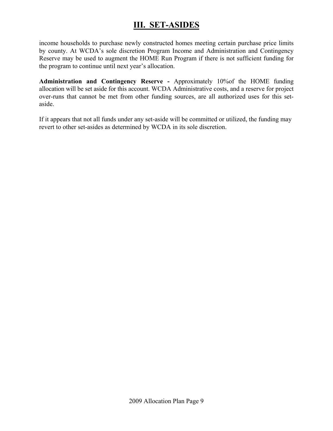### **III. SET-ASIDES**

income households to purchase newly constructed homes meeting certain purchase price limits by county. At WCDA's sole discretion Program Income and Administration and Contingency Reserve may be used to augment the HOME Run Program if there is not sufficient funding for the program to continue until next year's allocation.

**Administration and Contingency Reserve -** Approximately 10%of the HOME funding allocation will be set aside for this account. WCDA Administrative costs, and a reserve for project over-runs that cannot be met from other funding sources, are all authorized uses for this setaside.

If it appears that not all funds under any set-aside will be committed or utilized, the funding may revert to other set-asides as determined by WCDA in its sole discretion.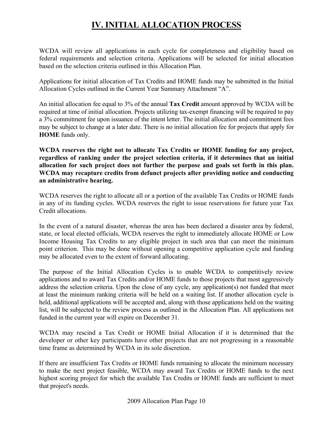# **IV. INITIAL ALLOCATION PROCESS**

WCDA will review all applications in each cycle for completeness and eligibility based on federal requirements and selection criteria. Applications will be selected for initial allocation based on the selection criteria outlined in this Allocation Plan.

Applications for initial allocation of Tax Credits and HOME funds may be submitted in the Initial Allocation Cycles outlined in the Current Year Summary Attachment "A".

An initial allocation fee equal to 3% of the annual **Tax Credit** amount approved by WCDA will be required at time of initial allocation. Projects utilizing tax-exempt financing will be required to pay a 3% commitment fee upon issuance of the intent letter. The initial allocation and commitment fees may be subject to change at a later date. There is no initial allocation fee for projects that apply for **HOME** funds only.

**WCDA reserves the right not to allocate Tax Credits or HOME funding for any project, regardless of ranking under the project selection criteria, if it determines that an initial allocation for such project does not further the purpose and goals set forth in this plan. WCDA may recapture credits from defunct projects after providing notice and conducting an administrative hearing.** 

WCDA reserves the right to allocate all or a portion of the available Tax Credits or HOME funds in any of its funding cycles. WCDA reserves the right to issue reservations for future year Tax Credit allocations.

In the event of a natural disaster, whereas the area has been declared a disaster area by federal, state, or local elected officials, WCDA reserves the right to immediately allocate HOME or Low Income Housing Tax Credits to any eligible project in such area that can meet the minimum point criterion. This may be done without opening a competitive application cycle and funding may be allocated even to the extent of forward allocating.

The purpose of the Initial Allocation Cycles is to enable WCDA to competitively review applications and to award Tax Credits and/or HOME funds to those projects that most aggressively address the selection criteria. Upon the close of any cycle, any application(s) not funded that meet at least the minimum ranking criteria will be held on a waiting list. If another allocation cycle is held, additional applications will be accepted and, along with those applications held on the waiting list, will be subjected to the review process as outlined in the Allocation Plan. All applications not funded in the current year will expire on December 31.

WCDA may rescind a Tax Credit or HOME Initial Allocation if it is determined that the developer or other key participants have other projects that are not progressing in a reasonable time frame as determined by WCDA in its sole discretion.

If there are insufficient Tax Credits or HOME funds remaining to allocate the minimum necessary to make the next project feasible, WCDA may award Tax Credits or HOME funds to the next highest scoring project for which the available Tax Credits or HOME funds are sufficient to meet that project's needs.

2009 Allocation Plan Page 10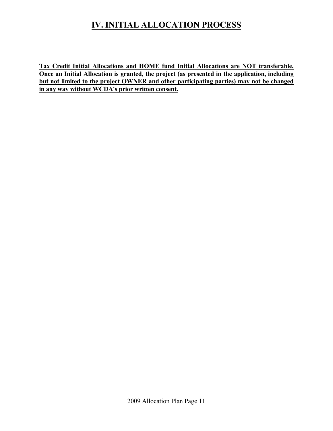# **IV. INITIAL ALLOCATION PROCESS**

**Tax Credit Initial Allocations and HOME fund Initial Allocations are NOT transferable. Once an Initial Allocation is granted, the project (as presented in the application, including but not limited to the project OWNER and other participating parties) may not be changed in any way without WCDA's prior written consent.**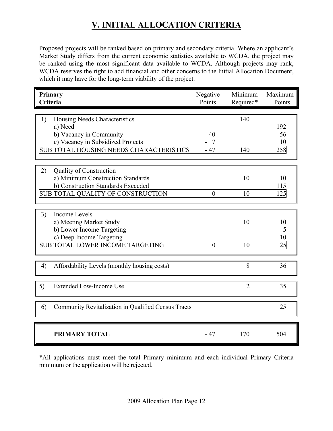Proposed projects will be ranked based on primary and secondary criteria. Where an applicant's Market Study differs from the current economic statistics available to WCDA, the project may be ranked using the most significant data available to WCDA. Although projects may rank, WCDA reserves the right to add financial and other concerns to the Initial Allocation Document, which it may have for the long-term viability of the project.

| Primary<br>Criteria                                                                                                                                                                                                                                                          | Negative<br>Points               | Minimum<br>Required* | Maximum<br>Points                   |
|------------------------------------------------------------------------------------------------------------------------------------------------------------------------------------------------------------------------------------------------------------------------------|----------------------------------|----------------------|-------------------------------------|
| 1)<br>Housing Needs Characteristics<br>a) Need<br>b) Vacancy in Community<br>c) Vacancy in Subsidized Projects<br><b>SUB TOTAL HOUSING NEEDS CHARACTERISTICS</b><br>2)<br>Quality of Construction<br>a) Minimum Construction Standards<br>b) Construction Standards Exceeded | $-40$<br>$\overline{7}$<br>$-47$ | 140<br>140<br>10     | 192<br>56<br>10<br>258<br>10<br>115 |
| SUB TOTAL QUALITY OF CONSTRUCTION                                                                                                                                                                                                                                            | $\theta$                         | 10                   | 125                                 |
| 3)<br><b>Income Levels</b><br>a) Meeting Market Study<br>b) Lower Income Targeting<br>c) Deep Income Targeting<br><b>SUB TOTAL LOWER INCOME TARGETING</b>                                                                                                                    | $\overline{0}$                   | 10<br>10             | 10<br>5<br>10<br>25                 |
| 4)<br>Affordability Levels (monthly housing costs)                                                                                                                                                                                                                           |                                  | 8                    | 36                                  |
| 5)<br><b>Extended Low-Income Use</b>                                                                                                                                                                                                                                         |                                  | $\overline{2}$       | 35                                  |
| Community Revitalization in Qualified Census Tracts<br>6)                                                                                                                                                                                                                    |                                  |                      | 25                                  |
| <b>PRIMARY TOTAL</b>                                                                                                                                                                                                                                                         | $-47$                            | 170                  | 504                                 |

\*All applications must meet the total Primary minimum and each individual Primary Criteria minimum or the application will be rejected.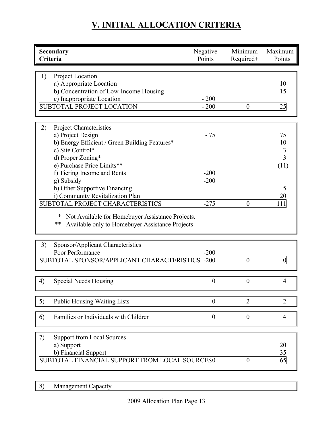| Secondary<br>Criteria                                                                                                                                                                                                                                                                                                                                                                                                                                 | Negative<br>Points                  | Minimum<br>Required+ | Maximum<br>Points                                         |
|-------------------------------------------------------------------------------------------------------------------------------------------------------------------------------------------------------------------------------------------------------------------------------------------------------------------------------------------------------------------------------------------------------------------------------------------------------|-------------------------------------|----------------------|-----------------------------------------------------------|
| Project Location<br>1)<br>a) Appropriate Location<br>b) Concentration of Low-Income Housing<br>c) Inappropriate Location<br><b>SUBTOTAL PROJECT LOCATION</b>                                                                                                                                                                                                                                                                                          | $-200$<br>$-200$                    | $\boldsymbol{0}$     | 10<br>15<br>25                                            |
| Project Characteristics<br>2)<br>a) Project Design<br>b) Energy Efficient / Green Building Features*<br>c) Site Control*<br>d) Proper Zoning*<br>e) Purchase Price Limits**<br>f) Tiering Income and Rents<br>g) Subsidy<br>h) Other Supportive Financing<br>i) Community Revitalization Plan<br><b>SUBTOTAL PROJECT CHARACTERISTICS</b><br>Not Available for Homebuyer Assistance Projects.<br>**<br>Available only to Homebuyer Assistance Projects | $-75$<br>$-200$<br>$-200$<br>$-275$ | $\overline{0}$       | 75<br>10<br>3<br>$\overline{3}$<br>(11)<br>5<br>20<br>111 |
| 3)<br>Sponsor/Applicant Characteristics<br>Poor Performance<br>SUBTOTAL SPONSOR/APPLICANT CHARACTERISTICS -200                                                                                                                                                                                                                                                                                                                                        | $-200$                              | $\boldsymbol{0}$     |                                                           |
| <b>Special Needs Housing</b><br>4)                                                                                                                                                                                                                                                                                                                                                                                                                    | $\overline{0}$                      | $\overline{0}$       | 4                                                         |
| <b>Public Housing Waiting Lists</b><br>$\left(5\right)$                                                                                                                                                                                                                                                                                                                                                                                               | $\boldsymbol{0}$                    | $\overline{2}$       | $\overline{2}$                                            |
| Families or Individuals with Children<br>6)                                                                                                                                                                                                                                                                                                                                                                                                           | $\boldsymbol{0}$                    | $\boldsymbol{0}$     | 4                                                         |
| <b>Support from Local Sources</b><br>7)<br>a) Support<br>b) Financial Support<br>SUBTOTAL FINANCIAL SUPPORT FROM LOCAL SOURCES0                                                                                                                                                                                                                                                                                                                       |                                     | $\boldsymbol{0}$     | 20<br>35<br>65                                            |

8) Management Capacity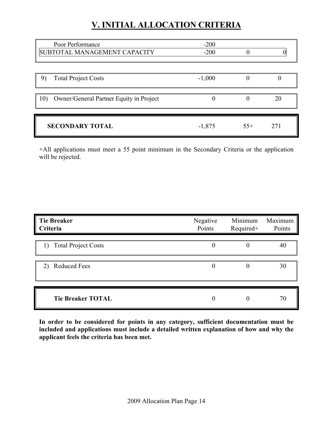| Poor Performance<br>SUBTOTAL MANAGEMENT CAPACITY | $-200$<br>$-200$ |       |     |
|--------------------------------------------------|------------------|-------|-----|
| <b>Total Project Costs</b><br>9)                 | $-1,000$         |       |     |
| 10)<br>Owner/General Partner Equity in Project   |                  |       | 20  |
| <b>SECONDARY TOTAL</b>                           | $-1,875$         | $55+$ | 271 |

+All applications must meet a 55 point minimum in the Secondary Criteria or the application will be rejected.

| <b>Tie Breaker</b><br>Criteria | Negative<br>Points | Minimum<br>Required+ | Maximum<br>Points |
|--------------------------------|--------------------|----------------------|-------------------|
| <b>Total Project Costs</b>     | 0                  |                      | 40                |
| <b>Reduced Fees</b><br>2)      | 0                  | $\Omega$             | 30                |
| <b>Tie Breaker TOTAL</b>       | 0                  |                      | 70                |

**In order to be considered for points in any category, sufficient documentation must be included and applications must include a detailed written explanation of how and why the applicant feels the criteria has been met.**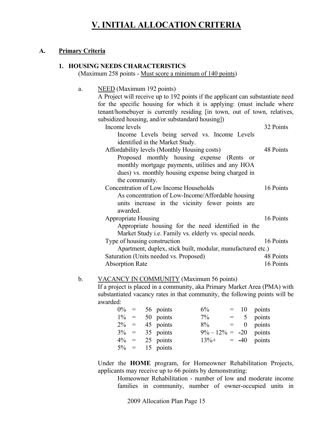#### **A. Primary Criteria**

#### **1. HOUSING NEEDS CHARACTERISTICS**

(Maximum 258 points - Must score a minimum of 140 points)

 a. NEED (Maximum 192 points) A Project will receive up to 192 points if the applicant can substantiate need for the specific housing for which it is applying: (must include where tenant/homebuyer is currently residing [in town, out of town, relatives, subsidized housing, and/or substandard housing]) Income levels 32 Points Income Levels being served vs. Income Levels identified in the Market Study. Affordability levels (Monthly Housing costs) 48 Points Proposed monthly housing expense (Rents or monthly mortgage payments, utilities and any HOA dues) vs. monthly housing expense being charged in the community. Concentration of Low Income Households 16 Points As concentration of Low-Income/Affordable housing units increase in the vicinity fewer points are awarded. Appropriate Housing 16 Points Appropriate housing for the need identified in the Market Study i.e. Family vs. elderly vs. special needs. Type of housing construction 16 Points Apartment, duplex, stick built, modular, manufactured etc.) Saturation (Units needed vs. Proposed) 48 Points Absorption Rate 16 Points

#### b. VACANCY IN COMMUNITY (Maximum 56 points)

If a project is placed in a community, aka Primary Market Area (PMA) with substantiated vacancy rates in that community, the following points will be awarded:

|         | $0\% = 56$ points | 6%                        |  | $=$ 10 points |
|---------|-------------------|---------------------------|--|---------------|
|         | $1\% = 50$ points | $7\%$                     |  | $= 5$ points  |
|         | $2\% = 45$ points | $8\%$                     |  | $= 0$ points  |
|         | $3\% = 35$ points | $9\% - 12\% = -20$ points |  |               |
| $4\% =$ | 25 points         | $13\% + = -40$ points     |  |               |
|         | $5\% = 15$ points |                           |  |               |

Under the **HOME** program, for Homeowner Rehabilitation Projects, applicants may receive up to 66 points by demonstrating:

 Homeowner Rehabilitation - number of low and moderate income families in community, number of owner-occupied units in

2009 Allocation Plan Page 15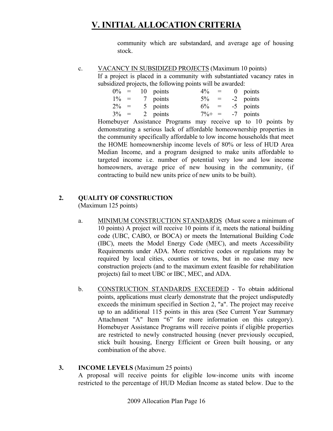community which are substandard, and average age of housing stock.

#### c. VACANCY IN SUBSIDIZED PROJECTS (Maximum 10 points)

If a project is placed in a community with substantiated vacancy rates in subsidized projects, the following points will be awarded:

| $0\% =$ |  | 10 points | $4\%$     | $\alpha = \alpha$ | $0$ points |
|---------|--|-----------|-----------|-------------------|------------|
| $1\% =$ |  | 7 points  | $5\% =$   |                   | -2 points  |
| $2\% =$ |  | 5 points  | $6\% =$   |                   | -5 points  |
| $3\% =$ |  | 2 points  | $7\% + =$ |                   | -7 points  |

Homebuyer Assistance Programs may receive up to 10 points by demonstrating a serious lack of affordable homeownership properties in the community specifically affordable to low income households that meet the HOME homeownership income levels of 80% or less of HUD Area Median Income, and a program designed to make units affordable to targeted income i.e. number of potential very low and low income homeowners, average price of new housing in the community, (if contracting to build new units price of new units to be built).

#### **2. QUALITY OF CONSTRUCTION**

(Maximum 125 points)

- a. MINIMUM CONSTRUCTION STANDARDS (Must score a minimum of 10 points) A project will receive 10 points if it, meets the national building code (UBC, CABO, or BOCA) or meets the International Building Code (IBC), meets the Model Energy Code (MEC), and meets Accessibility Requirements under ADA. More restrictive codes or regulations may be required by local cities, counties or towns, but in no case may new construction projects (and to the maximum extent feasible for rehabilitation projects) fail to meet UBC or IBC, MEC, and ADA.
- b. CONSTRUCTION STANDARDS EXCEEDED To obtain additional points, applications must clearly demonstrate that the project undisputedly exceeds the minimum specified in Section 2, "a". The project may receive up to an additional 115 points in this area (See Current Year Summary Attachment "A" Item "6" for more information on this category). Homebuyer Assistance Programs will receive points if eligible properties are restricted to newly constructed housing (never previously occupied, stick built housing, Energy Efficient or Green built housing, or any combination of the above.

#### **3. INCOME LEVELS** (Maximum 25 points) A proposal will receive points for eligible low-income units with income restricted to the percentage of HUD Median Income as stated below. Due to the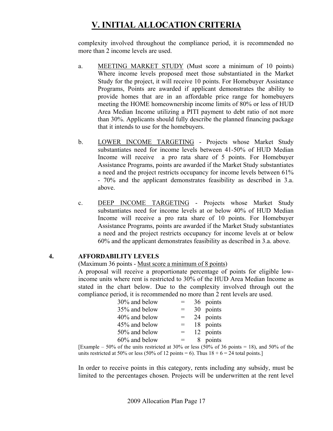complexity involved throughout the compliance period, it is recommended no more than 2 income levels are used.

- a. MEETING MARKET STUDY (Must score a minimum of 10 points) Where income levels proposed meet those substantiated in the Market Study for the project, it will receive 10 points. For Homebuyer Assistance Programs, Points are awarded if applicant demonstrates the ability to provide homes that are in an affordable price range for homebuyers meeting the HOME homeownership income limits of 80% or less of HUD Area Median Income utilizing a PITI payment to debt ratio of not more than 30%. Applicants should fully describe the planned financing package that it intends to use for the homebuyers.
- b. LOWER INCOME TARGETING Projects whose Market Study substantiates need for income levels between 41-50% of HUD Median Income will receive a pro rata share of 5 points. For Homebuyer Assistance Programs, points are awarded if the Market Study substantiates a need and the project restricts occupancy for income levels between 61% - 70% and the applicant demonstrates feasibility as described in 3.a. above.
- c. DEEP INCOME TARGETING Projects whose Market Study substantiates need for income levels at or below 40% of HUD Median Income will receive a pro rata share of 10 points. For Homebuyer Assistance Programs, points are awarded if the Market Study substantiates a need and the project restricts occupancy for income levels at or below 60% and the applicant demonstrates feasibility as described in 3.a. above.

#### **4. AFFORDABILITY LEVELS**

(Maximum 36 points - Must score a minimum of 8 points)

A proposal will receive a proportionate percentage of points for eligible lowincome units where rent is restricted to 30% of the HUD Area Median Income as stated in the chart below. Due to the complexity involved through out the compliance period, it is recommended no more than 2 rent levels are used.

| 30% and below | $=$ | 36 points |
|---------------|-----|-----------|
| 35% and below | $=$ | 30 points |
| 40% and below | $=$ | 24 points |
| 45% and below |     | 18 points |
| 50% and below | $=$ | 12 points |
| 60% and below |     | 8 points  |
|               |     |           |

[Example – 50% of the units restricted at 30% or less (50% of 36 points = 18), and 50% of the units restricted at 50% or less (50% of 12 points = 6). Thus  $18 + 6 = 24$  total points.]

In order to receive points in this category, rents including any subsidy, must be limited to the percentages chosen. Projects will be underwritten at the rent level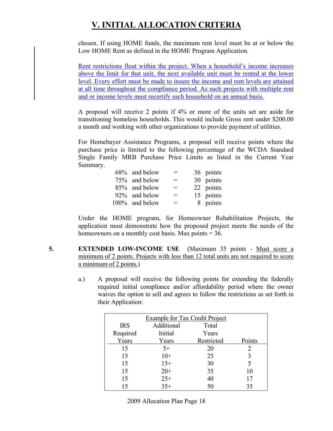chosen. If using HOME funds, the maximum rent level must be at or below the Low HOME Rent as defined in the HOME Program Application.

Rent restrictions float within the project. When a household's income increases above the limit for that unit, the next available unit must be rented at the lower level. Every effort must be made to insure the income and rent levels are attained at all time throughout the compliance period. As such projects with multiple rent and or income levels must recertify each household on an annual basis.

A proposal will receive 2 points if 4% or more of the units set are aside for transitioning homeless households. This would include Gross rent under \$200.00 a month and working with other organizations to provide payment of utilities.

For Homebuyer Assistance Programs, a proposal will receive points where the purchase price is limited to the following percentage of the WCDA Standard Single Family MRB Purchase Price Limits as listed in the Current Year Summary.

| 68% and below  | $=$ | 36 points |
|----------------|-----|-----------|
| 75% and below  | $=$ | 30 points |
| 85% and below  | $=$ | 22 points |
| 92% and below  | $=$ | 15 points |
| 100% and below | $=$ | 8 points  |

Under the HOME program, for Homeowner Rehabilitation Projects, the application must demonstrate how the proposed project meets the needs of the homeowners on a monthly cost basis. Max points  $= 36$ .

- **5. EXTENDED LOW-INCOME USE** (Maximum 35 points Must score a minimum of 2 points. Projects with less than 12 total units are not required to score a minimum of 2 points.)
	- a.) A proposal will receive the following points for extending the federally required initial compliance and/or affordability period where the owner waives the option to sell and agrees to follow the restrictions as set forth in their Application:

| <b>Example for Tax Credit Project</b> |            |            |        |  |
|---------------------------------------|------------|------------|--------|--|
| <b>IRS</b>                            | Additional | Total      |        |  |
| Required                              | Initial    | Years      |        |  |
| Years                                 | Years      | Restricted | Points |  |
| 15                                    | $5+$       | 20         | 2      |  |
| 15                                    | $10+$      | 25         | 3      |  |
| 15                                    | $15+$      | 30         | 5      |  |
| 15                                    | $20+$      | 35         | 10     |  |
| 15                                    | $25+$      | 40         | 17     |  |
| 15                                    | $35+$      | 50         | 35     |  |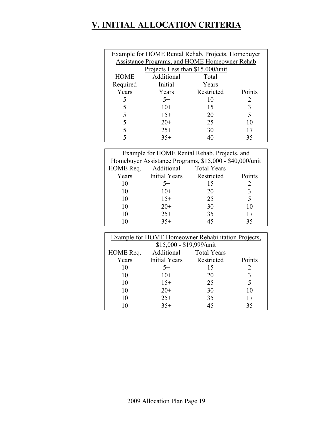| <b>Example for HOME Rental Rehab. Projects, Homebuyer</b> |            |            |        |  |  |
|-----------------------------------------------------------|------------|------------|--------|--|--|
| Assistance Programs, and HOME Homeowner Rehab             |            |            |        |  |  |
| Projects Less than \$15,000/unit                          |            |            |        |  |  |
| <b>HOME</b>                                               | Additional | Total      |        |  |  |
| Required                                                  | Initial    | Years      |        |  |  |
| Years                                                     | Years      | Restricted | Points |  |  |
| 5                                                         | $5+$       | 10         | 2      |  |  |
|                                                           | $10+$      | 15         | 3      |  |  |
| 5                                                         | $15+$      | 20         |        |  |  |
| 5                                                         | $20+$      | 25         | 10     |  |  |
| 5                                                         | $25+$      | 30         |        |  |  |
|                                                           | $35+$      |            | 35     |  |  |

| Example for HOME Rental Rehab. Projects, and |                                                         |            |        |  |  |
|----------------------------------------------|---------------------------------------------------------|------------|--------|--|--|
|                                              | Homebuyer Assistance Programs, \$15,000 - \$40,000/unit |            |        |  |  |
| HOME Req.                                    | Additional Total Years                                  |            |        |  |  |
| Years                                        | <b>Initial Years</b>                                    | Restricted | Points |  |  |
| 10                                           | $5+$                                                    | 15         |        |  |  |
| 10                                           | $10+$                                                   | 20         |        |  |  |
| 10                                           | $15+$                                                   | 25         |        |  |  |
| 10                                           | $20+$                                                   | 30         | 10     |  |  |
| 10                                           | $25+$                                                   | 35         | 17     |  |  |
| 10                                           | $35+$                                                   | 45         | 35     |  |  |

| <b>Example for HOME Homeowner Rehabilitation Projects,</b> |                      |                    |        |  |
|------------------------------------------------------------|----------------------|--------------------|--------|--|
| \$15,000 - \$19,999/unit                                   |                      |                    |        |  |
| HOME Req.                                                  | Additional           | <b>Total Years</b> |        |  |
| Years                                                      | <b>Initial Years</b> | Restricted         | Points |  |
| 10                                                         | $5+$                 | 15                 |        |  |
| 10                                                         | $10+$                | 20                 |        |  |
| 10                                                         | $15+$                | 25                 |        |  |
| 10                                                         | $20+$                | 30                 | 10     |  |
| 10                                                         | $25+$                | 35                 | 17     |  |
| 10                                                         | $35+$                | 45                 | 35     |  |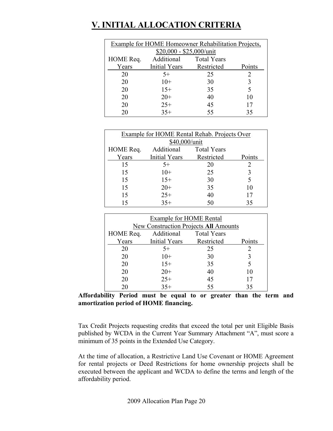| <b>Example for HOME Homeowner Rehabilitation Projects,</b> |               |                    |        |  |
|------------------------------------------------------------|---------------|--------------------|--------|--|
| \$20,000 - \$25,000/unit                                   |               |                    |        |  |
| HOME Req.                                                  | Additional    | <b>Total Years</b> |        |  |
| Years                                                      | Initial Years | Restricted         | Points |  |
| 20                                                         | $5+$          | 25                 |        |  |
| 20                                                         | $10+$         | 30                 |        |  |
| 20                                                         | $15+$         | 35                 |        |  |
| 20                                                         | $20+$         | 40                 | 10     |  |
| 20                                                         | $25+$         | 45                 | 17     |  |
| 20                                                         | $35+$         | 55                 | 35     |  |

| <b>Example for HOME Rental Rehab. Projects Over</b> |                      |             |        |  |  |
|-----------------------------------------------------|----------------------|-------------|--------|--|--|
|                                                     | \$40,000/unit        |             |        |  |  |
| HOME Req.                                           | Additional           | Total Years |        |  |  |
| Years                                               | <b>Initial Years</b> | Restricted  | Points |  |  |
| 15                                                  | $5+$                 | 20          |        |  |  |
| 15                                                  | $10+$                | 25          | 3      |  |  |
| 15                                                  | $15+$                | 30          |        |  |  |
| 15                                                  | $20+$                | 35          | 10     |  |  |
| 15                                                  | $25+$                | 40          | 17     |  |  |
| 15                                                  | $35+$                | 50          | 35     |  |  |

| Example for HOME Rental             |                                       |            |        |  |
|-------------------------------------|---------------------------------------|------------|--------|--|
|                                     | New Construction Projects All Amounts |            |        |  |
| Additional Total Years<br>HOME Req. |                                       |            |        |  |
| Years                               | Initial Years                         | Restricted | Points |  |
| 20                                  | $5+$                                  | 25         | 2      |  |
| 20                                  | $10+$                                 | 30         |        |  |
| 20                                  | $15+$                                 | 35         |        |  |
| 20                                  | $20+$                                 | 40         | 10     |  |
| 20                                  | $25+$                                 | 45         | 17     |  |
|                                     | $35+$                                 | 55         | 35     |  |

**Affordability Period must be equal to or greater than the term and amortization period of HOME financing.** 

Tax Credit Projects requesting credits that exceed the total per unit Eligible Basis published by WCDA in the Current Year Summary Attachment "A", must score a minimum of 35 points in the Extended Use Category.

At the time of allocation, a Restrictive Land Use Covenant or HOME Agreement for rental projects or Deed Restrictions for home ownership projects shall be executed between the applicant and WCDA to define the terms and length of the affordability period.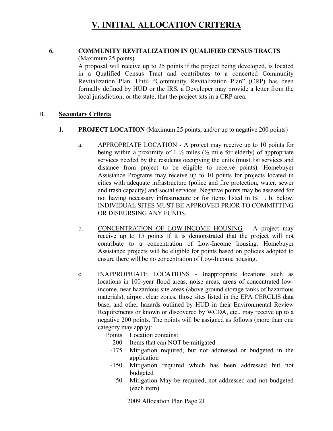#### **6. COMMUNITY REVITALIZATION IN QUALIFIED CENSUS TRACTS**

(Maximum 25 points)

A proposal will receive up to 25 points if the project being developed, is located in a Qualified Census Tract and contributes to a concerted Community Revitalization Plan. Until "Community Revitalization Plan" (CRP) has been formally defined by HUD or the IRS, a Developer may provide a letter from the local jurisdiction, or the state, that the project sits in a CRP area.

#### B. **Secondary Criteria**

- **1. PROJECT LOCATION** (Maximum 25 points, and/or up to negative 200 points)
	- a. APPROPRIATE LOCATION A project may receive up to 10 points for being within a proximity of  $1\frac{1}{2}$  miles ( $\frac{1}{2}$  mile for elderly) of appropriate services needed by the residents occupying the units (must list services and distance from project to be eligible to receive points). Homebuyer Assistance Programs may receive up to 10 points for projects located in cities with adequate infrastructure (police and fire protection, water, sewer and trash capacity) and social services. Negative points may be assessed for not having necessary infrastructure or for items listed in B. 1. b. below. INDIVIDUAL SITES MUST BE APPROVED PRIOR TO COMMITTING OR DISBURSING ANY FUNDS.
	- b. CONCENTRATION OF LOW-INCOME HOUSING A project may receive up to 15 points if it is demonstrated that the project will not contribute to a concentration of Low-Income housing. Homebuyer Assistance projects will be eligible for points based on policies adopted to ensure there will be no concentration of Low-Income housing.
	- c. INAPPROPRIATE LOCATIONS Inappropriate locations such as locations in 100-year flood areas, noise areas, areas of concentrated lowincome, near hazardous site areas (above ground storage tanks of hazardous materials), airport clear zones, those sites listed in the EPA CERCLIS data base, and other hazards outlined by HUD in their Environmental Review Requirements or known or discovered by WCDA, etc., may receive up to a negative 200 points. The points will be assigned as follows (more than one category may apply):

Points Location contains:

- -200 Items that can NOT be mitigated
- -175 Mitigation required, but not addressed or budgeted in the application
- -150 Mitigation required which has been addressed but not budgeted
- -50 Mitigation May be required, not addressed and not budgeted (each item)

2009 Allocation Plan Page 21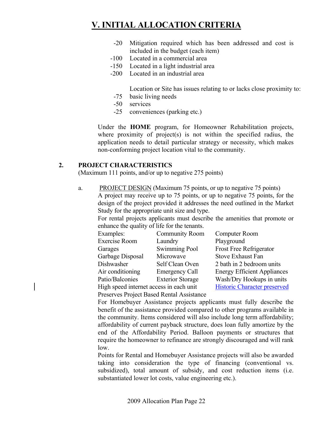- -20 Mitigation required which has been addressed and cost is included in the budget (each item)
- -100 Located in a commercial area
- -150 Located in a light industrial area
- -200 Located in an industrial area

Location or Site has issues relating to or lacks close proximity to:

- -75 basic living needs
- -50 services
- -25 conveniences (parking etc.)

Under the **HOME** program, for Homeowner Rehabilitation projects, where proximity of project(s) is not within the specified radius, the application needs to detail particular strategy or necessity, which makes non-conforming project location vital to the community.

#### **2. PROJECT CHARACTERISTICS**

(Maximum 111 points, and/or up to negative 275 points)

a. PROJECT DESIGN (Maximum 75 points, or up to negative 75 points) A project may receive up to 75 points, or up to negative 75 points, for the design of the project provided it addresses the need outlined in the Market Study for the appropriate unit size and type.

For rental projects applicants must describe the amenities that promote or enhance the quality of life for the tenants.

| Examples:                               | <b>Community Room</b>   | Computer Room                       |
|-----------------------------------------|-------------------------|-------------------------------------|
| Exercise Room                           | Laundry                 | Playground                          |
| Garages                                 | Swimming Pool           | Frost Free Refrigerator             |
| Garbage Disposal                        | Microwave               | Stove Exhaust Fan                   |
| Dishwasher                              | Self Clean Oven         | 2 bath in 2 bedroom units           |
| Air conditioning                        | <b>Emergency Call</b>   | <b>Energy Efficient Appliances</b>  |
| Patio/Balconies                         | <b>Exterior Storage</b> | Wash/Dry Hookups in units           |
| High speed internet access in each unit |                         | <b>Historic Character preserved</b> |

Preserves Project Based Rental Assistance

For Homebuyer Assistance projects applicants must fully describe the benefit of the assistance provided compared to other programs available in the community. Items considered will also include long term affordability; affordability of current payback structure, does loan fully amortize by the end of the Affordability Period. Balloon payments or structures that require the homeowner to refinance are strongly discouraged and will rank low.

Points for Rental and Homebuyer Assistance projects will also be awarded taking into consideration the type of financing (conventional vs. subsidized), total amount of subsidy, and cost reduction items (i.e. substantiated lower lot costs, value engineering etc.).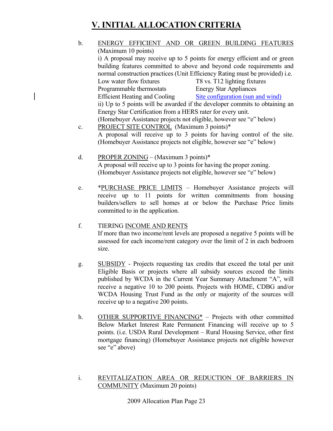- b. ENERGY EFFICIENT AND OR GREEN BUILDING FEATURES (Maximum 10 points) i) A proposal may receive up to 5 points for energy efficient and or green building features committed to above and beyond code requirements and normal construction practices (Unit Efficiency Rating must be provided) i.e. Low water flow fixtures T8 vs. T12 lighting fixtures Programmable thermostats Energy Star Appliances Efficient Heating and Cooling Site configuration (sun and wind) ii) Up to 5 points will be awarded if the developer commits to obtaining an Energy Star Certification from a HERS rater for every unit. (Homebuyer Assistance projects not eligible, however see "e" below) c. PROJECT SITE CONTROL (Maximum 3 points)\* A proposal will receive up to 3 points for having control of the site. (Homebuyer Assistance projects not eligible, however see "e" below)
- d. PROPER ZONING (Maximum 3 points)\* A proposal will receive up to 3 points for having the proper zoning. (Homebuyer Assistance projects not eligible, however see "e" below)
- e. \*PURCHASE PRICE LIMITS Homebuyer Assistance projects will receive up to 11 points for written commitments from housing builders/sellers to sell homes at or below the Purchase Price limits committed to in the application.

#### f. TIERING INCOME AND RENTS

If more than two income/rent levels are proposed a negative 5 points will be assessed for each income/rent category over the limit of 2 in each bedroom size.

- g. SUBSIDY Projects requesting tax credits that exceed the total per unit Eligible Basis or projects where all subsidy sources exceed the limits published by WCDA in the Current Year Summary Attachment "A", will receive a negative 10 to 200 points. Projects with HOME, CDBG and/or WCDA Housing Trust Fund as the only or majority of the sources will receive up to a negative 200 points.
- h. OTHER SUPPORTIVE FINANCING<sup>\*</sup> Projects with other committed Below Market Interest Rate Permanent Financing will receive up to 5 points. (i.e. USDA Rural Development – Rural Housing Service, other first mortgage financing) (Homebuyer Assistance projects not eligible however see "e" above)
- i. REVITALIZATION AREA OR REDUCTION OF BARRIERS IN COMMUNITY (Maximum 20 points)

2009 Allocation Plan Page 23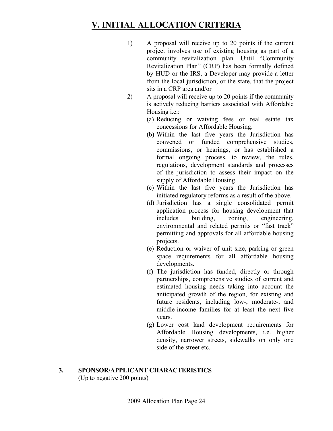- 1) A proposal will receive up to 20 points if the current project involves use of existing housing as part of a community revitalization plan. Until "Community Revitalization Plan" (CRP) has been formally defined by HUD or the IRS, a Developer may provide a letter from the local jurisdiction, or the state, that the project sits in a CRP area and/or
- 2) A proposal will receive up to 20 points if the community is actively reducing barriers associated with Affordable Housing i.e.:
	- (a) Reducing or waiving fees or real estate tax concessions for Affordable Housing.
	- (b) Within the last five years the Jurisdiction has convened or funded comprehensive studies, commissions, or hearings, or has established a formal ongoing process, to review, the rules, regulations, development standards and processes of the jurisdiction to assess their impact on the supply of Affordable Housing.
	- (c) Within the last five years the Jurisdiction has initiated regulatory reforms as a result of the above.
	- (d) Jurisdiction has a single consolidated permit application process for housing development that includes building, zoning, engineering, environmental and related permits or "fast track" permitting and approvals for all affordable housing projects.
	- (e) Reduction or waiver of unit size, parking or green space requirements for all affordable housing developments.
	- (f) The jurisdiction has funded, directly or through partnerships, comprehensive studies of current and estimated housing needs taking into account the anticipated growth of the region, for existing and future residents, including low-, moderate-, and middle-income families for at least the next five years.
	- (g) Lower cost land development requirements for Affordable Housing developments, i.e. higher density, narrower streets, sidewalks on only one side of the street etc.

#### **3. SPONSOR/APPLICANT CHARACTERISTICS** (Up to negative 200 points)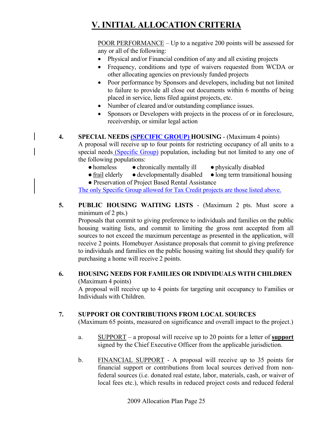POOR PERFORMANCE – Up to a negative 200 points will be assessed for any or all of the following:

- Physical and/or Financial condition of any and all existing projects
- Frequency, conditions and type of waivers requested from WCDA or other allocating agencies on previously funded projects
- Poor performance by Sponsors and developers, including but not limited to failure to provide all close out documents within 6 months of being placed in service, liens filed against projects, etc.
- Number of cleared and/or outstanding compliance issues.
- Sponsors or Developers with projects in the process of or in foreclosure, receivership, or similar legal action
- **4. SPECIAL NEEDS (SPECIFIC GROUP) HOUSING**  (Maximum 4 points)

A proposal will receive up to four points for restricting occupancy of all units to a special needs (Specific Group) population, including but not limited to any one of the following populations:

- homeless chronically mentally ill physically disabled
	-
- frail elderly developmentally disabled long term transitional housing
- Preservation of Project Based Rental Assistance

The only Specific Group allowed for Tax Credit projects are those listed above.

**5. PUBLIC HOUSING WAITING LISTS** - (Maximum 2 pts. Must score a minimum of 2 pts.)

Proposals that commit to giving preference to individuals and families on the public housing waiting lists, and commit to limiting the gross rent accepted from all sources to not exceed the maximum percentage as presented in the application, will receive 2 points. Homebuyer Assistance proposals that commit to giving preference to individuals and families on the public housing waiting list should they qualify for purchasing a home will receive 2 points.

#### **6. HOUSING NEEDS FOR FAMILIES OR INDIVIDUALS WITH CHILDREN** (Maximum 4 points)

A proposal will receive up to 4 points for targeting unit occupancy to Families or Individuals with Children.

#### **7. SUPPORT OR CONTRIBUTIONS FROM LOCAL SOURCES**

(Maximum 65 points, measured on significance and overall impact to the project.)

- a. SUPPORT a proposal will receive up to 20 points for a letter of **support** signed by the Chief Executive Officer from the applicable jurisdiction.
- b. FINANCIAL SUPPORT A proposal will receive up to 35 points for financial support or contributions from local sources derived from nonfederal sources (i.e. donated real estate, labor, materials, cash, or waiver of local fees etc.), which results in reduced project costs and reduced federal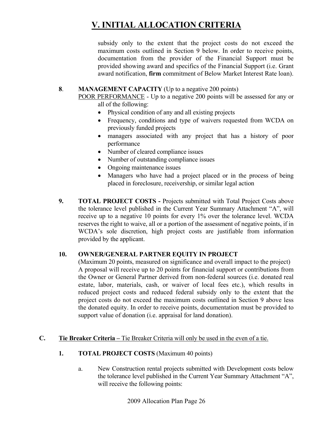subsidy only to the extent that the project costs do not exceed the maximum costs outlined in Section 9 below. In order to receive points, documentation from the provider of the Financial Support must be provided showing award and specifics of the Financial Support (i.e. Grant award notification, **firm** commitment of Below Market Interest Rate loan).

#### **8**. **MANAGEMENT CAPACITY** (Up to a negative 200 points)

POOR PERFORMANCE - Up to a negative 200 points will be assessed for any or all of the following:

- Physical condition of any and all existing projects
- Frequency, conditions and type of waivers requested from WCDA on previously funded projects
- managers associated with any project that has a history of poor performance
- Number of cleared compliance issues
- Number of outstanding compliance issues
- Ongoing maintenance issues
- Managers who have had a project placed or in the process of being placed in foreclosure, receivership, or similar legal action
- **9. TOTAL PROJECT COSTS** Projects submitted with Total Project Costs above the tolerance level published in the Current Year Summary Attachment "A", will receive up to a negative 10 points for every 1% over the tolerance level. WCDA reserves the right to waive, all or a portion of the assessment of negative points, if in WCDA's sole discretion, high project costs are justifiable from information provided by the applicant.

#### **10. OWNER/GENERAL PARTNER EQUITY IN PROJECT**

(Maximum 20 points, measured on significance and overall impact to the project) A proposal will receive up to 20 points for financial support or contributions from the Owner or General Partner derived from non-federal sources (i.e. donated real estate, labor, materials, cash, or waiver of local fees etc.), which results in reduced project costs and reduced federal subsidy only to the extent that the project costs do not exceed the maximum costs outlined in Section 9 above less the donated equity. In order to receive points, documentation must be provided to support value of donation (i.e. appraisal for land donation).

#### **C.** Tie Breaker Criteria – Tie Breaker Criteria will only be used in the even of a tie.

#### **1. TOTAL PROJECT COSTS** (Maximum 40 points)

a. New Construction rental projects submitted with Development costs below the tolerance level published in the Current Year Summary Attachment "A", will receive the following points:

2009 Allocation Plan Page 26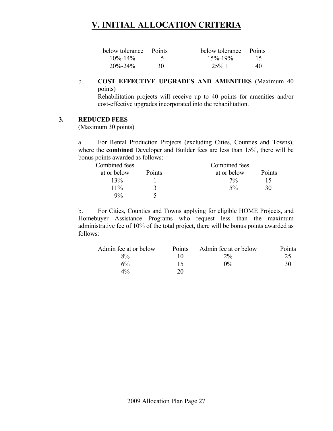| below tolerance Points |    | below tolerance Points |                 |
|------------------------|----|------------------------|-----------------|
| $10\% - 14\%$          |    | $15\% - 19\%$          | $\overline{15}$ |
| $20\% - 24\%$          | 30 | $25% +$                | 40              |

#### b. **COST EFFECTIVE UPGRADES AND AMENITIES** (Maximum 40 points)

 Rehabilitation projects will receive up to 40 points for amenities and/or cost-effective upgrades incorporated into the rehabilitation.

#### **3. REDUCED FEES**

(Maximum 30 points)

a. For Rental Production Projects (excluding Cities, Counties and Towns), where the **combined** Developer and Builder fees are less than 15%, there will be bonus points awarded as follows:

| Combined fees |        | Combined fees |        |
|---------------|--------|---------------|--------|
| at or below   | Points | at or below   | Points |
| 13%           |        | $7\%$         | 15     |
| $11\%$        |        | $5\%$         | 30     |
| 9%            |        |               |        |

b. For Cities, Counties and Towns applying for eligible HOME Projects, and Homebuyer Assistance Programs who request less than the maximum administrative fee of 10% of the total project, there will be bonus points awarded as follows:

| Admin fee at or below | <b>Points</b> | Admin fee at or below | Points |
|-----------------------|---------------|-----------------------|--------|
| $8\%$                 |               | $2\%$                 | 25     |
| 6%                    | 15            | $0\%$                 | 30     |
| $4\%$                 | 20            |                       |        |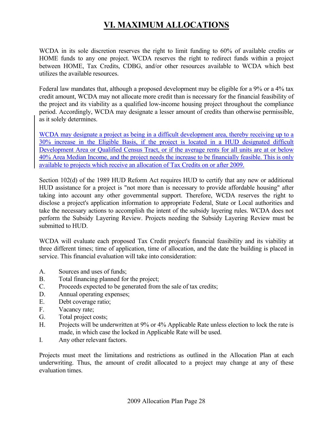# **VI. MAXIMUM ALLOCATIONS**

WCDA in its sole discretion reserves the right to limit funding to 60% of available credits or HOME funds to any one project. WCDA reserves the right to redirect funds within a project between HOME, Tax Credits, CDBG, and/or other resources available to WCDA which best utilizes the available resources.

Federal law mandates that, although a proposed development may be eligible for a 9% or a 4% tax credit amount, WCDA may not allocate more credit than is necessary for the financial feasibility of the project and its viability as a qualified low-income housing project throughout the compliance period. Accordingly, WCDA may designate a lesser amount of credits than otherwise permissible, as it solely determines.

WCDA may designate a project as being in a difficult development area, thereby receiving up to a 30% increase in the Eligible Basis, if the project is located in a HUD designated difficult Development Area or Qualified Census Tract, or if the average rents for all units are at or below 40% Area Median Income, and the project needs the increase to be financially feasible. This is only available to projects which receive an allocation of Tax Credits on or after 2009.

Section 102(d) of the 1989 HUD Reform Act requires HUD to certify that any new or additional HUD assistance for a project is "not more than is necessary to provide affordable housing" after taking into account any other governmental support. Therefore, WCDA reserves the right to disclose a project's application information to appropriate Federal, State or Local authorities and take the necessary actions to accomplish the intent of the subsidy layering rules. WCDA does not perform the Subsidy Layering Review. Projects needing the Subsidy Layering Review must be submitted to HUD.

WCDA will evaluate each proposed Tax Credit project's financial feasibility and its viability at three different times; time of application, time of allocation, and the date the building is placed in service. This financial evaluation will take into consideration:

- A. Sources and uses of funds;
- B. Total financing planned for the project;
- C. Proceeds expected to be generated from the sale of tax credits;
- D. Annual operating expenses;
- E. Debt coverage ratio;
- F. Vacancy rate;
- G. Total project costs;
- H. Projects will be underwritten at 9% or 4% Applicable Rate unless election to lock the rate is made, in which case the locked in Applicable Rate will be used.
- I. Any other relevant factors.

Projects must meet the limitations and restrictions as outlined in the Allocation Plan at each underwriting. Thus, the amount of credit allocated to a project may change at any of these evaluation times.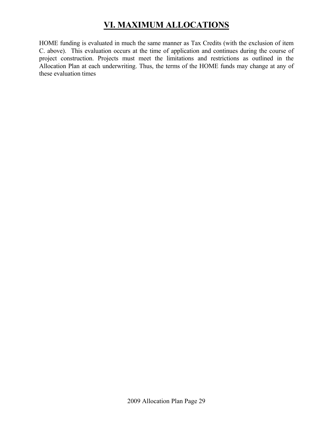# **VI. MAXIMUM ALLOCATIONS**

HOME funding is evaluated in much the same manner as Tax Credits (with the exclusion of item C. above). This evaluation occurs at the time of application and continues during the course of project construction. Projects must meet the limitations and restrictions as outlined in the Allocation Plan at each underwriting. Thus, the terms of the HOME funds may change at any of these evaluation times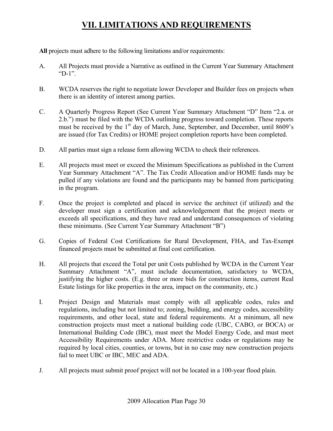**All** projects must adhere to the following limitations and/or requirements:

- A. All Projects must provide a Narrative as outlined in the Current Year Summary Attachment "D-1".
- B. WCDA reserves the right to negotiate lower Developer and Builder fees on projects when there is an identity of interest among parties.
- C. A Quarterly Progress Report (See Current Year Summary Attachment "D" Item "2.a. or 2.b.") must be filed with the WCDA outlining progress toward completion. These reports must be received by the  $1<sup>st</sup>$  day of March, June, September, and December, until  $8609$ 's are issued (for Tax Credits) or HOME project completion reports have been completed.
- D. All parties must sign a release form allowing WCDA to check their references.
- E. All projects must meet or exceed the Minimum Specifications as published in the Current Year Summary Attachment "A". The Tax Credit Allocation and/or HOME funds may be pulled if any violations are found and the participants may be banned from participating in the program.
- F. Once the project is completed and placed in service the architect (if utilized) and the developer must sign a certification and acknowledgement that the project meets or exceeds all specifications, and they have read and understand consequences of violating these minimums. (See Current Year Summary Attachment "B")
- G. Copies of Federal Cost Certifications for Rural Development, FHA, and Tax-Exempt financed projects must be submitted at final cost certification.
- H. All projects that exceed the Total per unit Costs published by WCDA in the Current Year Summary Attachment "A", must include documentation, satisfactory to WCDA, justifying the higher costs. (E.g. three or more bids for construction items, current Real Estate listings for like properties in the area, impact on the community, etc.)
- I. Project Design and Materials must comply with all applicable codes, rules and regulations, including but not limited to; zoning, building, and energy codes, accessibility requirements, and other local, state and federal requirements. At a minimum, all new construction projects must meet a national building code (UBC, CABO, or BOCA) or International Building Code (IBC), must meet the Model Energy Code, and must meet Accessibility Requirements under ADA. More restrictive codes or regulations may be required by local cities, counties, or towns, but in no case may new construction projects fail to meet UBC or IBC, MEC and ADA.
- J. All projects must submit proof project will not be located in a 100-year flood plain.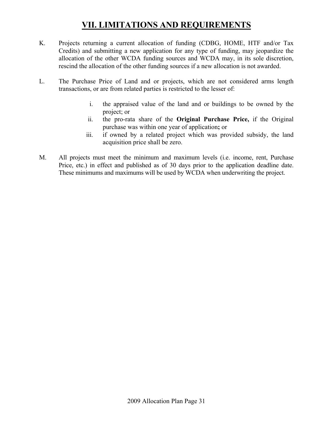- K. Projects returning a current allocation of funding (CDBG, HOME, HTF and/or Tax Credits) and submitting a new application for any type of funding, may jeopardize the allocation of the other WCDA funding sources and WCDA may, in its sole discretion, rescind the allocation of the other funding sources if a new allocation is not awarded.
- L. The Purchase Price of Land and or projects, which are not considered arms length transactions, or are from related parties is restricted to the lesser of:
	- i. the appraised value of the land and or buildings to be owned by the project; or
	- ii. the pro-rata share of the **Original Purchase Price,** if the Original purchase was within one year of application**;** or
	- iii. if owned by a related project which was provided subsidy, the land acquisition price shall be zero.
- M. All projects must meet the minimum and maximum levels (i.e. income, rent, Purchase Price, etc.) in effect and published as of 30 days prior to the application deadline date. These minimums and maximums will be used by WCDA when underwriting the project.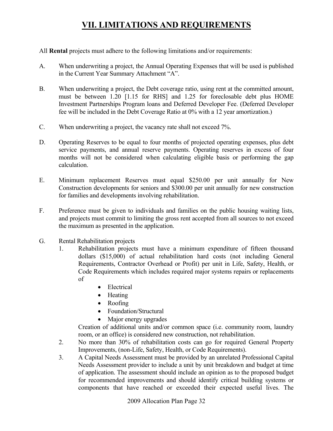All **Rental** projects must adhere to the following limitations and/or requirements:

- A. When underwriting a project, the Annual Operating Expenses that will be used is published in the Current Year Summary Attachment "A".
- B. When underwriting a project, the Debt coverage ratio, using rent at the committed amount, must be between 1.20 [1.15 for RHS] and 1.25 for foreclosable debt plus HOME Investment Partnerships Program loans and Deferred Developer Fee. (Deferred Developer fee will be included in the Debt Coverage Ratio at 0% with a 12 year amortization.)
- C. When underwriting a project, the vacancy rate shall not exceed 7%.
- D. Operating Reserves to be equal to four months of projected operating expenses, plus debt service payments, and annual reserve payments. Operating reserves in excess of four months will not be considered when calculating eligible basis or performing the gap calculation.
- E. Minimum replacement Reserves must equal \$250.00 per unit annually for New Construction developments for seniors and \$300.00 per unit annually for new construction for families and developments involving rehabilitation.
- F. Preference must be given to individuals and families on the public housing waiting lists, and projects must commit to limiting the gross rent accepted from all sources to not exceed the maximum as presented in the application.
- G. Rental Rehabilitation projects
	- 1. Rehabilitation projects must have a minimum expenditure of fifteen thousand dollars (\$15,000) of actual rehabilitation hard costs (not including General Requirements, Contractor Overhead or Profit) per unit in Life, Safety, Health, or Code Requirements which includes required major systems repairs or replacements of
		- Electrical
		- Heating
		- Roofing
		- Foundation/Structural
		- Major energy upgrades

Creation of additional units and/or common space (i.e. community room, laundry room, or an office) is considered new construction, not rehabilitation.

- 2. No more than 30% of rehabilitation costs can go for required General Property Improvements, (non-Life, Safety, Health, or Code Requirements).
- 3. A Capital Needs Assessment must be provided by an unrelated Professional Capital Needs Assessment provider to include a unit by unit breakdown and budget at time of application. The assessment should include an opinion as to the proposed budget for recommended improvements and should identify critical building systems or components that have reached or exceeded their expected useful lives. The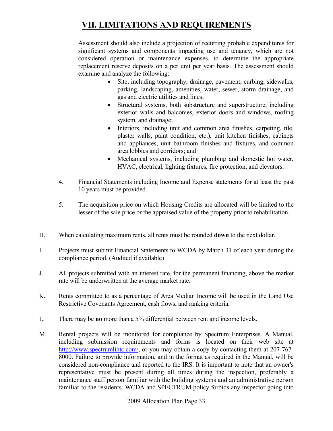Assessment should also include a projection of recurring probable expenditures for significant systems and components impacting use and tenancy, which are not considered operation or maintenance expenses, to determine the appropriate replacement reserve deposits on a per unit per year basis. The assessment should examine and analyze the following:

- Site, including topography, drainage, pavement, curbing, sidewalks, parking, landscaping, amenities, water, sewer, storm drainage, and gas and electric utilities and lines;
- Structural systems, both substructure and superstructure, including exterior walls and balconies, exterior doors and windows, roofing system, and drainage;
- Interiors, including unit and common area finishes, carpeting, tile, plaster walls, paint condition, etc.), unit kitchen finishes, cabinets and appliances, unit bathroom finishes and fixtures, and common area lobbies and corridors; and
- Mechanical systems, including plumbing and domestic hot water, HVAC, electrical, lighting fixtures, fire protection, and elevators.
- 4. Financial Statements including Income and Expense statements for at least the past 10 years must be provided.
- 5. The acquisition price on which Housing Credits are allocated will be limited to the lesser of the sale price or the appraised value of the property prior to rehabilitation.
- H. When calculating maximum rents, all rents must be rounded **down** to the next dollar.
- I. Projects must submit Financial Statements to WCDA by March 31 of each year during the compliance period. (Audited if available)
- J. All projects submitted with an interest rate, for the permanent financing, above the market rate will be underwritten at the average market rate.
- K. Rents committed to as a percentage of Area Median Income will be used in the Land Use Restrictive Covenants Agreement, cash flows, and ranking criteria.
- L. There may be **no** more than a 5% differential between rent and income levels.
- M. Rental projects will be monitored for compliance by Spectrum Enterprises. A Manual, including submission requirements and forms is located on their web site at http://www.spectrumlihtc.com/, or you may obtain a copy by contacting them at 207-767-8000. Failure to provide information, and in the format as required in the Manual, will be considered non-compliance and reported to the IRS. It is important to note that an owner's representative must be present during all times during the inspection, preferably a maintenance staff person familiar with the building systems and an administrative person familiar to the residents. WCDA and SPECTRUM policy forbids any inspector going into

2009 Allocation Plan Page 33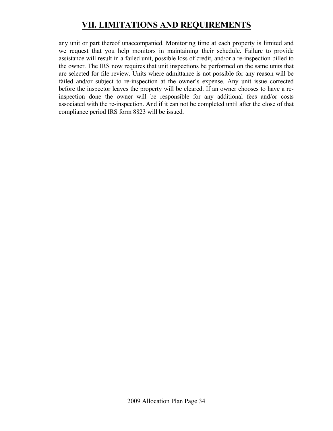any unit or part thereof unaccompanied. Monitoring time at each property is limited and we request that you help monitors in maintaining their schedule. Failure to provide assistance will result in a failed unit, possible loss of credit, and/or a re-inspection billed to the owner. The IRS now requires that unit inspections be performed on the same units that are selected for file review. Units where admittance is not possible for any reason will be failed and/or subject to re-inspection at the owner's expense. Any unit issue corrected before the inspector leaves the property will be cleared. If an owner chooses to have a reinspection done the owner will be responsible for any additional fees and/or costs associated with the re-inspection. And if it can not be completed until after the close of that compliance period IRS form 8823 will be issued.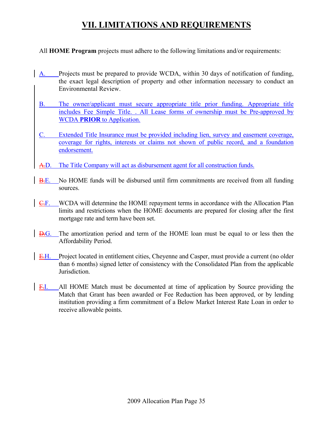All **HOME Program** projects must adhere to the following limitations and/or requirements:

- A. Projects must be prepared to provide WCDA, within 30 days of notification of funding, the exact legal description of property and other information necessary to conduct an Environmental Review.
- B. The owner/applicant must secure appropriate title prior funding. Appropriate title includes Fee Simple Title. . All Lease forms of ownership must be Pre-approved by WCDA **PRIOR** to Application.
- C. Extended Title Insurance must be provided including lien, survey and easement coverage, coverage for rights, interests or claims not shown of public record, and a foundation endorsement.
- A.D. The Title Company will act as disbursement agent for all construction funds.
- B.E. No HOME funds will be disbursed until firm commitments are received from all funding sources.
- $C.F.$  WCDA will determine the HOME repayment terms in accordance with the Allocation Plan limits and restrictions when the HOME documents are prepared for closing after the first mortgage rate and term have been set.
- D.G. The amortization period and term of the HOME loan must be equal to or less then the Affordability Period.
- E.H. Project located in entitlement cities, Cheyenne and Casper, must provide a current (no older than 6 months) signed letter of consistency with the Consolidated Plan from the applicable Jurisdiction.
- F.I. All HOME Match must be documented at time of application by Source providing the Match that Grant has been awarded or Fee Reduction has been approved, or by lending institution providing a firm commitment of a Below Market Interest Rate Loan in order to receive allowable points.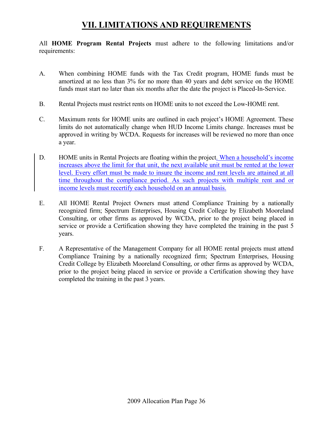All **HOME Program Rental Projects** must adhere to the following limitations and/or requirements:

- A. When combining HOME funds with the Tax Credit program, HOME funds must be amortized at no less than 3% for no more than 40 years and debt service on the HOME funds must start no later than six months after the date the project is Placed-In-Service.
- B. Rental Projects must restrict rents on HOME units to not exceed the Low-HOME rent.
- C. Maximum rents for HOME units are outlined in each project's HOME Agreement. These limits do not automatically change when HUD Income Limits change. Increases must be approved in writing by WCDA. Requests for increases will be reviewed no more than once a year.
- D. HOME units in Rental Projects are floating within the project. When a household's income increases above the limit for that unit, the next available unit must be rented at the lower level. Every effort must be made to insure the income and rent levels are attained at all time throughout the compliance period. As such projects with multiple rent and or income levels must recertify each household on an annual basis.
- E. All HOME Rental Project Owners must attend Compliance Training by a nationally recognized firm; Spectrum Enterprises, Housing Credit College by Elizabeth Mooreland Consulting, or other firms as approved by WCDA, prior to the project being placed in service or provide a Certification showing they have completed the training in the past 5 years.
- F. A Representative of the Management Company for all HOME rental projects must attend Compliance Training by a nationally recognized firm; Spectrum Enterprises, Housing Credit College by Elizabeth Mooreland Consulting, or other firms as approved by WCDA, prior to the project being placed in service or provide a Certification showing they have completed the training in the past 3 years.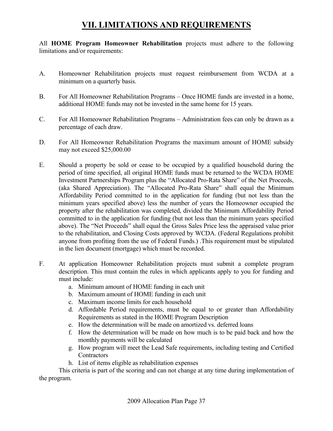All **HOME Program Homeowner Rehabilitation** projects must adhere to the following limitations and/or requirements:

- A. Homeowner Rehabilitation projects must request reimbursement from WCDA at a minimum on a quarterly basis.
- B. For All Homeowner Rehabilitation Programs Once HOME funds are invested in a home, additional HOME funds may not be invested in the same home for 15 years.
- C. For All Homeowner Rehabilitation Programs Administration fees can only be drawn as a percentage of each draw.
- D. For All Homeowner Rehabilitation Programs the maximum amount of HOME subsidy may not exceed \$25,000.00
- E. Should a property be sold or cease to be occupied by a qualified household during the period of time specified, all original HOME funds must be returned to the WCDA HOME Investment Partnerships Program plus the "Allocated Pro-Rata Share" of the Net Proceeds, (aka Shared Appreciation). The "Allocated Pro-Rata Share" shall equal the Minimum Affordability Period committed to in the application for funding (but not less than the minimum years specified above) less the number of years the Homeowner occupied the property after the rehabilitation was completed, divided the Minimum Affordability Period committed to in the application for funding (but not less than the minimum years specified above). The "Net Proceeds" shall equal the Gross Sales Price less the appraised value prior to the rehabilitation, and Closing Costs approved by WCDA. (Federal Regulations prohibit anyone from profiting from the use of Federal Funds.) .This requirement must be stipulated in the lien document (mortgage) which must be recorded.
- F. At application Homeowner Rehabilitation projects must submit a complete program description. This must contain the rules in which applicants apply to you for funding and must include:
	- a. Minimum amount of HOME funding in each unit
	- b. Maximum amount of HOME funding in each unit
	- c. Maximum income limits for each household
	- d. Affordable Period requirements, must be equal to or greater than Affordability Requirements as stated in the HOME Program Description
	- e. How the determination will be made on amortized vs. deferred loans
	- f. How the determination will be made on how much is to be paid back and how the monthly payments will be calculated
	- g. How program will meet the Lead Safe requirements, including testing and Certified **Contractors**
	- h. List of items eligible as rehabilitation expenses

 This criteria is part of the scoring and can not change at any time during implementation of the program.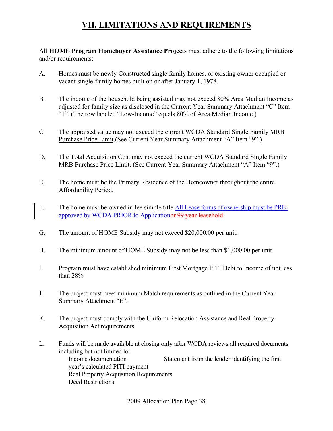All **HOME Program Homebuyer Assistance Projects** must adhere to the following limitations and/or requirements:

- A. Homes must be newly Constructed single family homes, or existing owner occupied or vacant single-family homes built on or after January 1, 1978.
- B. The income of the household being assisted may not exceed 80% Area Median Income as adjusted for family size as disclosed in the Current Year Summary Attachment "C" Item "1". (The row labeled "Low-Income" equals 80% of Area Median Income.)
- C. The appraised value may not exceed the current WCDA Standard Single Family MRB Purchase Price Limit.(See Current Year Summary Attachment "A" Item "9".)
- D. The Total Acquisition Cost may not exceed the current WCDA Standard Single Family MRB Purchase Price Limit. (See Current Year Summary Attachment "A" Item "9".)
- E. The home must be the Primary Residence of the Homeowner throughout the entire Affordability Period.
- F. The home must be owned in fee simple title All Lease forms of ownership must be PREapproved by WCDA PRIOR to Applicationor 99 year leasehold.
- G. The amount of HOME Subsidy may not exceed \$20,000.00 per unit.
- H. The minimum amount of HOME Subsidy may not be less than \$1,000.00 per unit.
- I. Program must have established minimum First Mortgage PITI Debt to Income of not less than 28%
- J. The project must meet minimum Match requirements as outlined in the Current Year Summary Attachment "E".
- K. The project must comply with the Uniform Relocation Assistance and Real Property Acquisition Act requirements.
- L. Funds will be made available at closing only after WCDA reviews all required documents including but not limited to:

Income documentation Statement from the lender identifying the first year's calculated PITI payment Real Property Acquisition Requirements Deed Restrictions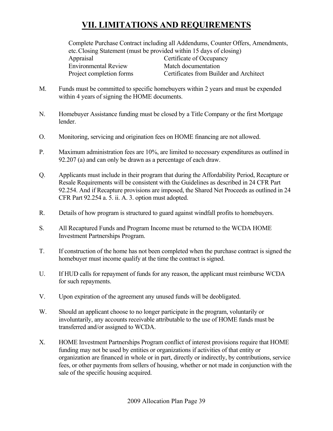Complete Purchase Contract including all Addendums, Counter Offers, Amendments, etc. Closing Statement (must be provided within 15 days of closing) Appraisal Certificate of Occupancy

Environmental Review Match documentation

Project completion forms Certificates from Builder and Architect

- M. Funds must be committed to specific homebuyers within 2 years and must be expended within 4 years of signing the HOME documents.
- N. Homebuyer Assistance funding must be closed by a Title Company or the first Mortgage lender.
- O. Monitoring, servicing and origination fees on HOME financing are not allowed.
- P. Maximum administration fees are 10%, are limited to necessary expenditures as outlined in 92.207 (a) and can only be drawn as a percentage of each draw.
- Q. Applicants must include in their program that during the Affordability Period, Recapture or Resale Requirements will be consistent with the Guidelines as described in 24 CFR Part 92.254. And if Recapture provisions are imposed, the Shared Net Proceeds as outlined in 24 CFR Part 92.254 a. 5. ii. A. 3. option must adopted.
- R. Details of how program is structured to guard against windfall profits to homebuyers.
- S. All Recaptured Funds and Program Income must be returned to the WCDA HOME Investment Partnerships Program.
- T. If construction of the home has not been completed when the purchase contract is signed the homebuyer must income qualify at the time the contract is signed.
- U. If HUD calls for repayment of funds for any reason, the applicant must reimburse WCDA for such repayments.
- V. Upon expiration of the agreement any unused funds will be deobligated.
- W. Should an applicant choose to no longer participate in the program, voluntarily or involuntarily, any accounts receivable attributable to the use of HOME funds must be transferred and/or assigned to WCDA.
- X. HOME Investment Partnerships Program conflict of interest provisions require that HOME funding may not be used by entities or organizations if activities of that entity or organization are financed in whole or in part, directly or indirectly, by contributions, service fees, or other payments from sellers of housing, whether or not made in conjunction with the sale of the specific housing acquired.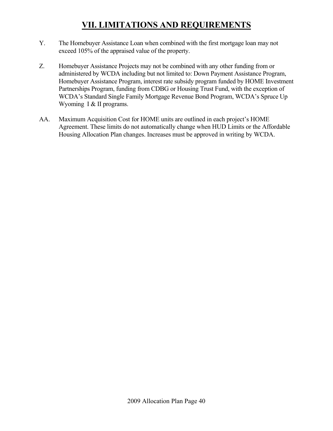- Y. The Homebuyer Assistance Loan when combined with the first mortgage loan may not exceed 105% of the appraised value of the property.
- Z. Homebuyer Assistance Projects may not be combined with any other funding from or administered by WCDA including but not limited to: Down Payment Assistance Program, Homebuyer Assistance Program, interest rate subsidy program funded by HOME Investment Partnerships Program, funding from CDBG or Housing Trust Fund, with the exception of WCDA's Standard Single Family Mortgage Revenue Bond Program, WCDA's Spruce Up Wyoming I & II programs.
- AA. Maximum Acquisition Cost for HOME units are outlined in each project's HOME Agreement. These limits do not automatically change when HUD Limits or the Affordable Housing Allocation Plan changes. Increases must be approved in writing by WCDA.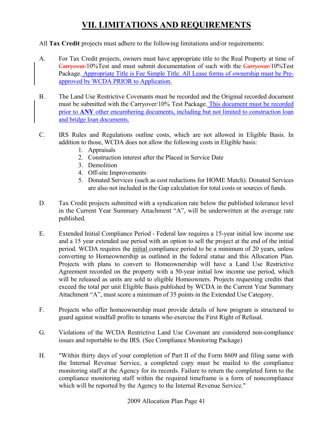#### All **Tax Credit** projects must adhere to the following limitations and/or requirements:

- A. For Tax Credit projects, owners must have appropriate title to the Real Property at time of Carryover/10%Test and must submit documentation of such with the Carryover/10%Test Package. Appropriate Title is Fee Simple Title. All Lease forms of ownership must be Preapproved by WCDA PRIOR to Application.
- B. The Land Use Restrictive Covenants must be recorded and the Original recorded document must be submitted with the Carryover/10% Test Package. This document must be recorded prior to **ANY** other encumbering documents, including but not limited to construction loan and bridge loan documents.
- C. IRS Rules and Regulations outline costs, which are not allowed in Eligible Basis. In addition to those, WCDA does not allow the following costs in Eligible basis:
	- 1. Appraisals
	- 2. Construction interest after the Placed in Service Date
	- 3. Demolition
	- 4. Off-site Improvements
	- 5. Donated Services (such as cost reductions for HOME Match). Donated Services are also not included in the Gap calculation for total costs or sources of funds.
- D. Tax Credit projects submitted with a syndication rate below the published tolerance level in the Current Year Summary Attachment "A", will be underwritten at the average rate published.
- E. Extended Initial Compliance Period Federal law requires a 15-year initial low income use and a 15 year extended use period with an option to sell the project at the end of the initial period. WCDA requires the initial compliance period to be a minimum of 20 years, unless converting to Homeownership as outlined in the federal statue and this Allocation Plan. Projects with plans to convert to Homeownership will have a Land Use Restrictive Agreement recorded on the property with a 50-year initial low income use period, which will be released as units are sold to eligible Homeowners. Projects requesting credits that exceed the total per unit Eligible Basis published by WCDA in the Current Year Summary Attachment "A", must score a minimum of 35 points in the Extended Use Category.
- F. Projects who offer homeownership must provide details of how program is structured to guard against windfall profits to tenants who exercise the First Right of Refusal.
- G. Violations of the WCDA Restrictive Land Use Covenant are considered non-compliance issues and reportable to the IRS. (See Compliance Monitoring Package)
- H. "Within thirty days of your completion of Part II of the Form 8609 and filing same with the Internal Revenue Service, a completed copy must be mailed to the compliance monitoring staff at the Agency for its records. Failure to return the completed form to the compliance monitoring staff within the required timeframe is a form of noncompliance which will be reported by the Agency to the Internal Revenue Service."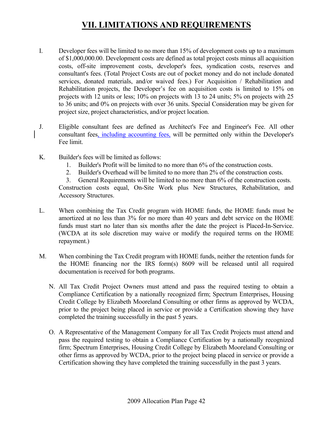- I. Developer fees will be limited to no more than 15% of development costs up to a maximum of \$1,000,000.00. Development costs are defined as total project costs minus all acquisition costs, off-site improvement costs, developer's fees, syndication costs, reserves and consultant's fees. (Total Project Costs are out of pocket money and do not include donated services, donated materials, and/or waived fees.) For Acquisition / Rehabilitation and Rehabilitation projects, the Developer's fee on acquisition costs is limited to 15% on projects with 12 units or less; 10% on projects with 13 to 24 units; 5% on projects with 25 to 36 units; and 0% on projects with over 36 units. Special Consideration may be given for project size, project characteristics, and/or project location.
- J. Eligible consultant fees are defined as Architect's Fee and Engineer's Fee. All other consultant fees, including accounting fees, will be permitted only within the Developer's Fee limit.
- K. Builder's fees will be limited as follows:
	- 1. Builder's Profit will be limited to no more than 6% of the construction costs.
	- 2. Builder's Overhead will be limited to no more than 2% of the construction costs.
	- 3. General Requirements will be limited to no more than 6% of the construction costs. Construction costs equal, On-Site Work plus New Structures, Rehabilitation, and Accessory Structures.
- L. When combining the Tax Credit program with HOME funds, the HOME funds must be amortized at no less than 3% for no more than 40 years and debt service on the HOME funds must start no later than six months after the date the project is Placed-In-Service. (WCDA at its sole discretion may waive or modify the required terms on the HOME repayment.)
- M. When combining the Tax Credit program with HOME funds, neither the retention funds for the HOME financing nor the IRS form(s) 8609 will be released until all required documentation is received for both programs.
	- N. All Tax Credit Project Owners must attend and pass the required testing to obtain a Compliance Certification by a nationally recognized firm; Spectrum Enterprises, Housing Credit College by Elizabeth Mooreland Consulting or other firms as approved by WCDA, prior to the project being placed in service or provide a Certification showing they have completed the training successfully in the past 5 years.
	- O. A Representative of the Management Company for all Tax Credit Projects must attend and pass the required testing to obtain a Compliance Certification by a nationally recognized firm; Spectrum Enterprises, Housing Credit College by Elizabeth Mooreland Consulting or other firms as approved by WCDA, prior to the project being placed in service or provide a Certification showing they have completed the training successfully in the past 3 years.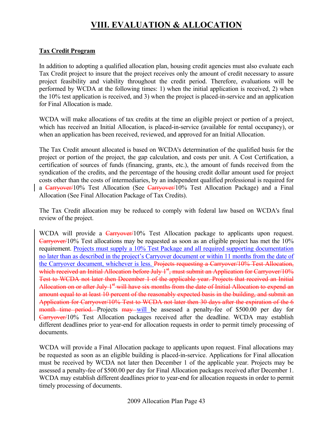# **VIII. EVALUATION & ALLOCATION**

#### **Tax Credit Program**

In addition to adopting a qualified allocation plan, housing credit agencies must also evaluate each Tax Credit project to insure that the project receives only the amount of credit necessary to assure project feasibility and viability throughout the credit period. Therefore, evaluations will be performed by WCDA at the following times: 1) when the initial application is received, 2) when the 10% test application is received, and 3) when the project is placed-in-service and an application for Final Allocation is made.

WCDA will make allocations of tax credits at the time an eligible project or portion of a project, which has received an Initial Allocation, is placed-in-service (available for rental occupancy), or when an application has been received, reviewed, and approved for an Initial Allocation.

The Tax Credit amount allocated is based on WCDA's determination of the qualified basis for the project or portion of the project, the gap calculation, and costs per unit. A Cost Certification, a certification of sources of funds (financing, grants, etc.), the amount of funds received from the syndication of the credits, and the percentage of the housing credit dollar amount used for project costs other than the costs of intermediaries, by an independent qualified professional is required for a Carryover/10% Test Allocation (See Carryover/10% Test Allocation Package) and a Final Allocation (See Final Allocation Package of Tax Credits).

The Tax Credit allocation may be reduced to comply with federal law based on WCDA's final review of the project.

WCDA will provide a Carryover/10% Test Allocation package to applicants upon request. Carryover/10% Test allocations may be requested as soon as an eligible project has met the 10% requirement. Projects must supply a 10% Test Package and all required supporting documentation no later than as described in the project's Carryover document or within 11 months from the date of the Carryover document, whichever is less. Projects requesting a Carryover/10% Test Allocation, which received an Initial Allocation before July  $1<sup>st</sup>$ , must submit an Application for Carryover/10% Test to WCDA not later then December 1 of the applicable year. Projects that received an Initial Allocation on or after July  $1<sup>st</sup>$  will have six months from the date of Initial Allocation to expend an amount equal to at least 10 percent of the reasonably expected basis in the building, and submit an Application for Carryover/10% Test to WCDA not later then 30 days after the expiration of the 6 month time period. Projects may will be assessed a penalty-fee of \$500.00 per day for Carryover/10% Test Allocation packages received after the deadline. WCDA may establish different deadlines prior to year-end for allocation requests in order to permit timely processing of documents.

WCDA will provide a Final Allocation package to applicants upon request. Final allocations may be requested as soon as an eligible building is placed-in-service. Applications for Final allocation must be received by WCDA not later then December 1 of the applicable year. Projects may be assessed a penalty-fee of \$500.00 per day for Final Allocation packages received after December 1. WCDA may establish different deadlines prior to year-end for allocation requests in order to permit timely processing of documents.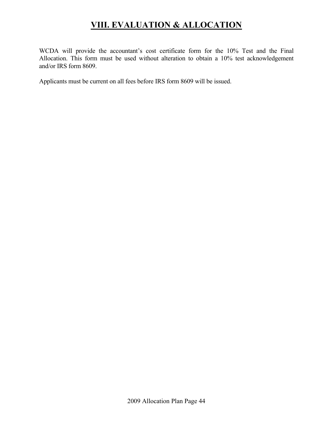## **VIII. EVALUATION & ALLOCATION**

WCDA will provide the accountant's cost certificate form for the 10% Test and the Final Allocation. This form must be used without alteration to obtain a 10% test acknowledgement and/or IRS form 8609.

Applicants must be current on all fees before IRS form 8609 will be issued.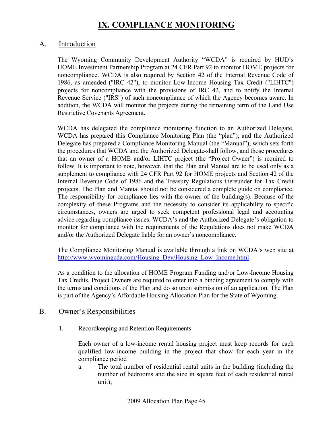#### A. Introduction

The Wyoming Community Development Authority "WCDA" is required by HUD's HOME Investment Partnership Program at 24 CFR Part 92 to monitor HOME projects for noncompliance. WCDA is also required by Section 42 of the Internal Revenue Code of 1986, as amended ("IRC 42"), to monitor Low-Income Housing Tax Credit ("LIHTC") projects for noncompliance with the provisions of IRC 42, and to notify the Internal Revenue Service ("IRS") of such noncompliance of which the Agency becomes aware. In addition, the WCDA will monitor the projects during the remaining term of the Land Use Restrictive Covenants Agreement.

WCDA has delegated the compliance monitoring function to an Authorized Delegate. WCDA has prepared this Compliance Monitoring Plan (the "plan"), and the Authorized Delegate has prepared a Compliance Monitoring Manual (the "Manual"), which sets forth the procedures that WCDA and the Authorized Delegate shall follow, and those procedures that an owner of a HOME and/or LIHTC project (the "Project Owner") is required to follow. It is important to note, however, that the Plan and Manual are to be used only as a supplement to compliance with 24 CFR Part 92 for HOME projects and Section 42 of the Internal Revenue Code of 1986 and the Treasury Regulations thereunder for Tax Credit projects. The Plan and Manual should not be considered a complete guide on compliance. The responsibility for compliance lies with the owner of the building(s). Because of the complexity of these Programs and the necessity to consider its applicability to specific circumstances, owners are urged to seek competent professional legal and accounting advice regarding compliance issues. WCDA's and the Authorized Delegate's obligation to monitor for compliance with the requirements of the Regulations does not make WCDA and/or the Authorized Delegate liable for an owner's noncompliance.

The Compliance Monitoring Manual is available through a link on WCDA's web site at http://www.wyomingcda.com/Housing\_Dev/Housing\_Low\_Income.html

As a condition to the allocation of HOME Program Funding and/or Low-Income Housing Tax Credits, Project Owners are required to enter into a binding agreement to comply with the terms and conditions of the Plan and do so upon submission of an application. The Plan is part of the Agency's Affordable Housing Allocation Plan for the State of Wyoming.

#### B. Owner's Responsibilities

1. Recordkeeping and Retention Requirements

Each owner of a low-income rental housing project must keep records for each qualified low-income building in the project that show for each year in the compliance period

a. The total number of residential rental units in the building (including the number of bedrooms and the size in square feet of each residential rental unit);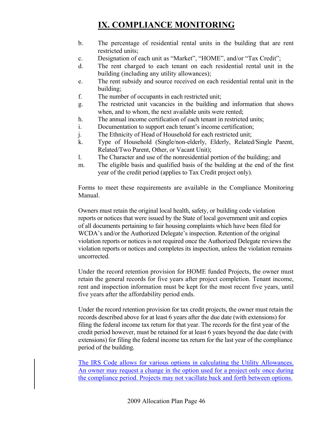- b. The percentage of residential rental units in the building that are rent restricted units;
- c. Designation of each unit as "Market", "HOME", and/or "Tax Credit";
- d. The rent charged to each tenant on each residential rental unit in the building (including any utility allowances);
- e. The rent subsidy and source received on each residential rental unit in the building;
- f. The number of occupants in each restricted unit;
- g. The restricted unit vacancies in the building and information that shows when, and to whom, the next available units were rented;
- h. The annual income certification of each tenant in restricted units;
- i. Documentation to support each tenant's income certification;
- j. The Ethnicity of Head of Household for each restricted unit;
- k. Type of Household (Single/non-elderly, Elderly, Related/Single Parent, Related/Two Parent, Other, or Vacant Unit);
- l. The Character and use of the nonresidential portion of the building; and
- m. The eligible basis and qualified basis of the building at the end of the first year of the credit period (applies to Tax Credit project only).

Forms to meet these requirements are available in the Compliance Monitoring Manual.

Owners must retain the original local health, safety, or building code violation reports or notices that were issued by the State of local government unit and copies of all documents pertaining to fair housing complaints which have been filed for WCDA's and/or the Authorized Delegate's inspection. Retention of the original violation reports or notices is not required once the Authorized Delegate reviews the violation reports or notices and completes its inspection, unless the violation remains uncorrected.

Under the record retention provision for HOME funded Projects, the owner must retain the general records for five years after project completion. Tenant income, rent and inspection information must be kept for the most recent five years, until five years after the affordability period ends.

Under the record retention provision for tax credit projects, the owner must retain the records described above for at least 6 years after the due date (with extensions) for filing the federal income tax return for that year. The records for the first year of the credit period however, must be retained for at least 6 years beyond the due date (with extensions) for filing the federal income tax return for the last year of the compliance period of the building.

The IRS Code allows for various options in calculating the Utility Allowances. An owner may request a change in the option used for a project only once during the compliance period. Projects may not vacillate back and forth between options.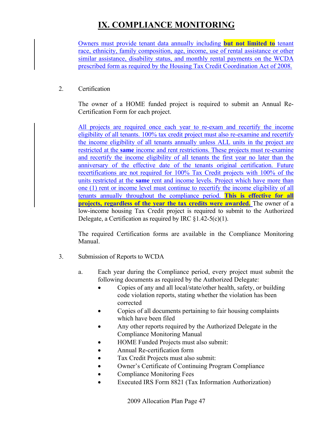Owners must provide tenant data annually including **but not limited to** tenant race, ethnicity, family composition, age, income, use of rental assistance or other similar assistance, disability status, and monthly rental payments on the WCDA prescribed form as required by the Housing Tax Credit Coordination Act of 2008.

#### 2. Certification

 The owner of a HOME funded project is required to submit an Annual Re-Certification Form for each project.

All projects are required once each year to re-exam and recertify the income eligibility of all tenants. 100% tax credit project must also re-examine and recertify the income eligibility of all tenants annually unless ALL units in the project are restricted at the **same** income and rent restrictions. These projects must re-examine and recertify the income eligibility of all tenants the first year no later than the anniversary of the effective date of the tenants original certification. Future recertifications are not required for 100% Tax Credit projects with 100% of the units restricted at the **same** rent and income levels. Project which have more than one (1) rent or income level must continue to recertify the income eligibility of all tenants annually throughout the compliance period. **This is effective for all projects, regardless of the year the tax credits were awarded.** The owner of a low-income housing Tax Credit project is required to submit to the Authorized Delegate, a Certification as required by IRC  $\S1.42-5(c)(1)$ .

 The required Certification forms are available in the Compliance Monitoring Manual.

- 3. Submission of Reports to WCDA
	- a. Each year during the Compliance period, every project must submit the following documents as required by the Authorized Delegate:
		- Copies of any and all local/state/other health, safety, or building code violation reports, stating whether the violation has been corrected
		- Copies of all documents pertaining to fair housing complaints which have been filed
		- Any other reports required by the Authorized Delegate in the Compliance Monitoring Manual
		- HOME Funded Projects must also submit:
		- Annual Re-certification form
		- Tax Credit Projects must also submit:
		- Owner's Certificate of Continuing Program Compliance
		- Compliance Monitoring Fees
		- Executed IRS Form 8821 (Tax Information Authorization)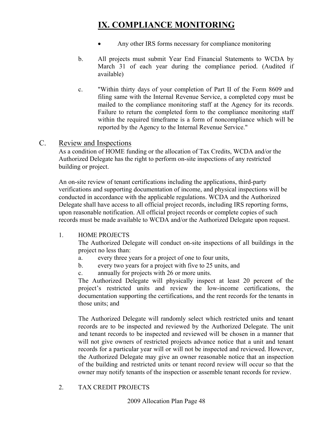- Any other IRS forms necessary for compliance monitoring
- b. All projects must submit Year End Financial Statements to WCDA by March 31 of each year during the compliance period. (Audited if available)
- c. "Within thirty days of your completion of Part II of the Form 8609 and filing same with the Internal Revenue Service, a completed copy must be mailed to the compliance monitoring staff at the Agency for its records. Failure to return the completed form to the compliance monitoring staff within the required timeframe is a form of noncompliance which will be reported by the Agency to the Internal Revenue Service."

#### C. Review and Inspections

As a condition of HOME funding or the allocation of Tax Credits, WCDA and/or the Authorized Delegate has the right to perform on-site inspections of any restricted building or project.

An on-site review of tenant certifications including the applications, third-party verifications and supporting documentation of income, and physical inspections will be conducted in accordance with the applicable regulations. WCDA and the Authorized Delegate shall have access to all official project records, including IRS reporting forms, upon reasonable notification. All official project records or complete copies of such records must be made available to WCDA and/or the Authorized Delegate upon request.

#### 1. HOME PROJECTS

The Authorized Delegate will conduct on-site inspections of all buildings in the project no less than:

- a. every three years for a project of one to four units,
- b. every two years for a project with five to 25 units, and
- c. annually for projects with 26 or more units.

The Authorized Delegate will physically inspect at least 20 percent of the project's restricted units and review the low-income certifications, the documentation supporting the certifications, and the rent records for the tenants in those units; and

The Authorized Delegate will randomly select which restricted units and tenant records are to be inspected and reviewed by the Authorized Delegate. The unit and tenant records to be inspected and reviewed will be chosen in a manner that will not give owners of restricted projects advance notice that a unit and tenant records for a particular year will or will not be inspected and reviewed. However, the Authorized Delegate may give an owner reasonable notice that an inspection of the building and restricted units or tenant record review will occur so that the owner may notify tenants of the inspection or assemble tenant records for review.

#### 2. TAX CREDIT PROJECTS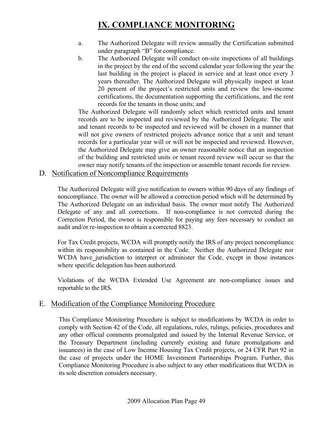- a. The Authorized Delegate will review annually the Certification submitted under paragraph "B" for compliance.
- b. The Authorized Delegate will conduct on-site inspections of all buildings in the project by the end of the second calendar year following the year the last building in the project is placed in service and at least once every 3 years thereafter. The Authorized Delegate will physically inspect at least 20 percent of the project's restricted units and review the low-income certifications, the documentation supporting the certifications, and the rent records for the tenants in those units; and

The Authorized Delegate will randomly select which restricted units and tenant records are to be inspected and reviewed by the Authorized Delegate. The unit and tenant records to be inspected and reviewed will be chosen in a manner that will not give owners of restricted projects advance notice that a unit and tenant records for a particular year will or will not be inspected and reviewed. However, the Authorized Delegate may give an owner reasonable notice that an inspection of the building and restricted units or tenant record review will occur so that the owner may notify tenants of the inspection or assemble tenant records for review.

## D. Notification of Noncompliance Requirements

The Authorized Delegate will give notification to owners within 90 days of any findings of noncompliance. The owner will be allowed a correction period which will be determined by The Authorized Delegate on an individual basis. The owner must notify The Authorized Delegate of any and all corrections. If non-compliance is not corrected during the Correction Period, the owner is responsible for paying any fees necessary to conduct an audit and/or re-inspection to obtain a corrected 8823.

For Tax Credit projects, WCDA will promptly notify the IRS of any project noncompliance within its responsibility as contained in the Code. Neither the Authorized Delegate nor WCDA have jurisdiction to interpret or administer the Code, except in those instances where specific delegation has been authorized.

Violations of the WCDA Extended Use Agreement are non-compliance issues and reportable to the IRS.

## E. Modification of the Compliance Monitoring Procedure

This Compliance Monitoring Procedure is subject to modifications by WCDA in order to comply with Section 42 of the Code, all regulations, rules, rulings, policies, procedures and any other official comments promulgated and issued by the Internal Revenue Service, or the Treasury Department (including currently existing and future promulgations and issuances) in the case of Low Income Housing Tax Credit projects, or 24 CFR Part 92 in the case of projects under the HOME Investment Partnerships Program. Further, this Compliance Monitoring Procedure is also subject to any other modifications that WCDA in its sole discretion considers necessary.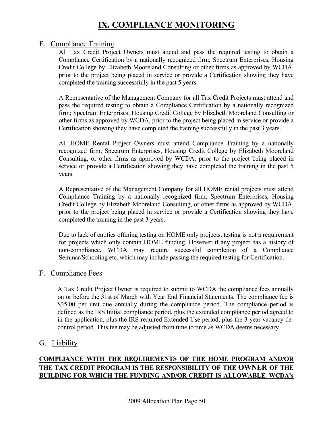#### F. Compliance Training

All Tax Credit Project Owners must attend and pass the required testing to obtain a Compliance Certification by a nationally recognized firm; Spectrum Enterprises, Housing Credit College by Elizabeth Mooreland Consulting or other firms as approved by WCDA, prior to the project being placed in service or provide a Certification showing they have completed the training successfully in the past 5 years.

A Representative of the Management Company for all Tax Credit Projects must attend and pass the required testing to obtain a Compliance Certification by a nationally recognized firm; Spectrum Enterprises, Housing Credit College by Elizabeth Mooreland Consulting or other firms as approved by WCDA, prior to the project being placed in service or provide a Certification showing they have completed the training successfully in the past 3 years.

All HOME Rental Project Owners must attend Compliance Training by a nationally recognized firm; Spectrum Enterprises, Housing Credit College by Elizabeth Mooreland Consulting, or other firms as approved by WCDA, prior to the project being placed in service or provide a Certification showing they have completed the training in the past 5 years.

A Representative of the Management Company for all HOME rental projects must attend Compliance Training by a nationally recognized firm; Spectrum Enterprises, Housing Credit College by Elizabeth Mooreland Consulting, or other firms as approved by WCDA, prior to the project being placed in service or provide a Certification showing they have completed the training in the past 3 years.

Due to lack of entities offering testing on HOME only projects, testing is not a requirement for projects which only contain HOME funding. However if any project has a history of non-compliance, WCDA may require successful completion of a Compliance Seminar/Schooling etc. which may include passing the required testing for Certification.

## F. Compliance Fees

A Tax Credit Project Owner is required to submit to WCDA the compliance fees annually on or before the 31st of March with Year End Financial Statements. The compliance fee is \$35.00 per unit due annually during the compliance period. The compliance period is defined as the IRS Initial compliance period, plus the extended compliance period agreed to in the application, plus the IRS required Extended Use period, plus the 3 year vacancy decontrol period. This fee may be adjusted from time to time as WCDA deems necessary.

### G. Liability

### **COMPLIANCE WITH THE REQUIREMENTS OF THE HOME PROGRAM AND/OR THE TAX CREDIT PROGRAM IS THE RESPONSIBILITY OF THE OWNER OF THE BUILDING FOR WHICH THE FUNDING AND/OR CREDIT IS ALLOWABLE. WCDA's**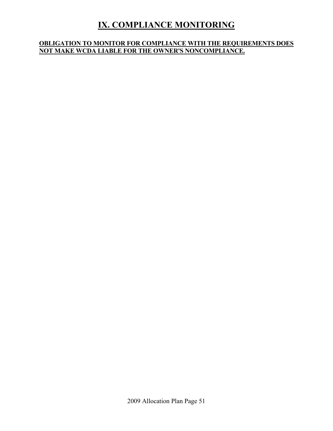### **OBLIGATION TO MONITOR FOR COMPLIANCE WITH THE REQUIREMENTS DOES NOT MAKE WCDA LIABLE FOR THE OWNER'S NONCOMPLIANCE.**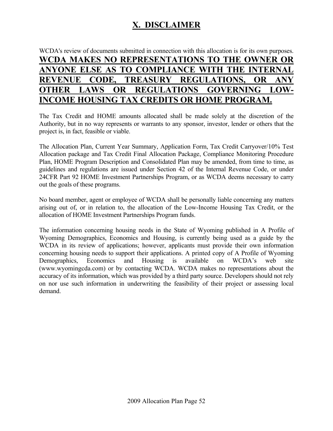## **X. DISCLAIMER**

## WCDA's review of documents submitted in connection with this allocation is for its own purposes. **WCDA MAKES NO REPRESENTATIONS TO THE OWNER OR ANYONE ELSE AS TO COMPLIANCE WITH THE INTERNAL REVENUE CODE, TREASURY REGULATIONS, OR ANY OTHER LAWS OR REGULATIONS GOVERNING LOW-INCOME HOUSING TAX CREDITS OR HOME PROGRAM.**

The Tax Credit and HOME amounts allocated shall be made solely at the discretion of the Authority, but in no way represents or warrants to any sponsor, investor, lender or others that the project is, in fact, feasible or viable.

The Allocation Plan, Current Year Summary, Application Form, Tax Credit Carryover/10% Test Allocation package and Tax Credit Final Allocation Package, Compliance Monitoring Procedure Plan, HOME Program Description and Consolidated Plan may be amended, from time to time, as guidelines and regulations are issued under Section 42 of the Internal Revenue Code, or under 24CFR Part 92 HOME Investment Partnerships Program, or as WCDA deems necessary to carry out the goals of these programs.

No board member, agent or employee of WCDA shall be personally liable concerning any matters arising out of, or in relation to, the allocation of the Low-Income Housing Tax Credit, or the allocation of HOME Investment Partnerships Program funds.

The information concerning housing needs in the State of Wyoming published in A Profile of Wyoming Demographics, Economics and Housing, is currently being used as a guide by the WCDA in its review of applications; however, applicants must provide their own information concerning housing needs to support their applications. A printed copy of A Profile of Wyoming Demographics, Economics and Housing is available on WCDA's web site (www.wyomingcda.com) or by contacting WCDA. WCDA makes no representations about the accuracy of its information, which was provided by a third party source. Developers should not rely on nor use such information in underwriting the feasibility of their project or assessing local demand.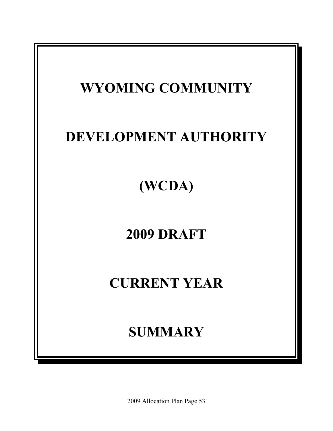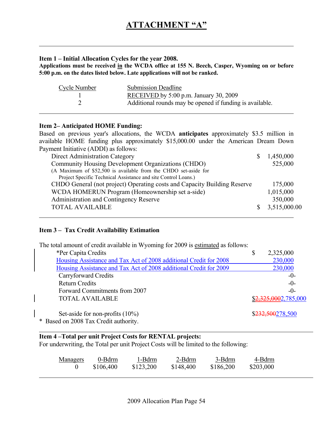#### **Item 1 – Initial Allocation Cycles for the year 2008.**

**Applications must be received in the WCDA office at 155 N. Beech, Casper, Wyoming on or before 5:00 p.m. on the dates listed below. Late applications will not be ranked.** 

| Cycle Number | <b>Submission Deadline</b>                               |
|--------------|----------------------------------------------------------|
|              | RECEIVED by $5:00$ p.m. January 30, 2009                 |
|              | Additional rounds may be opened if funding is available. |

#### **Item 2– Anticipated HOME Funding:**

Based on previous year's allocations, the WCDA **anticipates** approximately \$3.5 million in available HOME funding plus approximately \$15,000.00 under the American Dream Down Payment Initiative (ADDI) as follows:

| Direct Administration Category                                           | 1,450,000    |
|--------------------------------------------------------------------------|--------------|
| Community Housing Development Organizations (CHDO)                       | 525,000      |
| (A Maximum of \$52,500 is available from the CHDO set-aside for          |              |
| Project Specific Technical Assistance and site Control Loans.)           |              |
| CHDO General (not project) Operating costs and Capacity Building Reserve | 175,000      |
| WCDA HOMERUN Program (Homeownership set a-side)                          | 1,015,000    |
| Administration and Contingency Reserve                                   | 350,000      |
| <b>TOTAL AVAILABLE</b>                                                   | 3,515,000.00 |
|                                                                          |              |

#### **Item 3 – Tax Credit Availability Estimation**

| The total amount of credit available in Wyoming for 2009 is estimated as follows: |                      |
|-----------------------------------------------------------------------------------|----------------------|
| *Per Capita Credits                                                               | \$<br>2,325,000      |
| Housing Assistance and Tax Act of 2008 additional Credit for 2008                 | 230,000              |
| Housing Assistance and Tax Act of 2008 additional Credit for 2009                 | 230,000              |
| Carryforward Credits                                                              | $-0-$                |
| <b>Return Credits</b>                                                             | $-0-$                |
| Forward Commitments from 2007                                                     | $-()$                |
| <b>TOTAL AVAILABLE</b>                                                            | \$2,325,0002,785,000 |
| Set-aside for non-profits $(10\%)$                                                | \$232,500278,500     |
| * Based on 2008 Tax Credit authority.                                             |                      |

#### **Item 4 –Total per unit Project Costs for RENTAL projects:**

For underwriting, the Total per unit Project Costs will be limited to the following:

| <u>Managers</u> | 0-Bdrm    | 1-Bdrm    | 2-Bdrm    | 3-Bdrm    | 4-Bdrm    |
|-----------------|-----------|-----------|-----------|-----------|-----------|
|                 | \$106,400 | \$123,200 | \$148,400 | \$186,200 | \$203,000 |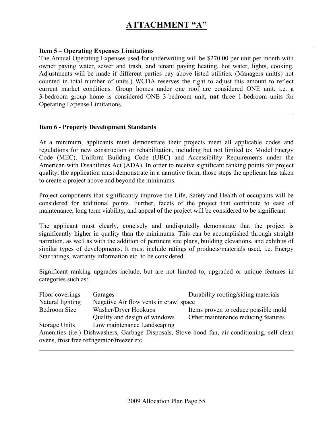#### **Item 5 – Operating Expenses Limitations**

The Annual Operating Expenses used for underwriting will be \$270.00 per unit per month with owner paying water, sewer and trash, and tenant paying heating, hot water, lights, cooking. Adjustments will be made if different parties pay above listed utilities. (Managers unit(s) not counted in total number of units.) WCDA reserves the right to adjust this amount to reflect current market conditions. Group homes under one roof are considered ONE unit. i.e. a 3-bedroom group home is considered ONE 3-bedroom unit, **not** three 1-bedroom units for Operating Expense Limitations.

#### **Item 6 - Property Development Standards**

At a minimum, applicants must demonstrate their projects meet all applicable codes and regulations for new construction or rehabilitation, including but not limited to: Model Energy Code (MEC), Uniform Building Code (UBC) and Accessibility Requirements under the American with Disabilities Act (ADA). In order to receive significant ranking points for project quality, the application must demonstrate in a narrative form, those steps the applicant has taken to create a project above and beyond the minimums.

Project components that significantly improve the Life, Safety and Health of occupants will be considered for additional points. Further, facets of the project that contribute to ease of maintenance, long term viability, and appeal of the project will be considered to be significant.

The applicant must clearly, concisely and undisputedly demonstrate that the project is significantly higher in quality than the minimums. This can be accomplished through straight narration, as well as with the addition of pertinent site plans, building elevations, and exhibits of similar types of developments. It must include ratings of products/materials used, i.e. Energy Star ratings, warranty information etc. to be considered.

Significant ranking upgrades include, but are not limited to, upgraded or unique features in categories such as:

| Floor coverings                             | Garages                                | Durability roofing/siding materials                                                           |
|---------------------------------------------|----------------------------------------|-----------------------------------------------------------------------------------------------|
| Natural lighting                            | Negative Air flow vents in crawl space |                                                                                               |
| Bedroom Size                                | Washer/Dryer Hookups                   | Items proven to reduce possible mold                                                          |
|                                             | Quality and design of windows          | Other maintenance reducing features                                                           |
| Storage Units                               | Low maintenance Landscaping            |                                                                                               |
|                                             |                                        | Amenities (i.e.) Dishwashers, Garbage Disposals, Stove hood fan, air-conditioning, self-clean |
| ovens, frost free refrigerator/freezer etc. |                                        |                                                                                               |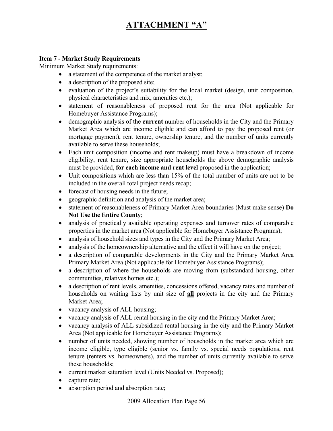#### **Item 7 - Market Study Requirements**

Minimum Market Study requirements:

- a statement of the competence of the market analyst;
- a description of the proposed site;
- evaluation of the project's suitability for the local market (design, unit composition, physical characteristics and mix, amenities etc.);
- statement of reasonableness of proposed rent for the area (Not applicable for Homebuyer Assistance Programs);
- demographic analysis of the **current** number of households in the City and the Primary Market Area which are income eligible and can afford to pay the proposed rent (or mortgage payment), rent tenure, ownership tenure, and the number of units currently available to serve these households;
- Each unit composition (income and rent makeup) must have a breakdown of income eligibility, rent tenure, size appropriate households the above demographic analysis must be provided, **for each income and rent level** proposed in the application;
- Unit compositions which are less than 15% of the total number of units are not to be included in the overall total project needs recap;
- forecast of housing needs in the future;
- geographic definition and analysis of the market area;
- statement of reasonableness of Primary Market Area boundaries (Must make sense) **Do Not Use the Entire County**;
- analysis of practically available operating expenses and turnover rates of comparable properties in the market area (Not applicable for Homebuyer Assistance Programs);
- analysis of household sizes and types in the City and the Primary Market Area;
- analysis of the homeownership alternative and the effect it will have on the project;
- a description of comparable developments in the City and the Primary Market Area Primary Market Area (Not applicable for Homebuyer Assistance Programs);
- a description of where the households are moving from (substandard housing, other communities, relatives homes etc.);
- a description of rent levels, amenities, concessions offered, vacancy rates and number of households on waiting lists by unit size of **all** projects in the city and the Primary Market Area;
- vacancy analysis of ALL housing;
- vacancy analysis of ALL rental housing in the city and the Primary Market Area;
- vacancy analysis of ALL subsidized rental housing in the city and the Primary Market Area (Not applicable for Homebuyer Assistance Programs);
- number of units needed, showing number of households in the market area which are income eligible, type eligible (senior vs. family vs. special needs populations, rent tenure (renters vs. homeowners), and the number of units currently available to serve these households;
- current market saturation level (Units Needed vs. Proposed);
- capture rate;
- absorption period and absorption rate;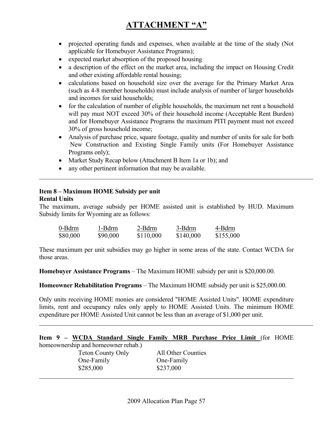# **ATTACHMENT "A"**

- projected operating funds and expenses, when available at the time of the study (Not applicable for Homebuyer Assistance Programs);
- expected market absorption of the proposed housing
- a description of the effect on the market area, including the impact on Housing Credit and other existing affordable rental housing;
- calculations based on household size over the average for the Primary Market Area (such as 4-8 member households) must include analysis of number of larger households and incomes for said households;
- for the calculation of number of eligible households, the maximum net rent a household will pay must NOT exceed 30% of their household income (Acceptable Rent Burden) and for Homebuyer Assistance Programs the maximum PITI payment must not exceed 30% of gross household income;
- Analysis of purchase price, square footage, quality and number of units for sale for both New Construction and Existing Single Family units (For Homebuyer Assistance Programs only);
- Market Study Recap below (Attachment B Item 1a or 1b); and
- any other pertinent information that may be available.

#### **Item 8 – Maximum HOME Subsidy per unit Rental Units**

The maximum, average subsidy per HOME assisted unit is established by HUD. Maximum Subsidy limits for Wyoming are as follows:

| 0-Bdrm   | 1-Bdrm   | 2-Bdrm    | 3-Bdrm    | 4-Bdrm    |
|----------|----------|-----------|-----------|-----------|
| \$80,000 | \$90,000 | \$110,000 | \$140,000 | \$155,000 |

These maximum per unit subsidies may go higher in some areas of the state. Contact WCDA for those areas.

**Homebuyer Assistance Programs** – The Maximum HOME subsidy per unit is \$20,000.00.

**Homeowner Rehabilitation Programs** – The Maximum HOME subsidy per unit is \$25,000.00.

Only units receiving HOME monies are considered "HOME Assisted Units". HOME expenditure limits, rent and occupancy rules only apply to HOME Assisted Units. The minimum HOME expenditure per HOME Assisted Unit cannot be less than an average of \$1,000 per unit.

|  |  |  |  | Item 9 - WCDA Standard Single Family MRB Purchase Price Limit (for HOME |  |  |  |  |  |  |  |  |
|--|--|--|--|-------------------------------------------------------------------------|--|--|--|--|--|--|--|--|
|--|--|--|--|-------------------------------------------------------------------------|--|--|--|--|--|--|--|--|

homeownership and homeowner rehab.) Teton County Only All Other Counties One-Family One-Family

\$285,000 \$237,000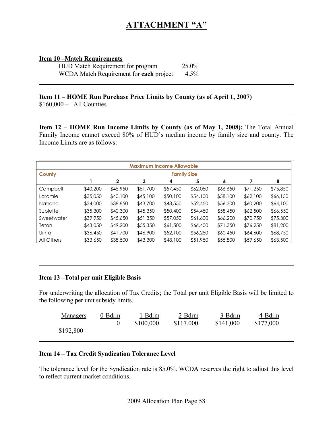#### **Item 10 –Match Requirements**

| HUD Match Requirement for program       | 25.0% |
|-----------------------------------------|-------|
| WCDA Match Requirement for each project | 4.5%  |

## **Item 11 – HOME Run Purchase Price Limits by County (as of April 1, 2007)**

\$160,000 – All Counties

**Item 12 – HOME Run Income Limits by County (as of May 1, 2008):** The Total Annual Family Income cannot exceed 80% of HUD's median income by family size and county. The Income Limits are as follows:

|              | <b>Maximum Income Allowable</b> |              |          |                    |          |          |          |          |
|--------------|---------------------------------|--------------|----------|--------------------|----------|----------|----------|----------|
| County       |                                 |              |          | <b>Family Size</b> |          |          |          |          |
|              |                                 | $\mathbf{2}$ | 3        | 4                  | 5        | 6        |          | 8        |
| Campbell     | \$40,200                        | \$45,950     | \$51,700 | \$57,450           | \$62,050 | \$66,650 | \$71,250 | \$75,850 |
| Laramie      | \$35,050                        | \$40,100     | \$45,100 | \$50,100           | \$54,100 | \$58,100 | \$62,100 | \$66,150 |
| Natrona      | \$34,000                        | \$38,850     | \$43,700 | \$48,550           | \$52,450 | \$56,300 | \$60,200 | \$64,100 |
| Sublette     | \$35,300                        | \$40,300     | \$45,350 | \$50,400           | \$54,450 | \$58,450 | \$62,500 | \$66,550 |
| Sweetwater   | \$39,950                        | \$45,650     | \$51,350 | \$57,050           | \$61,600 | \$66,200 | \$70,750 | \$75,300 |
| Teton        | \$43,050                        | \$49,200     | \$55,350 | \$61,500           | \$66,400 | \$71,350 | \$76,250 | \$81,200 |
| <b>Uinta</b> | \$36,450                        | \$41,700     | \$46,900 | \$52,100           | \$56,250 | \$60,450 | \$64,600 | \$68,750 |
| All Others   | \$33,650                        | \$38,500     | \$43,300 | \$48,100           | \$51,950 | \$55,800 | \$59,650 | \$63,500 |

#### **Item 13 –Total per unit Eligible Basis**

For underwriting the allocation of Tax Credits; the Total per unit Eligible Basis will be limited to the following per unit subsidy limits.

| <b>Managers</b> | 0-Bdrm | 1-Bdrm    | 2-Bdrm    | 3-Bdrm    | 4-Bdrm    |
|-----------------|--------|-----------|-----------|-----------|-----------|
|                 |        | \$100,000 | \$117,000 | \$141,000 | \$177,000 |
| \$192,800       |        |           |           |           |           |

#### **Item 14 – Tax Credit Syndication Tolerance Level**

The tolerance level for the Syndication rate is 85.0%. WCDA reserves the right to adjust this level to reflect current market conditions.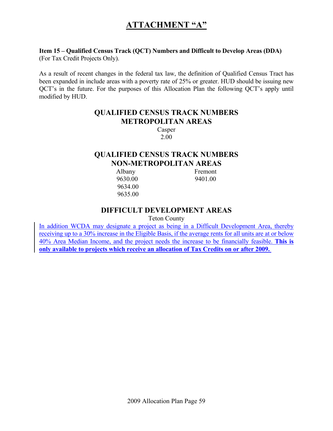## **ATTACHMENT "A"**

#### **Item 15 – Qualified Census Track (QCT) Numbers and Difficult to Develop Areas (DDA)** (For Tax Credit Projects Only).

As a result of recent changes in the federal tax law, the definition of Qualified Census Tract has been expanded in include areas with a poverty rate of 25% or greater. HUD should be issuing new QCT's in the future. For the purposes of this Allocation Plan the following QCT's apply until modified by HUD.

## **QUALIFIED CENSUS TRACK NUMBERS METROPOLITAN AREAS**

Casper 2.00

## **QUALIFIED CENSUS TRACK NUMBERS NON-METROPOLITAN AREAS**

Albany Fremont 9630.00 9401.00 9634.00 9635.00

### **DIFFICULT DEVELOPMENT AREAS**

Teton County

In addition WCDA may designate a project as being in a Difficult Development Area, thereby receiving up to a 30% increase in the Eligible Basis, if the average rents for all units are at or below 40% Area Median Income, and the project needs the increase to be financially feasible. **This is only available to projects which receive an allocation of Tax Credits on or after 2009.**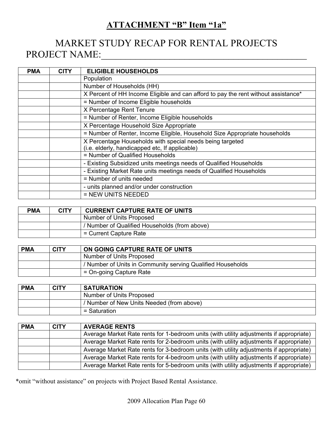## **ATTACHMENT "B" Item "1a"**

# MARKET STUDY RECAP FOR RENTAL PROJECTS PROJECT NAME:\_\_\_\_\_\_\_\_\_\_\_\_\_\_\_\_\_\_\_\_\_\_\_\_\_\_\_\_\_\_\_\_\_\_\_\_\_\_\_\_\_\_

| <b>PMA</b> | <b>CITY</b> | <b>ELIGIBLE HOUSEHOLDS</b>                                                         |
|------------|-------------|------------------------------------------------------------------------------------|
|            |             | Population                                                                         |
|            |             | Number of Households (HH)                                                          |
|            |             | X Percent of HH Income Eligible and can afford to pay the rent without assistance* |
|            |             | = Number of Income Eligible households                                             |
|            |             | X Percentage Rent Tenure                                                           |
|            |             | = Number of Renter, Income Eligible households                                     |
|            |             | X Percentage Household Size Appropriate                                            |
|            |             | = Number of Renter, Income Eligible, Household Size Appropriate households         |
|            |             | X Percentage Households with special needs being targeted                          |
|            |             | (i.e. elderly, handicapped etc, If applicable)                                     |
|            |             | = Number of Qualified Households                                                   |
|            |             | - Existing Subsidized units meetings needs of Qualified Households                 |
|            |             | - Existing Market Rate units meetings needs of Qualified Households                |
|            |             | = Number of units needed                                                           |
|            |             | - units planned and/or under construction                                          |
|            |             | = NEW UNITS NEEDED                                                                 |

| <b>PMA</b> | <b>CITY</b> | <b>CURRENT CAPTURE RATE OF UNITS</b>          |
|------------|-------------|-----------------------------------------------|
|            |             | Number of Units Proposed                      |
|            |             | / Number of Qualified Households (from above) |
|            |             | = Current Capture Rate                        |

| <b>PMA</b> | <b>CITY</b> | ON GOING CAPTURE RATE OF UNITS                              |
|------------|-------------|-------------------------------------------------------------|
|            |             | Number of Units Proposed                                    |
|            |             | / Number of Units in Community serving Qualified Households |
|            |             | = On-going Capture Rate                                     |

| <b>PMA</b> | <b>CITY</b> | <b>SATURATION</b>                         |  |
|------------|-------------|-------------------------------------------|--|
|            |             | Number of Units Proposed                  |  |
|            |             | / Number of New Units Needed (from above) |  |
|            |             | $=$ Saturation                            |  |

| <b>PMA</b> | <b>CITY</b> | <b>AVERAGE RENTS</b>                                                                    |
|------------|-------------|-----------------------------------------------------------------------------------------|
|            |             | Average Market Rate rents for 1-bedroom units (with utility adjustments if appropriate) |
|            |             | Average Market Rate rents for 2-bedroom units (with utility adjustments if appropriate) |
|            |             | Average Market Rate rents for 3-bedroom units (with utility adjustments if appropriate) |
|            |             | Average Market Rate rents for 4-bedroom units (with utility adjustments if appropriate) |
|            |             | Average Market Rate rents for 5-bedroom units (with utility adjustments if appropriate) |

\*omit "without assistance" on projects with Project Based Rental Assistance.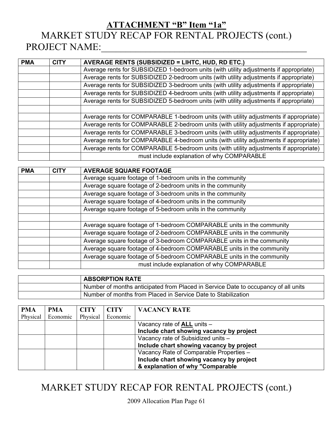# **ATTACHMENT "B" Item "1a"** MARKET STUDY RECAP FOR RENTAL PROJECTS (cont.) PROJECT NAME:

| <b>PMA</b> | <b>CITY</b> | <b>AVERAGE RENTS (SUBSIDIZED = LIHTC, HUD, RD ETC.)</b>                                |
|------------|-------------|----------------------------------------------------------------------------------------|
|            |             | Average rents for SUBSIDIZED 1-bedroom units (with utility adjustments if appropriate) |
|            |             | Average rents for SUBSIDIZED 2-bedroom units (with utility adjustments if appropriate) |
|            |             | Average rents for SUBSIDIZED 3-bedroom units (with utility adjustments if appropriate) |
|            |             | Average rents for SUBSIDIZED 4-bedroom units (with utility adjustments if appropriate) |
|            |             | Average rents for SUBSIDIZED 5-bedroom units (with utility adjustments if appropriate) |
|            |             |                                                                                        |
|            |             | Average rents for COMPARABLE 1-bedroom units (with utility adjustments if appropriate) |
|            |             | Average rents for COMPARABLE 2-bedroom units (with utility adjustments if appropriate) |
|            |             | Average rents for COMPARABLE 3-bedroom units (with utility adjustments if appropriate) |
|            |             | Average rents for COMPARABLE 4-bedroom units (with utility adjustments if appropriate) |
|            |             | Average rents for COMPARABLE 5-bedroom units (with utility adjustments if appropriate) |
|            |             | must include explanation of why COMPARABLE                                             |

| <b>PMA</b> | <b>CITY</b> | <b>AVERAGE SQUARE FOOTAGE</b>                                         |
|------------|-------------|-----------------------------------------------------------------------|
|            |             | Average square footage of 1-bedroom units in the community            |
|            |             | Average square footage of 2-bedroom units in the community            |
|            |             | Average square footage of 3-bedroom units in the community            |
|            |             | Average square footage of 4-bedroom units in the community            |
|            |             | Average square footage of 5-bedroom units in the community            |
|            |             |                                                                       |
|            |             | Average square footage of 1-bedroom COMPARABLE units in the community |
|            |             | Average square footage of 2-bedroom COMPARABLE units in the community |
|            |             | Average square footage of 3-bedroom COMPARABLE units in the community |
|            |             | Average square footage of 4-bedroom COMPARABLE units in the community |
|            |             | Average square footage of 5-bedroom COMPARABLE units in the community |
|            |             | must include explanation of why COMPARABLE                            |

| <b>ABSORPTION RATE</b>                                                             |
|------------------------------------------------------------------------------------|
| Number of months anticipated from Placed in Service Date to occupancy of all units |
| Number of months from Placed in Service Date to Stabilization                      |

| <b>PMA</b> | <b>PMA</b> | <b>CITY</b> | <b>CITY</b> | <b>VACANCY RATE</b>                      |
|------------|------------|-------------|-------------|------------------------------------------|
| Physical   | Economic   | Physical    | Economic    |                                          |
|            |            |             |             | Vacancy rate of <b>ALL</b> units -       |
|            |            |             |             | Include chart showing vacancy by project |
|            |            |             |             | Vacancy rate of Subsidized units -       |
|            |            |             |             | Include chart showing vacancy by project |
|            |            |             |             | Vacancy Rate of Comparable Properties -  |
|            |            |             |             | Include chart showing vacancy by project |
|            |            |             |             | & explanation of why "Comparable         |

# MARKET STUDY RECAP FOR RENTAL PROJECTS (cont.)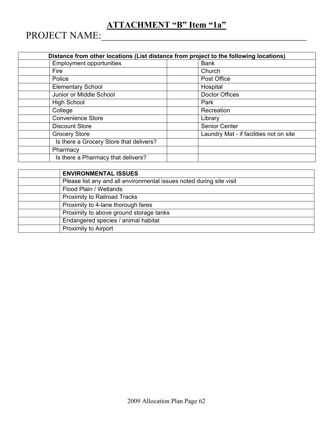# **ATTACHMENT "B" Item "1a"**

PROJECT NAME:\_\_\_\_\_\_\_\_\_\_\_\_\_\_\_\_\_\_\_\_\_\_\_\_\_\_\_\_\_\_\_\_\_\_\_\_\_\_\_\_\_\_

|                                         | Distance from other locations (List distance from project to the following locations) |
|-----------------------------------------|---------------------------------------------------------------------------------------|
| <b>Employment opportunities</b>         | <b>Bank</b>                                                                           |
| Fire                                    | Church                                                                                |
| Police                                  | Post Office                                                                           |
| <b>Elementary School</b>                | Hospital                                                                              |
| Junior or Middle School                 | <b>Doctor Offices</b>                                                                 |
| <b>High School</b>                      | Park                                                                                  |
| College                                 | Recreation                                                                            |
| <b>Convenience Store</b>                | Library                                                                               |
| <b>Discount Store</b>                   | <b>Senior Center</b>                                                                  |
| <b>Grocery Store</b>                    | Laundry Mat - if facilities not on site                                               |
| Is there a Grocery Store that delivers? |                                                                                       |
| Pharmacy                                |                                                                                       |
| Is there a Pharmacy that delivers?      |                                                                                       |

| <b>ENVIRONMENTAL ISSUES</b>                                          |
|----------------------------------------------------------------------|
| Please list any and all environmental issues noted during site visit |
| Flood Plain / Wetlands                                               |
| <b>Proximity to Railroad Tracks</b>                                  |
| Proximity to 4-lane thorough fares                                   |
| Proximity to above ground storage tanks                              |
| Endangered species / animal habitat                                  |
| Proximity to Airport                                                 |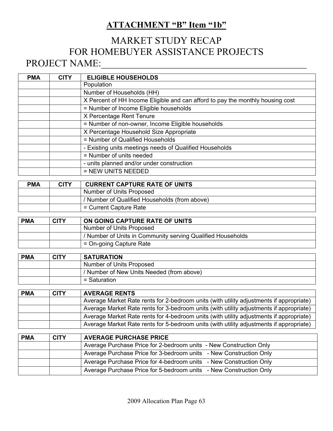## **ATTACHMENT "B" Item "1b"**

# MARKET STUDY RECAP FOR HOMEBUYER ASSISTANCE PROJECTS PROJECT NAME:\_\_\_\_\_\_\_\_\_\_\_\_\_\_\_\_\_\_\_\_\_\_\_\_\_\_\_\_\_\_\_\_\_\_\_\_\_\_\_\_\_\_

| <b>ELIGIBLE HOUSEHOLDS</b>                                                     |
|--------------------------------------------------------------------------------|
| Population                                                                     |
| Number of Households (HH)                                                      |
| X Percent of HH Income Eligible and can afford to pay the monthly housing cost |
| = Number of Income Eligible households                                         |
| X Percentage Rent Tenure                                                       |
| = Number of non-owner, Income Eligible households                              |
| X Percentage Household Size Appropriate                                        |
| = Number of Qualified Households                                               |
| - Existing units meetings needs of Qualified Households                        |
| = Number of units needed                                                       |
| - units planned and/or under construction                                      |
| = NEW UNITS NEEDED                                                             |
|                                                                                |

| <b>PMA</b> | <b>CITY</b> | <b>CURRENT CAPTURE RATE OF UNITS</b>          |
|------------|-------------|-----------------------------------------------|
|            |             | Number of Units Proposed                      |
|            |             | / Number of Qualified Households (from above) |
|            |             | = Current Capture Rate                        |

| <b>PMA</b> | <b>CITY</b> | ON GOING CAPTURE RATE OF UNITS                              |
|------------|-------------|-------------------------------------------------------------|
|            |             | Number of Units Proposed                                    |
|            |             | / Number of Units in Community serving Qualified Households |
|            |             | = On-going Capture Rate                                     |

| <b>PMA</b> | <b>CITY</b> | <b>SATURATION</b>                         |
|------------|-------------|-------------------------------------------|
|            |             | Number of Units Proposed                  |
|            |             | / Number of New Units Needed (from above) |
|            |             | = Saturation                              |

| <b>PMA</b> | <b>CITY</b> | <b>AVERAGE RENTS</b>                                                                    |
|------------|-------------|-----------------------------------------------------------------------------------------|
|            |             | Average Market Rate rents for 2-bedroom units (with utility adjustments if appropriate) |
|            |             | Average Market Rate rents for 3-bedroom units (with utility adjustments if appropriate) |
|            |             | Average Market Rate rents for 4-bedroom units (with utility adjustments if appropriate) |
|            |             | Average Market Rate rents for 5-bedroom units (with utility adjustments if appropriate) |

| <b>PMA</b> | <b>CITY</b> | <b>AVERAGE PURCHASE PRICE</b>                                      |
|------------|-------------|--------------------------------------------------------------------|
|            |             | Average Purchase Price for 2-bedroom units - New Construction Only |
|            |             | Average Purchase Price for 3-bedroom units - New Construction Only |
|            |             | Average Purchase Price for 4-bedroom units - New Construction Only |
|            |             | Average Purchase Price for 5-bedroom units - New Construction Only |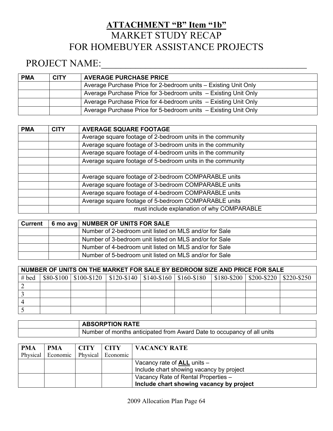# **ATTACHMENT "B" Item "1b"** MARKET STUDY RECAP FOR HOMEBUYER ASSISTANCE PROJECTS

# PROJECT NAME:\_\_\_\_\_\_\_\_\_\_\_\_\_\_\_\_\_\_\_\_\_\_\_\_\_\_\_\_\_\_\_\_\_\_\_\_\_\_\_\_\_\_

| <b>PMA</b> | <b>CITY</b> | <b>AVERAGE PURCHASE PRICE</b>                                   |
|------------|-------------|-----------------------------------------------------------------|
|            |             | Average Purchase Price for 2-bedroom units – Existing Unit Only |
|            |             | Average Purchase Price for 3-bedroom units - Existing Unit Only |
|            |             | Average Purchase Price for 4-bedroom units - Existing Unit Only |
|            |             | Average Purchase Price for 5-bedroom units - Existing Unit Only |

| <b>PMA</b> | <b>CITY</b> | <b>AVERAGE SQUARE FOOTAGE</b>                              |
|------------|-------------|------------------------------------------------------------|
|            |             | Average square footage of 2-bedroom units in the community |
|            |             | Average square footage of 3-bedroom units in the community |
|            |             | Average square footage of 4-bedroom units in the community |
|            |             | Average square footage of 5-bedroom units in the community |
|            |             |                                                            |
|            |             | Average square footage of 2-bedroom COMPARABLE units       |
|            |             | Average square footage of 3-bedroom COMPARABLE units       |
|            |             | Average square footage of 4-bedroom COMPARABLE units       |
|            |             | Average square footage of 5-bedroom COMPARABLE units       |
|            |             | must include explanation of why COMPARABLE                 |

| Current | 6 mo avg NUMBER OF UNITS FOR SALE                      |
|---------|--------------------------------------------------------|
|         | Number of 2-bedroom unit listed on MLS and/or for Sale |
|         | Number of 3-bedroom unit listed on MLS and/or for Sale |
|         | Number of 4-bedroom unit listed on MLS and/or for Sale |
|         | Number of 5-bedroom unit listed on MLS and/or for Sale |

| NUMBER OF UNITS ON THE MARKET FOR SALE BY BEDROOM SIZE AND PRICE FOR SALE |  |                                                            |  |  |  |                                         |  |
|---------------------------------------------------------------------------|--|------------------------------------------------------------|--|--|--|-----------------------------------------|--|
| $#$ bed                                                                   |  | $$80-$100   $100-$120   $120-$140   $140-$160   $160-$180$ |  |  |  | \$180-\$200   \$200-\$220   \$220-\$250 |  |
|                                                                           |  |                                                            |  |  |  |                                         |  |
|                                                                           |  |                                                            |  |  |  |                                         |  |
|                                                                           |  |                                                            |  |  |  |                                         |  |
|                                                                           |  |                                                            |  |  |  |                                         |  |

| <b>ABSORPTION RATE</b>                                                 |
|------------------------------------------------------------------------|
| Number of months anticipated from Award Date to occupancy of all units |

| <b>PMA</b> | <b>PMA</b>        | CITY | <b>CITY</b>       | VACANCY RATE                             |
|------------|-------------------|------|-------------------|------------------------------------------|
|            | Physical Economic |      | Physical Economic |                                          |
|            |                   |      |                   | Vacancy rate of <b>ALL</b> units -       |
|            |                   |      |                   | Include chart showing vacancy by project |
|            |                   |      |                   | Vacancy Rate of Rental Properties -      |
|            |                   |      |                   | Include chart showing vacancy by project |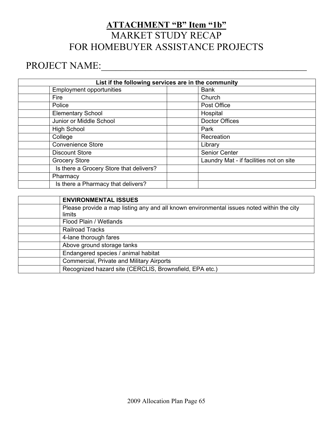# **ATTACHMENT "B" Item "1b"** MARKET STUDY RECAP FOR HOMEBUYER ASSISTANCE PROJECTS

# PROJECT NAME:\_\_\_\_\_\_\_\_\_\_\_\_\_\_\_\_\_\_\_\_\_\_\_\_\_\_\_\_\_\_\_\_\_\_\_\_\_\_\_\_\_\_

| List if the following services are in the community |                                         |                                         |  |  |  |  |
|-----------------------------------------------------|-----------------------------------------|-----------------------------------------|--|--|--|--|
|                                                     | <b>Employment opportunities</b>         | <b>Bank</b>                             |  |  |  |  |
|                                                     | Fire                                    | Church                                  |  |  |  |  |
|                                                     | Police                                  | Post Office                             |  |  |  |  |
|                                                     | <b>Elementary School</b>                | Hospital                                |  |  |  |  |
|                                                     | Junior or Middle School                 | <b>Doctor Offices</b>                   |  |  |  |  |
|                                                     | <b>High School</b>                      | Park                                    |  |  |  |  |
|                                                     | College                                 | Recreation                              |  |  |  |  |
|                                                     | <b>Convenience Store</b>                | Library                                 |  |  |  |  |
|                                                     | <b>Discount Store</b>                   | Senior Center                           |  |  |  |  |
|                                                     | <b>Grocery Store</b>                    | Laundry Mat - if facilities not on site |  |  |  |  |
|                                                     | Is there a Grocery Store that delivers? |                                         |  |  |  |  |
|                                                     | Pharmacy                                |                                         |  |  |  |  |
|                                                     | Is there a Pharmacy that delivers?      |                                         |  |  |  |  |
|                                                     |                                         |                                         |  |  |  |  |

| <b>ENVIRONMENTAL ISSUES</b>                                                               |
|-------------------------------------------------------------------------------------------|
| Please provide a map listing any and all known environmental issues noted within the city |
| limits                                                                                    |
| Flood Plain / Wetlands                                                                    |
| <b>Railroad Tracks</b>                                                                    |
| 4-lane thorough fares                                                                     |
| Above ground storage tanks                                                                |
| Endangered species / animal habitat                                                       |
| Commercial, Private and Military Airports                                                 |
| Recognized hazard site (CERCLIS, Brownsfield, EPA etc.)                                   |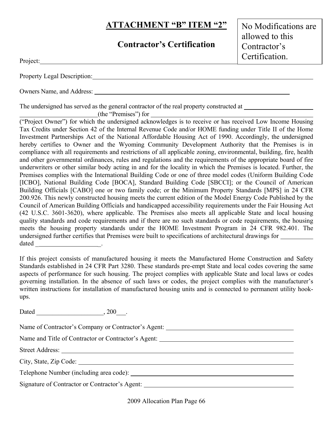## **Contractor's Certification**

No Modifications are allowed to this Contractor's Certification.

| Project <sup>-</sup> |
|----------------------|
|                      |

Property Legal Description:

Owners Name, and Address:

The undersigned has served as the general contractor of the real property constructed at  $\sim$ 

(the "Premises") for

("Project Owner") for which the undersigned acknowledges is to receive or has received Low Income Housing Tax Credits under Section 42 of the Internal Revenue Code and/or HOME funding under Title II of the Home Investment Partnerships Act of the National Affordable Housing Act of 1990. Accordingly, the undersigned hereby certifies to Owner and the Wyoming Community Development Authority that the Premises is in compliance with all requirements and restrictions of all applicable zoning, environmental, building, fire, health and other governmental ordinances, rules and regulations and the requirements of the appropriate board of fire underwriters or other similar body acting in and for the locality in which the Premises is located. Further, the Premises complies with the International Building Code or one of three model codes (Uniform Building Code [ICBO], National Building Code [BOCA], Standard Building Code [SBCCI]; or the Council of American Building Officials [CABO] one or two family code; or the Minimum Property Standards [MPS] in 24 CFR 200.926. This newly constructed housing meets the current edition of the Model Energy Code Published by the Council of American Building Officials and handicapped accessibility requirements under the Fair Housing Act (42 U.S.C. 3601-3620), where applicable. The Premises also meets all applicable State and local housing quality standards and code requirements and if there are no such standards or code requirements, the housing meets the housing property standards under the HOME Investment Program in 24 CFR 982.401. The undersigned further certifies that Premises were built to specifications of architectural drawings for dated the contract of the contract of the contract of the contract of the contract of the contract of the contract of the contract of the contract of the contract of the contract of the contract of the contract of the cont

If this project consists of manufactured housing it meets the Manufactured Home Construction and Safety Standards established in 24 CFR Part 3280. These standards pre-empt State and local codes covering the same aspects of performance for such housing. The project complies with applicable State and local laws or codes governing installation. In the absence of such laws or codes, the project complies with the manufacturer's written instructions for installation of manufactured housing units and is connected to permanent utility hookups.

Dated  $\qquad \qquad \, . \qquad \qquad .$ 

Name of Contractor's Company or Contractor's Agent:

Name and Title of Contractor or Contractor's Agent:

Street Address:

City, State, Zip Code:

Telephone Number (including area code):

Signature of Contractor or Contractor's Agent: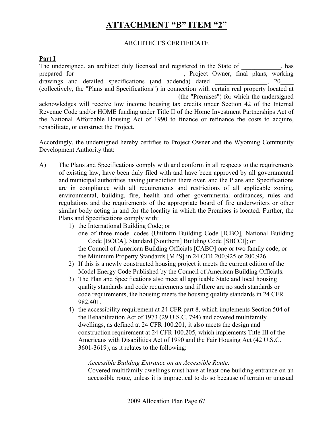#### ARCHITECT'S CERTIFICATE

#### **Part I**

The undersigned, an architect duly licensed and registered in the State of \_\_\_\_\_\_\_\_\_, has prepared for prepared for the project Owner, final plans, working  $d$  drawings and detailed specifications (and addenda) dated  $\frac{1}{20}$ (collectively, the "Plans and Specifications") in connection with certain real property located at \_\_\_\_\_\_\_\_\_\_\_\_\_\_\_\_\_\_\_\_\_\_\_\_\_\_\_\_\_\_\_\_\_\_\_\_\_\_\_\_\_\_ (the "Premises") for which the undersigned acknowledges will receive low income housing tax credits under Section 42 of the Internal Revenue Code and/or HOME funding under Title II of the Home Investment Partnerships Act of the National Affordable Housing Act of 1990 to finance or refinance the costs to acquire, rehabilitate, or construct the Project.

Accordingly, the undersigned hereby certifies to Project Owner and the Wyoming Community Development Authority that:

- A) The Plans and Specifications comply with and conform in all respects to the requirements of existing law, have been duly filed with and have been approved by all governmental and municipal authorities having jurisdiction there over, and the Plans and Specifications are in compliance with all requirements and restrictions of all applicable zoning, environmental, building, fire, health and other governmental ordinances, rules and regulations and the requirements of the appropriate board of fire underwriters or other similar body acting in and for the locality in which the Premises is located. Further, the Plans and Specifications comply with:
	- 1) the International Building Code; or
		- one of three model codes (Uniform Building Code [ICBO], National Building Code [BOCA], Standard [Southern] Building Code [SBCCI]; or

 the Council of American Building Officials [CABO] one or two family code; or the Minimum Property Standards [MPS] in 24 CFR 200.925 or 200.926.

- 2) If this is a newly constructed housing project it meets the current edition of the Model Energy Code Published by the Council of American Building Officials.
- 3) The Plan and Specifications also meet all applicable State and local housing quality standards and code requirements and if there are no such standards or code requirements, the housing meets the housing quality standards in 24 CFR 982.401.
- 4) the accessibility requirement at 24 CFR part 8, which implements Section 504 of the Rehabilitation Act of 1973 (29 U.S.C. 794) and covered multifamily dwellings, as defined at 24 CFR 100.201, it also meets the design and construction requirement at 24 CFR 100.205, which implements Title III of the Americans with Disabilities Act of 1990 and the Fair Housing Act (42 U.S.C. 3601-3619), as it relates to the following:

#### *Accessible Building Entrance on an Accessible Route:*

Covered multifamily dwellings must have at least one building entrance on an accessible route, unless it is impractical to do so because of terrain or unusual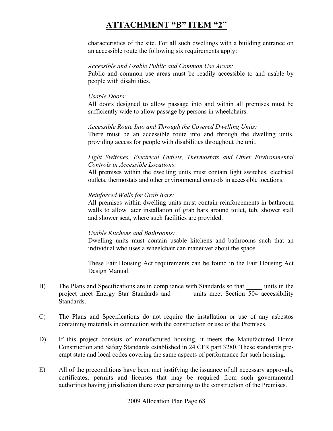characteristics of the site. For all such dwellings with a building entrance on an accessible route the following six requirements apply:

#### *Accessible and Usable Public and Common Use Areas:*

Public and common use areas must be readily accessible to and usable by people with disabilities.

#### *Usable Doors:*

All doors designed to allow passage into and within all premises must be sufficiently wide to allow passage by persons in wheelchairs.

#### *Accessible Route Into and Through the Covered Dwelling Units:*

There must be an accessible route into and through the dwelling units, providing access for people with disabilities throughout the unit.

#### *Light Switches, Electrical Outlets, Thermostats and Other Environmental Controls in Accessible Locations:*

All premises within the dwelling units must contain light switches, electrical outlets, thermostats and other environmental controls in accessible locations.

#### *Reinforced Walls for Grab Bars:*

All premises within dwelling units must contain reinforcements in bathroom walls to allow later installation of grab bars around toilet, tub, shower stall and shower seat, where such facilities are provided.

#### *Usable Kitchens and Bathrooms:*

Dwelling units must contain usable kitchens and bathrooms such that an individual who uses a wheelchair can maneuver about the space.

These Fair Housing Act requirements can be found in the Fair Housing Act Design Manual.

- B) The Plans and Specifications are in compliance with Standards so that units in the project meet Energy Star Standards and \_\_\_\_\_ units meet Section 504 accessibility Standards.
- C) The Plans and Specifications do not require the installation or use of any asbestos containing materials in connection with the construction or use of the Premises.
- D) If this project consists of manufactured housing, it meets the Manufactured Home Construction and Safety Standards established in 24 CFR part 3280. These standards preempt state and local codes covering the same aspects of performance for such housing.
- E) All of the preconditions have been met justifying the issuance of all necessary approvals, certificates, permits and licenses that may be required from such governmental authorities having jurisdiction there over pertaining to the construction of the Premises.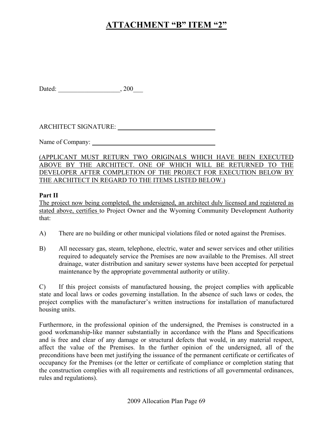Dated: \_\_\_\_\_\_\_\_\_\_\_\_\_\_\_\_\_\_\_, 200\_\_\_

ARCHITECT SIGNATURE: University of the set of the set of the set of the set of the set of the set of the set of the set of the set of the set of the set of the set of the set of the set of the set of the set of the set of

Name of Company:

(APPLICANT MUST RETURN TWO ORIGINALS WHICH HAVE BEEN EXECUTED ABOVE BY THE ARCHITECT. ONE OF WHICH WILL BE RETURNED TO THE DEVELOPER AFTER COMPLETION OF THE PROJECT FOR EXECUTION BELOW BY THE ARCHITECT IN REGARD TO THE ITEMS LISTED BELOW.)

#### **Part II**

The project now being completed, the undersigned, an architect duly licensed and registered as stated above, certifies to Project Owner and the Wyoming Community Development Authority that:

- A) There are no building or other municipal violations filed or noted against the Premises.
- B) All necessary gas, steam, telephone, electric, water and sewer services and other utilities required to adequately service the Premises are now available to the Premises. All street drainage, water distribution and sanitary sewer systems have been accepted for perpetual maintenance by the appropriate governmental authority or utility.

C) If this project consists of manufactured housing, the project complies with applicable state and local laws or codes governing installation. In the absence of such laws or codes, the project complies with the manufacturer's written instructions for installation of manufactured housing units.

Furthermore, in the professional opinion of the undersigned, the Premises is constructed in a good workmanship-like manner substantially in accordance with the Plans and Specifications and is free and clear of any damage or structural defects that would, in any material respect, affect the value of the Premises. In the further opinion of the undersigned, all of the preconditions have been met justifying the issuance of the permanent certificate or certificates of occupancy for the Premises (or the letter or certificate of compliance or completion stating that the construction complies with all requirements and restrictions of all governmental ordinances, rules and regulations).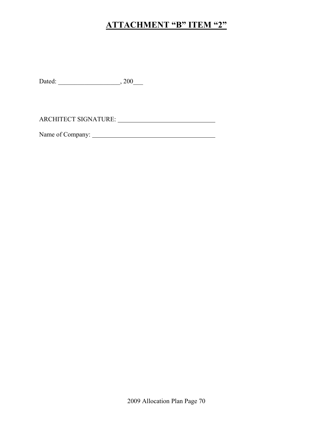Dated: \_\_\_\_\_\_\_\_\_\_\_\_\_\_\_\_\_\_\_, 200\_\_\_

ARCHITECT SIGNATURE:

Name of Company: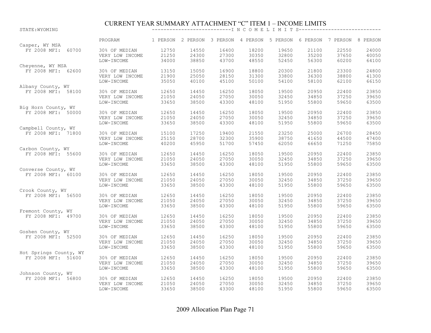# CURRENT YEAR SUMMARY ATTACHMENT "C" ITEM 1 – INCOME LIMITS STATE:WYOMING ---------------------------I N C O M E L I M I T S----------------------------

|                                      | PROGRAM         |       | 1 PERSON 2 PERSON 3 PERSON 4 PERSON 5 PERSON 6 PERSON 7 PERSON 8 PERSON |       |       |       |       |       |       |
|--------------------------------------|-----------------|-------|-------------------------------------------------------------------------|-------|-------|-------|-------|-------|-------|
| Casper, WY MSA<br>FY 2008 MFI: 60700 | 30% OF MEDIAN   | 12750 | 14550                                                                   | 16400 | 18200 | 19650 | 21100 | 22550 | 24000 |
|                                      | VERY LOW INCOME | 21250 | 24300                                                                   | 27300 | 30350 | 32800 | 35200 | 37650 | 40050 |
|                                      | LOW-INCOME      | 34000 | 38850                                                                   | 43700 | 48550 | 52450 | 56300 | 60200 | 64100 |
| Cheyenne, WY MSA                     |                 |       |                                                                         |       |       |       |       |       |       |
| FY 2008 MFI: 62600                   | 30% OF MEDIAN   | 13150 | 15050                                                                   | 16900 | 18800 | 20300 | 21800 | 23300 | 24800 |
|                                      | VERY LOW INCOME | 21900 | 25050                                                                   | 28150 | 31300 | 33800 | 36300 | 38800 | 41300 |
|                                      | LOW-INCOME      | 35050 | 40100                                                                   | 45100 | 50100 | 54100 | 58100 | 62100 | 66150 |
| Albany County, WY                    |                 |       |                                                                         |       |       |       |       |       |       |
| FY 2008 MFI: 58100                   | 30% OF MEDIAN   | 12650 | 14450                                                                   | 16250 | 18050 | 19500 | 20950 | 22400 | 23850 |
|                                      | VERY LOW INCOME | 21050 | 24050                                                                   | 27050 | 30050 | 32450 | 34850 | 37250 | 39650 |
|                                      | LOW-INCOME      | 33650 | 38500                                                                   | 43300 | 48100 | 51950 | 55800 | 59650 | 63500 |
| Big Horn County, WY                  |                 |       |                                                                         |       |       |       |       |       |       |
| FY 2008 MFI: 50000                   | 30% OF MEDIAN   | 12650 | 14450                                                                   | 16250 | 18050 | 19500 | 20950 | 22400 | 23850 |
|                                      | VERY LOW INCOME | 21050 | 24050                                                                   | 27050 | 30050 | 32450 | 34850 | 37250 | 39650 |
|                                      | LOW-INCOME      | 33650 | 38500                                                                   | 43300 | 48100 | 51950 | 55800 | 59650 | 63500 |
| Campbell County, WY                  |                 |       |                                                                         |       |       |       |       |       |       |
| FY 2008 MFI: 71800                   | 30% OF MEDIAN   | 15100 | 17250                                                                   | 19400 | 21550 | 23250 | 25000 | 26700 | 28450 |
|                                      | VERY LOW INCOME | 25150 | 28700                                                                   | 32300 | 35900 | 38750 | 41650 | 44500 | 47400 |
|                                      | LOW-INCOME      | 40200 | 45950                                                                   | 51700 | 57450 | 62050 | 66650 | 71250 | 75850 |
| Carbon County, WY                    |                 |       |                                                                         |       |       |       |       |       |       |
| FY 2008 MFI: 55600                   | 30% OF MEDIAN   | 12650 | 14450                                                                   | 16250 | 18050 | 19500 | 20950 | 22400 | 23850 |
|                                      | VERY LOW INCOME | 21050 | 24050                                                                   | 27050 | 30050 | 32450 | 34850 | 37250 | 39650 |
|                                      | LOW-INCOME      | 33650 | 38500                                                                   | 43300 | 48100 | 51950 | 55800 | 59650 | 63500 |
| Converse County, WY                  |                 |       |                                                                         |       |       |       |       |       |       |
| FY 2008 MFI: 60100                   | 30% OF MEDIAN   | 12650 | 14450                                                                   | 16250 | 18050 | 19500 | 20950 | 22400 | 23850 |
|                                      | VERY LOW INCOME | 21050 | 24050                                                                   | 27050 | 30050 | 32450 | 34850 | 37250 | 39650 |
|                                      | LOW-INCOME      | 33650 | 38500                                                                   | 43300 | 48100 | 51950 | 55800 | 59650 | 63500 |
| Crook County, WY                     |                 |       |                                                                         |       |       |       |       |       |       |
| FY 2008 MFI: 56500                   | 30% OF MEDIAN   | 12650 | 14450                                                                   | 16250 | 18050 | 19500 | 20950 | 22400 | 23850 |
|                                      | VERY LOW INCOME | 21050 | 24050                                                                   | 27050 | 30050 | 32450 | 34850 | 37250 | 39650 |
|                                      | LOW-INCOME      | 33650 | 38500                                                                   | 43300 | 48100 | 51950 | 55800 | 59650 | 63500 |
| Fremont County, WY                   |                 |       |                                                                         |       |       |       |       |       |       |
| FY 2008 MFI: 49700                   | 30% OF MEDIAN   | 12650 | 14450                                                                   | 16250 | 18050 | 19500 | 20950 | 22400 | 23850 |
|                                      | VERY LOW INCOME | 21050 | 24050                                                                   | 27050 | 30050 | 32450 | 34850 | 37250 | 39650 |
|                                      | LOW-INCOME      | 33650 | 38500                                                                   | 43300 | 48100 | 51950 | 55800 | 59650 | 63500 |
| Goshen County, WY                    |                 |       |                                                                         |       |       |       |       |       |       |
| FY 2008 MFI: 52500                   | 30% OF MEDIAN   | 12650 | 14450                                                                   | 16250 | 18050 | 19500 | 20950 | 22400 | 23850 |
|                                      | VERY LOW INCOME | 21050 | 24050                                                                   | 27050 | 30050 | 32450 | 34850 | 37250 | 39650 |
|                                      | LOW-INCOME      | 33650 | 38500                                                                   | 43300 | 48100 | 51950 | 55800 | 59650 | 63500 |
| Hot Springs County, WY               |                 |       |                                                                         |       |       |       |       |       |       |
| FY 2008 MFI: 51600                   | 30% OF MEDIAN   | 12650 | 14450                                                                   | 16250 | 18050 | 19500 | 20950 | 22400 | 23850 |
|                                      | VERY LOW INCOME | 21050 | 24050                                                                   | 27050 | 30050 | 32450 | 34850 | 37250 | 39650 |
|                                      | LOW-INCOME      | 33650 | 38500                                                                   | 43300 | 48100 | 51950 | 55800 | 59650 | 63500 |
| Johnson County, WY                   |                 |       |                                                                         |       |       |       |       |       |       |
| FY 2008 MFI: 56800                   | 30% OF MEDIAN   | 12650 | 14450                                                                   | 16250 | 18050 | 19500 | 20950 | 22400 | 23850 |
|                                      | VERY LOW INCOME | 21050 | 24050                                                                   | 27050 | 30050 | 32450 | 34850 | 37250 | 39650 |
|                                      | LOW-INCOME      | 33650 | 38500                                                                   | 43300 | 48100 | 51950 | 55800 | 59650 | 63500 |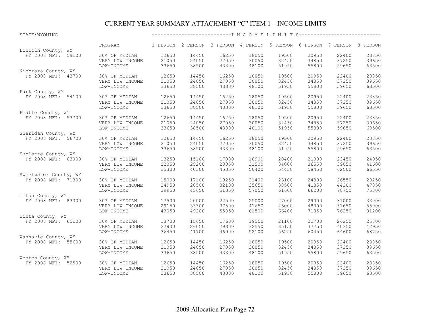#### CURRENT YEAR SUMMARY ATTACHMENT "C" ITEM 1 – INCOME LIMITS

| STATE: WYOMING        |                 |       |       |                                                                         |       |       |       |       |       |
|-----------------------|-----------------|-------|-------|-------------------------------------------------------------------------|-------|-------|-------|-------|-------|
|                       | PROGRAM         |       |       | 1 PERSON 2 PERSON 3 PERSON 4 PERSON 5 PERSON 6 PERSON 7 PERSON 8 PERSON |       |       |       |       |       |
| Lincoln County, WY    |                 |       |       |                                                                         |       |       |       |       |       |
| FY 2008 MFI: 59100    | 30% OF MEDIAN   | 12650 | 14450 | 16250                                                                   | 18050 | 19500 | 20950 | 22400 | 23850 |
|                       | VERY LOW INCOME | 21050 | 24050 | 27050                                                                   | 30050 | 32450 | 34850 | 37250 | 39650 |
|                       | LOW-INCOME      | 33650 | 38500 | 43300                                                                   | 48100 | 51950 | 55800 | 59650 | 63500 |
| Niobrara County, WY   |                 |       |       |                                                                         |       |       |       |       |       |
| FY 2008 MFI: 43700    | 30% OF MEDIAN   | 12650 | 14450 | 16250                                                                   | 18050 | 19500 | 20950 | 22400 | 23850 |
|                       | VERY LOW INCOME | 21050 | 24050 | 27050                                                                   | 30050 | 32450 | 34850 | 37250 | 39650 |
|                       | LOW-INCOME      | 33650 | 38500 | 43300                                                                   | 48100 | 51950 | 55800 | 59650 | 63500 |
| Park County, WY       |                 |       |       |                                                                         |       |       |       |       |       |
| FY 2008 MFI: 54100    | 30% OF MEDIAN   | 12650 | 14450 | 16250                                                                   | 18050 | 19500 | 20950 | 22400 | 23850 |
|                       | VERY LOW INCOME | 21050 | 24050 | 27050                                                                   | 30050 | 32450 | 34850 | 37250 | 39650 |
|                       | LOW-INCOME      | 33650 | 38500 | 43300                                                                   | 48100 | 51950 | 55800 | 59650 | 63500 |
| Platte County, WY     |                 |       |       |                                                                         |       |       |       |       |       |
| FY 2008 MFI: 53700    | 30% OF MEDIAN   | 12650 | 14450 | 16250                                                                   | 18050 | 19500 | 20950 | 22400 | 23850 |
|                       | VERY LOW INCOME | 21050 | 24050 | 27050                                                                   | 30050 | 32450 | 34850 | 37250 | 39650 |
|                       |                 |       |       |                                                                         |       |       |       |       |       |
|                       | LOW-INCOME      | 33650 | 38500 | 43300                                                                   | 48100 | 51950 | 55800 | 59650 | 63500 |
| Sheridan County, WY   |                 |       |       |                                                                         |       |       |       |       |       |
| FY 2008 MFI: 56700    | 30% OF MEDIAN   | 12650 | 14450 | 16250                                                                   | 18050 | 19500 | 20950 | 22400 | 23850 |
|                       | VERY LOW INCOME | 21050 | 24050 | 27050                                                                   | 30050 | 32450 | 34850 | 37250 | 39650 |
|                       | LOW-INCOME      | 33650 | 38500 | 43300                                                                   | 48100 | 51950 | 55800 | 59650 | 63500 |
| Sublette County, WY   |                 |       |       |                                                                         |       |       |       |       |       |
| FY 2008 MFI: 63000    | 30% OF MEDIAN   | 13250 | 15100 | 17000                                                                   | 18900 | 20400 | 21900 | 23450 | 24950 |
|                       | VERY LOW INCOME | 22050 | 25200 | 28350                                                                   | 31500 | 34000 | 36550 | 39050 | 41600 |
|                       | LOW-INCOME      | 35300 | 40300 | 45350                                                                   | 50400 | 54450 | 58450 | 62500 | 66550 |
| Sweetwater County, WY |                 |       |       |                                                                         |       |       |       |       |       |
| FY 2008 MFI: 71300    | 30% OF MEDIAN   | 15000 | 17100 | 19250                                                                   | 21400 | 23100 | 24800 | 26550 | 28250 |
|                       | VERY LOW INCOME | 24950 | 28500 | 32100                                                                   | 35650 | 38500 | 41350 | 44200 | 47050 |
|                       | LOW-INCOME      | 39950 | 45650 | 51350                                                                   | 57050 | 61600 | 66200 | 70750 | 75300 |
| Teton County, WY      |                 |       |       |                                                                         |       |       |       |       |       |
| FY 2008 MFI: 83300    | 30% OF MEDIAN   | 17500 | 20000 | 22500                                                                   | 25000 | 27000 | 29000 | 31000 | 33000 |
|                       | VERY LOW INCOME | 29150 | 33300 | 37500                                                                   | 41650 | 45000 | 48300 | 51650 | 55000 |
|                       | LOW-INCOME      | 43050 | 49200 | 55350                                                                   | 61500 | 66400 | 71350 | 76250 | 81200 |
| Uinta County, WY      |                 |       |       |                                                                         |       |       |       |       |       |
| FY 2008 MFI: 65100    | 30% OF MEDIAN   | 13700 | 15650 | 17600                                                                   | 19550 | 21100 | 22700 | 24250 | 25800 |
|                       | VERY LOW INCOME | 22800 | 26050 | 29300                                                                   | 32550 | 35150 | 37750 | 40350 | 42950 |
|                       | LOW-INCOME      | 36450 | 41700 | 46900                                                                   | 52100 | 56250 | 60450 | 64600 | 68750 |
| Washakie County, WY   |                 |       |       |                                                                         |       |       |       |       |       |
| FY 2008 MFI: 55600    | 30% OF MEDIAN   | 12650 | 14450 | 16250                                                                   | 18050 | 19500 | 20950 | 22400 | 23850 |
|                       | VERY LOW INCOME | 21050 | 24050 | 27050                                                                   | 30050 | 32450 | 34850 | 37250 | 39650 |
|                       | LOW-INCOME      | 33650 | 38500 | 43300                                                                   | 48100 | 51950 | 55800 | 59650 | 63500 |
| Weston County, WY     |                 |       |       |                                                                         |       |       |       |       |       |
| FY 2008 MFI: 52500    | 30% OF MEDIAN   | 12650 | 14450 | 16250                                                                   | 18050 | 19500 | 20950 | 22400 | 23850 |
|                       | VERY LOW INCOME | 21050 | 24050 | 27050                                                                   | 30050 | 32450 | 34850 | 37250 | 39650 |
|                       | LOW-INCOME      | 33650 | 38500 | 43300                                                                   | 48100 | 51950 | 55800 | 59650 | 63500 |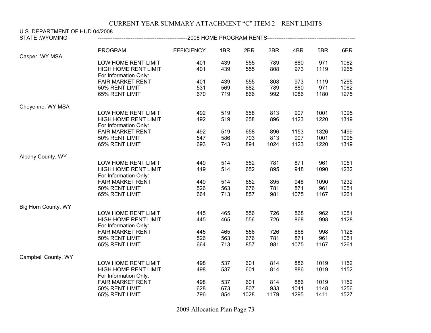| U.S. DEPARTMENT OF HUD 04/2008<br><b>STATE: WYOMING</b> | -------------------------2008 HOME    PROGRAM RENTS---------------------------- |                   |     |      |      |      |      |      |
|---------------------------------------------------------|---------------------------------------------------------------------------------|-------------------|-----|------|------|------|------|------|
|                                                         |                                                                                 |                   |     |      |      |      |      |      |
|                                                         | <b>PROGRAM</b>                                                                  | <b>EFFICIENCY</b> | 1BR | 2BR  | 3BR  | 4BR  | 5BR  | 6BR  |
| Casper, WY MSA                                          |                                                                                 |                   |     |      |      |      |      |      |
|                                                         | LOW HOME RENT LIMIT                                                             | 401               | 439 | 555  | 789  | 880  | 971  | 1062 |
|                                                         | HIGH HOME RENT LIMIT                                                            | 401               | 439 | 555  | 808  | 973  | 1119 | 1265 |
|                                                         | For Information Only:                                                           |                   |     |      |      |      |      |      |
|                                                         | <b>FAIR MARKET RENT</b>                                                         | 401               | 439 | 555  | 808  | 973  | 1119 | 1265 |
|                                                         | 50% RENT LIMIT                                                                  | 531               | 569 | 682  | 789  | 880  | 971  | 1062 |
|                                                         | 65% RENT LIMIT                                                                  | 670               | 719 | 866  | 992  | 1086 | 1180 | 1275 |
| Cheyenne, WY MSA                                        |                                                                                 |                   |     |      |      |      |      |      |
|                                                         | LOW HOME RENT LIMIT                                                             | 492               | 519 | 658  | 813  | 907  | 1001 | 1095 |
|                                                         | <b>HIGH HOME RENT LIMIT</b>                                                     | 492               | 519 | 658  | 896  | 1123 | 1220 | 1319 |
|                                                         | For Information Only:                                                           |                   |     |      |      |      |      |      |
|                                                         | <b>FAIR MARKET RENT</b>                                                         | 492               | 519 | 658  | 896  | 1153 | 1326 | 1499 |
|                                                         | 50% RENT LIMIT                                                                  | 547               | 586 | 703  | 813  | 907  | 1001 | 1095 |
|                                                         | 65% RENT LIMIT                                                                  | 693               | 743 | 894  | 1024 | 1123 | 1220 | 1319 |
| Albany County, WY                                       |                                                                                 |                   |     |      |      |      |      |      |
|                                                         | LOW HOME RENT LIMIT                                                             | 449               | 514 | 652  | 781  | 871  | 961  | 1051 |
|                                                         | HIGH HOME RENT LIMIT                                                            | 449               | 514 | 652  | 895  | 948  | 1090 | 1232 |
|                                                         | For Information Only:                                                           |                   |     |      |      |      |      |      |
|                                                         | <b>FAIR MARKET RENT</b>                                                         | 449               | 514 | 652  | 895  | 948  | 1090 | 1232 |
|                                                         | 50% RENT LIMIT                                                                  | 526               | 563 | 676  | 781  | 871  | 961  | 1051 |
|                                                         | 65% RENT LIMIT                                                                  | 664               | 713 | 857  | 981  | 1075 | 1167 | 1261 |
| Big Horn County, WY                                     |                                                                                 |                   |     |      |      |      |      |      |
|                                                         | LOW HOME RENT LIMIT                                                             | 445               | 465 | 556  | 726  | 868  | 962  | 1051 |
|                                                         | HIGH HOME RENT LIMIT                                                            | 445               | 465 | 556  | 726  | 868  | 998  | 1128 |
|                                                         | For Information Only:                                                           |                   |     |      |      |      |      |      |
|                                                         | <b>FAIR MARKET RENT</b>                                                         | 445               | 465 | 556  | 726  | 868  | 998  | 1128 |
|                                                         | 50% RENT LIMIT                                                                  | 526               | 563 | 676  | 781  | 871  | 961  | 1051 |
|                                                         | 65% RENT LIMIT                                                                  | 664               | 713 | 857  | 981  | 1075 | 1167 | 1261 |
| Campbell County, WY                                     |                                                                                 |                   |     |      |      |      |      |      |
|                                                         | LOW HOME RENT LIMIT                                                             | 498               | 537 | 601  | 814  | 886  | 1019 | 1152 |
|                                                         | HIGH HOME RENT LIMIT                                                            | 498               | 537 | 601  | 814  | 886  | 1019 | 1152 |
|                                                         | For Information Only:                                                           |                   |     |      |      |      |      |      |
|                                                         | <b>FAIR MARKET RENT</b>                                                         | 498               | 537 | 601  | 814  | 886  | 1019 | 1152 |
|                                                         | 50% RENT LIMIT                                                                  | 628               | 673 | 807  | 933  | 1041 | 1148 | 1256 |
|                                                         | 65% RENT LIMIT                                                                  | 796               | 854 | 1028 | 1179 | 1295 | 1411 | 1527 |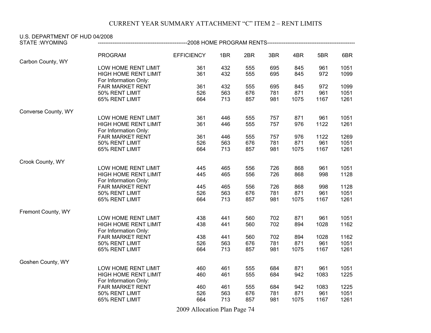| U.S. DEPARTMENT OF HUD 04/2008<br><b>STATE: WYOMING</b> |                             |                   |     |     |     |      |      |      |
|---------------------------------------------------------|-----------------------------|-------------------|-----|-----|-----|------|------|------|
|                                                         |                             |                   |     |     |     |      |      |      |
|                                                         | <b>PROGRAM</b>              | <b>EFFICIENCY</b> | 1BR | 2BR | 3BR | 4BR  | 5BR  | 6BR  |
| Carbon County, WY                                       |                             |                   |     |     |     |      |      |      |
|                                                         | LOW HOME RENT LIMIT         | 361               | 432 | 555 | 695 | 845  | 961  | 1051 |
|                                                         | HIGH HOME RENT LIMIT        | 361               | 432 | 555 | 695 | 845  | 972  | 1099 |
|                                                         | For Information Only:       |                   |     |     |     |      |      |      |
|                                                         | <b>FAIR MARKET RENT</b>     | 361               | 432 | 555 | 695 | 845  | 972  | 1099 |
|                                                         | 50% RENT LIMIT              | 526               | 563 | 676 | 781 | 871  | 961  | 1051 |
|                                                         | 65% RENT LIMIT              | 664               | 713 | 857 | 981 | 1075 | 1167 | 1261 |
| Converse County, WY                                     |                             |                   |     |     |     |      |      |      |
|                                                         | LOW HOME RENT LIMIT         | 361               | 446 | 555 | 757 | 871  | 961  | 1051 |
|                                                         | HIGH HOME RENT LIMIT        | 361               | 446 | 555 | 757 | 976  | 1122 | 1261 |
|                                                         | For Information Only:       |                   |     |     |     |      |      |      |
|                                                         | <b>FAIR MARKET RENT</b>     | 361               | 446 | 555 | 757 | 976  | 1122 | 1269 |
|                                                         | 50% RENT LIMIT              | 526               | 563 | 676 | 781 | 871  | 961  | 1051 |
|                                                         | 65% RENT LIMIT              | 664               | 713 | 857 | 981 | 1075 | 1167 | 1261 |
| Crook County, WY                                        |                             |                   |     |     |     |      |      |      |
|                                                         | LOW HOME RENT LIMIT         | 445               | 465 | 556 | 726 | 868  | 961  | 1051 |
|                                                         | <b>HIGH HOME RENT LIMIT</b> | 445               | 465 | 556 | 726 | 868  | 998  | 1128 |
|                                                         | For Information Only:       |                   |     |     |     |      |      |      |
|                                                         | <b>FAIR MARKET RENT</b>     | 445               | 465 | 556 | 726 | 868  | 998  | 1128 |
|                                                         | 50% RENT LIMIT              | 526               | 563 | 676 | 781 | 871  | 961  | 1051 |
|                                                         | 65% RENT LIMIT              | 664               | 713 | 857 | 981 | 1075 | 1167 | 1261 |
| Fremont County, WY                                      |                             |                   |     |     |     |      |      |      |
|                                                         | LOW HOME RENT LIMIT         | 438               | 441 | 560 | 702 | 871  | 961  | 1051 |
|                                                         | <b>HIGH HOME RENT LIMIT</b> | 438               | 441 | 560 | 702 | 894  | 1028 | 1162 |
|                                                         | For Information Only:       |                   |     |     |     |      |      |      |
|                                                         | <b>FAIR MARKET RENT</b>     | 438               | 441 | 560 | 702 | 894  | 1028 | 1162 |
|                                                         | 50% RENT LIMIT              | 526               | 563 | 676 | 781 | 871  | 961  | 1051 |
|                                                         | 65% RENT LIMIT              | 664               | 713 | 857 | 981 | 1075 | 1167 | 1261 |
| Goshen County, WY                                       |                             |                   |     |     |     |      |      |      |
|                                                         | LOW HOME RENT LIMIT         | 460               | 461 | 555 | 684 | 871  | 961  | 1051 |
|                                                         | HIGH HOME RENT LIMIT        | 460               | 461 | 555 | 684 | 942  | 1083 | 1225 |
|                                                         | For Information Only:       |                   |     |     |     |      |      |      |
|                                                         | <b>FAIR MARKET RENT</b>     | 460               | 461 | 555 | 684 | 942  | 1083 | 1225 |
|                                                         | 50% RENT LIMIT              | 526               | 563 | 676 | 781 | 871  | 961  | 1051 |
|                                                         | 65% RENT LIMIT              | 664               | 713 | 857 | 981 | 1075 | 1167 | 1261 |
|                                                         |                             |                   |     |     |     |      |      |      |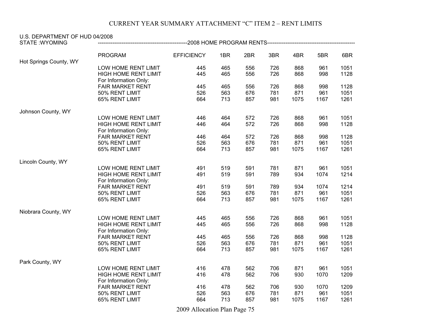| U.S. DEPARTMENT OF HUD 04/2008 |                             |                   |     |     |     |      |      |      |
|--------------------------------|-----------------------------|-------------------|-----|-----|-----|------|------|------|
| <b>STATE: WYOMING</b>          |                             |                   |     |     |     |      |      |      |
|                                | <b>PROGRAM</b>              | <b>EFFICIENCY</b> | 1BR | 2BR | 3BR | 4BR  | 5BR  | 6BR  |
| Hot Springs County, WY         |                             |                   |     |     |     |      |      |      |
|                                | LOW HOME RENT LIMIT         | 445               | 465 | 556 | 726 | 868  | 961  | 1051 |
|                                | HIGH HOME RENT LIMIT        | 445               | 465 | 556 | 726 | 868  | 998  | 1128 |
|                                | For Information Only:       |                   |     |     |     |      |      |      |
|                                | <b>FAIR MARKET RENT</b>     | 445               | 465 | 556 | 726 | 868  | 998  | 1128 |
|                                | 50% RENT LIMIT              | 526               | 563 | 676 | 781 | 871  | 961  | 1051 |
|                                | 65% RENT LIMIT              | 664               | 713 | 857 | 981 | 1075 | 1167 | 1261 |
| Johnson County, WY             |                             |                   |     |     |     |      |      |      |
|                                | LOW HOME RENT LIMIT         | 446               | 464 | 572 | 726 | 868  | 961  | 1051 |
|                                | HIGH HOME RENT LIMIT        | 446               | 464 | 572 | 726 | 868  | 998  | 1128 |
|                                | For Information Only:       |                   |     |     |     |      |      |      |
|                                | <b>FAIR MARKET RENT</b>     | 446               | 464 | 572 | 726 | 868  | 998  | 1128 |
|                                | 50% RENT LIMIT              | 526               | 563 | 676 | 781 | 871  | 961  | 1051 |
|                                | 65% RENT LIMIT              | 664               | 713 | 857 | 981 | 1075 | 1167 | 1261 |
| Lincoln County, WY             |                             |                   |     |     |     |      |      |      |
|                                | LOW HOME RENT LIMIT         | 491               | 519 | 591 | 781 | 871  | 961  | 1051 |
|                                | HIGH HOME RENT LIMIT        | 491               | 519 | 591 | 789 | 934  | 1074 | 1214 |
|                                | For Information Only:       |                   |     |     |     |      |      |      |
|                                | <b>FAIR MARKET RENT</b>     | 491               | 519 | 591 | 789 | 934  | 1074 | 1214 |
|                                | 50% RENT LIMIT              | 526               | 563 | 676 | 781 | 871  | 961  | 1051 |
|                                | 65% RENT LIMIT              | 664               | 713 | 857 | 981 | 1075 | 1167 | 1261 |
| Niobrara County, WY            |                             |                   |     |     |     |      |      |      |
|                                | LOW HOME RENT LIMIT         | 445               | 465 | 556 | 726 | 868  | 961  | 1051 |
|                                | <b>HIGH HOME RENT LIMIT</b> | 445               | 465 | 556 | 726 | 868  | 998  | 1128 |
|                                | For Information Only:       |                   |     |     |     |      |      |      |
|                                | <b>FAIR MARKET RENT</b>     | 445               | 465 | 556 | 726 | 868  | 998  | 1128 |
|                                | 50% RENT LIMIT              | 526               | 563 | 676 | 781 | 871  | 961  | 1051 |
|                                | 65% RENT LIMIT              | 664               | 713 | 857 | 981 | 1075 | 1167 | 1261 |
| Park County, WY                |                             |                   |     |     |     |      |      |      |
|                                | LOW HOME RENT LIMIT         | 416               | 478 | 562 | 706 | 871  | 961  | 1051 |
|                                | <b>HIGH HOME RENT LIMIT</b> | 416               | 478 | 562 | 706 | 930  | 1070 | 1209 |
|                                | For Information Only:       |                   |     |     |     |      |      |      |
|                                | <b>FAIR MARKET RENT</b>     | 416               | 478 | 562 | 706 | 930  | 1070 | 1209 |
|                                | 50% RENT LIMIT              | 526               | 563 | 676 | 781 | 871  | 961  | 1051 |
|                                | 65% RENT LIMIT              | 664               | 713 | 857 | 981 | 1075 | 1167 | 1261 |
|                                |                             |                   |     |     |     |      |      |      |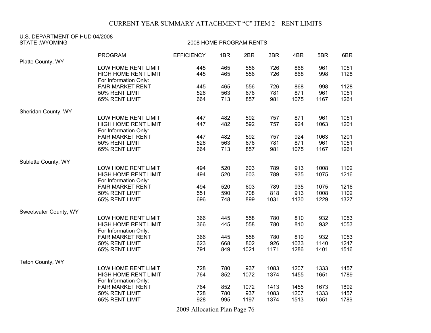| U.S. DEPARTMENT OF HUD 04/2008 |                             |                   |     |      |      |      |      |      |
|--------------------------------|-----------------------------|-------------------|-----|------|------|------|------|------|
| <b>STATE: WYOMING</b>          |                             |                   |     |      |      |      |      |      |
|                                | <b>PROGRAM</b>              | <b>EFFICIENCY</b> | 1BR | 2BR  | 3BR  | 4BR  | 5BR  | 6BR  |
| Platte County, WY              |                             |                   |     |      |      |      |      |      |
|                                | LOW HOME RENT LIMIT         | 445               | 465 | 556  | 726  | 868  | 961  | 1051 |
|                                | HIGH HOME RENT LIMIT        | 445               | 465 | 556  | 726  | 868  | 998  | 1128 |
|                                | For Information Only:       |                   |     |      |      |      |      |      |
|                                | <b>FAIR MARKET RENT</b>     | 445               | 465 | 556  | 726  | 868  | 998  | 1128 |
|                                | 50% RENT LIMIT              | 526               | 563 | 676  | 781  | 871  | 961  | 1051 |
|                                | 65% RENT LIMIT              | 664               | 713 | 857  | 981  | 1075 | 1167 | 1261 |
| Sheridan County, WY            |                             |                   |     |      |      |      |      |      |
|                                | LOW HOME RENT LIMIT         | 447               | 482 | 592  | 757  | 871  | 961  | 1051 |
|                                | HIGH HOME RENT LIMIT        | 447               | 482 | 592  | 757  | 924  | 1063 | 1201 |
|                                | For Information Only:       |                   |     |      |      |      |      |      |
|                                | <b>FAIR MARKET RENT</b>     | 447               | 482 | 592  | 757  | 924  | 1063 | 1201 |
|                                | 50% RENT LIMIT              | 526               | 563 | 676  | 781  | 871  | 961  | 1051 |
|                                | 65% RENT LIMIT              | 664               | 713 | 857  | 981  | 1075 | 1167 | 1261 |
| Sublette County, WY            |                             |                   |     |      |      |      |      |      |
|                                | LOW HOME RENT LIMIT         | 494               | 520 | 603  | 789  | 913  | 1008 | 1102 |
|                                | HIGH HOME RENT LIMIT        | 494               | 520 | 603  | 789  | 935  | 1075 | 1216 |
|                                | For Information Only:       |                   |     |      |      |      |      |      |
|                                | <b>FAIR MARKET RENT</b>     | 494               | 520 | 603  | 789  | 935  | 1075 | 1216 |
|                                | 50% RENT LIMIT              | 551               | 590 | 708  | 818  | 913  | 1008 | 1102 |
|                                | 65% RENT LIMIT              | 696               | 748 | 899  | 1031 | 1130 | 1229 | 1327 |
| Sweetwater County, WY          |                             |                   |     |      |      |      |      |      |
|                                | LOW HOME RENT LIMIT         | 366               | 445 | 558  | 780  | 810  | 932  | 1053 |
|                                | <b>HIGH HOME RENT LIMIT</b> | 366               | 445 | 558  | 780  | 810  | 932  | 1053 |
|                                | For Information Only:       |                   |     |      |      |      |      |      |
|                                | <b>FAIR MARKET RENT</b>     | 366               | 445 | 558  | 780  | 810  | 932  | 1053 |
|                                | 50% RENT LIMIT              | 623               | 668 | 802  | 926  | 1033 | 1140 | 1247 |
|                                | 65% RENT LIMIT              | 791               | 849 | 1021 | 1171 | 1286 | 1401 | 1516 |
| Teton County, WY               |                             |                   |     |      |      |      |      |      |
|                                | LOW HOME RENT LIMIT         | 728               | 780 | 937  | 1083 | 1207 | 1333 | 1457 |
|                                | HIGH HOME RENT LIMIT        | 764               | 852 | 1072 | 1374 | 1455 | 1651 | 1789 |
|                                | For Information Only:       |                   |     |      |      |      |      |      |
|                                | <b>FAIR MARKET RENT</b>     | 764               | 852 | 1072 | 1413 | 1455 | 1673 | 1892 |
|                                | 50% RENT LIMIT              | 728               | 780 | 937  | 1083 | 1207 | 1333 | 1457 |
|                                | 65% RENT LIMIT              | 928               | 995 | 1197 | 1374 | 1513 | 1651 | 1789 |
|                                |                             |                   |     |      |      |      |      |      |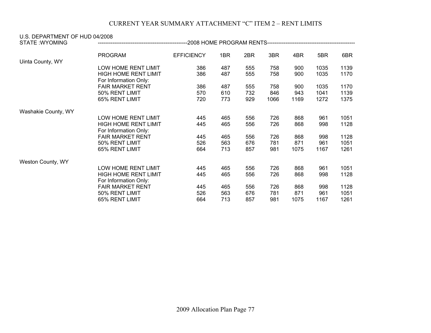| U.S. DEPARTMENT OF HUD 04/2008<br><b>STATE:WYOMING</b> |                                                                             | -2008 HOME PROGRAM RENTS------------------- |                   |                   |                    |                    |                      |                      |
|--------------------------------------------------------|-----------------------------------------------------------------------------|---------------------------------------------|-------------------|-------------------|--------------------|--------------------|----------------------|----------------------|
|                                                        | <b>PROGRAM</b>                                                              | <b>EFFICIENCY</b>                           | 1BR               | 2BR               | 3BR                | 4BR                | 5BR                  | 6BR                  |
| Uinta County, WY                                       | LOW HOME RENT LIMIT<br><b>HIGH HOME RENT LIMIT</b><br>For Information Only: | 386<br>386                                  | 487<br>487        | 555<br>555        | 758<br>758         | 900<br>900         | 1035<br>1035         | 1139<br>1170         |
|                                                        | <b>FAIR MARKET RENT</b><br>50% RENT LIMIT<br>65% RENT LIMIT                 | 386<br>570<br>720                           | 487<br>610<br>773 | 555<br>732<br>929 | 758<br>846<br>1066 | 900<br>943<br>1169 | 1035<br>1041<br>1272 | 1170<br>1139<br>1375 |
| Washakie County, WY                                    |                                                                             |                                             |                   |                   |                    |                    |                      |                      |
|                                                        | LOW HOME RENT LIMIT<br><b>HIGH HOME RENT LIMIT</b><br>For Information Only: | 445<br>445                                  | 465<br>465        | 556<br>556        | 726<br>726         | 868<br>868         | 961<br>998           | 1051<br>1128         |
|                                                        | <b>FAIR MARKET RENT</b><br>50% RENT LIMIT<br>65% RENT LIMIT                 | 445<br>526<br>664                           | 465<br>563<br>713 | 556<br>676<br>857 | 726<br>781<br>981  | 868<br>871<br>1075 | 998<br>961<br>1167   | 1128<br>1051<br>1261 |
| Weston County, WY                                      |                                                                             |                                             |                   |                   |                    |                    |                      |                      |
|                                                        | LOW HOME RENT LIMIT<br><b>HIGH HOME RENT LIMIT</b><br>For Information Only: | 445<br>445                                  | 465<br>465        | 556<br>556        | 726<br>726         | 868<br>868         | 961<br>998           | 1051<br>1128         |
|                                                        | <b>FAIR MARKET RENT</b><br>50% RENT LIMIT<br>65% RENT LIMIT                 | 445<br>526<br>664                           | 465<br>563<br>713 | 556<br>676<br>857 | 726<br>781<br>981  | 868<br>871<br>1075 | 998<br>961<br>1167   | 1128<br>1051<br>1261 |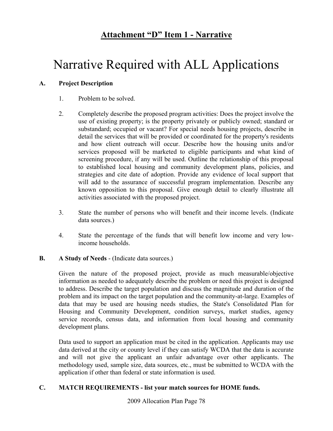## **Attachment "D" Item 1 - Narrative**

# Narrative Required with ALL Applications

## **A. Project Description**

- 1. Problem to be solved.
- 2. Completely describe the proposed program activities: Does the project involve the use of existing property; is the property privately or publicly owned; standard or substandard; occupied or vacant? For special needs housing projects, describe in detail the services that will be provided or coordinated for the property's residents and how client outreach will occur. Describe how the housing units and/or services proposed will be marketed to eligible participants and what kind of screening procedure, if any will be used. Outline the relationship of this proposal to established local housing and community development plans, policies, and strategies and cite date of adoption. Provide any evidence of local support that will add to the assurance of successful program implementation. Describe any known opposition to this proposal. Give enough detail to clearly illustrate all activities associated with the proposed project.
- 3. State the number of persons who will benefit and their income levels. (Indicate data sources.)
- 4. State the percentage of the funds that will benefit low income and very lowincome households.

### **B. A Study of Needs** - (Indicate data sources.)

Given the nature of the proposed project, provide as much measurable/objective information as needed to adequately describe the problem or need this project is designed to address. Describe the target population and discuss the magnitude and duration of the problem and its impact on the target population and the community-at-large. Examples of data that may be used are housing needs studies, the State's Consolidated Plan for Housing and Community Development, condition surveys, market studies, agency service records, census data, and information from local housing and community development plans.

Data used to support an application must be cited in the application. Applicants may use data derived at the city or county level if they can satisfy WCDA that the data is accurate and will not give the applicant an unfair advantage over other applicants. The methodology used, sample size, data sources, etc., must be submitted to WCDA with the application if other than federal or state information is used.

### **C. MATCH REQUIREMENTS - list your match sources for HOME funds.**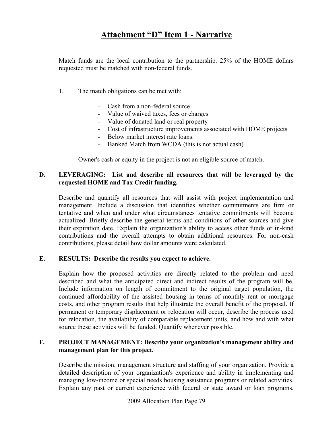## **Attachment "D" Item 1 - Narrative**

Match funds are the local contribution to the partnership. 25% of the HOME dollars requested must be matched with non-federal funds.

- 1. The match obligations can be met with:
	- Cash from a non-federal source
	- Value of waived taxes, fees or charges
	- Value of donated land or real property
	- Cost of infrastructure improvements associated with HOME projects
	- Below market interest rate loans.
	- Banked Match from WCDA (this is not actual cash)

Owner's cash or equity in the project is not an eligible source of match.

#### **D. LEVERAGING: List and describe all resources that will be leveraged by the requested HOME and Tax Credit funding.**

Describe and quantify all resources that will assist with project implementation and management. Include a discussion that identifies whether commitments are firm or tentative and when and under what circumstances tentative commitments will become actualized. Briefly describe the general terms and conditions of other sources and give their expiration date. Explain the organization's ability to access other funds or in-kind contributions and the overall attempts to obtain additional resources. For non-cash contributions, please detail how dollar amounts were calculated.

#### **E. RESULTS: Describe the results you expect to achieve.**

Explain how the proposed activities are directly related to the problem and need described and what the anticipated direct and indirect results of the program will be. Include information on length of commitment to the original target population, the continued affordability of the assisted housing in terms of monthly rent or mortgage costs, and other program results that help illustrate the overall benefit of the proposal. If permanent or temporary displacement or relocation will occur, describe the process used for relocation, the availability of comparable replacement units, and how and with what source these activities will be funded. Quantify whenever possible.

### **F. PROJECT MANAGEMENT: Describe your organization's management ability and management plan for this project.**

Describe the mission, management structure and staffing of your organization. Provide a detailed description of your organization's experience and ability in implementing and managing low-income or special needs housing assistance programs or related activities. Explain any past or current experience with federal or state award or loan programs.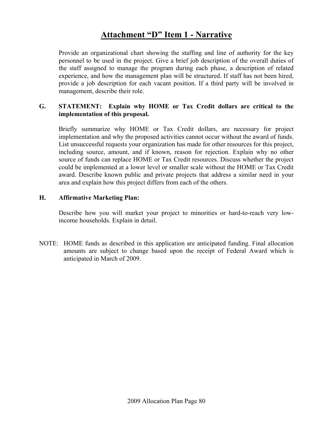## **Attachment "D" Item 1 - Narrative**

Provide an organizational chart showing the staffing and line of authority for the key personnel to be used in the project. Give a brief job description of the overall duties of the staff assigned to manage the program during each phase, a description of related experience, and how the management plan will be structured. If staff has not been hired, provide a job description for each vacant position. If a third party will be involved in management, describe their role.

### **G. STATEMENT: Explain why HOME or Tax Credit dollars are critical to the implementation of this proposal.**

Briefly summarize why HOME or Tax Credit dollars, are necessary for project implementation and why the proposed activities cannot occur without the award of funds. List unsuccessful requests your organization has made for other resources for this project, including source, amount, and if known, reason for rejection. Explain why no other source of funds can replace HOME or Tax Credit resources. Discuss whether the project could be implemented at a lower level or smaller scale without the HOME or Tax Credit award. Describe known public and private projects that address a similar need in your area and explain how this project differs from each of the others.

### **H. Affirmative Marketing Plan:**

Describe how you will market your project to minorities or hard-to-reach very lowincome households. Explain in detail.

NOTE: HOME funds as described in this application are anticipated funding. Final allocation amounts are subject to change based upon the receipt of Federal Award which is anticipated in March of 2009.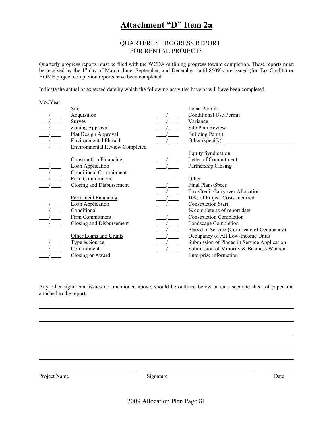## **Attachment "D" Item 2a**

#### QUARTERLY PROGRESS REPORT FOR RENTAL PROJECTS

Quarterly progress reports must be filed with the WCDA outlining progress toward completion. These reports must be received by the 1<sup>st</sup> day of March, June, September, and December, until 8609's are issued (for Tax Credits) or HOME project completion reports have been completed.

Indicate the actual or expected date by which the following activities have or will have been completed.

| Mo./Year |                                       |                                              |
|----------|---------------------------------------|----------------------------------------------|
|          | <b>Site</b>                           | <b>Local Permits</b>                         |
|          | Acquisition                           | <b>Conditional Use Permit</b>                |
|          | Survey                                | Variance                                     |
|          | Zoning Approval                       | Site Plan Review                             |
|          | Plat Design Approval                  | <b>Building Permit</b>                       |
|          | Environmental Phase I                 | Other (specify)                              |
|          | <b>Environmental Review Completed</b> |                                              |
|          |                                       | <b>Equity Syndication</b>                    |
|          | <b>Construction Financing</b>         | Letter of Commitment                         |
|          | Loan Application                      | Partnership Closing                          |
|          | <b>Conditional Commitment</b>         |                                              |
|          | Firm Commitment                       | Other                                        |
|          | Closing and Disbursement              | Final Plans/Specs                            |
|          |                                       | Tax Credit Carryover Allocation              |
|          | <b>Permanent Financing</b>            | 10% of Project Costs Incurred                |
|          | Loan Application                      | <b>Construction Start</b>                    |
|          | Conditional                           | % complete as of report date                 |
|          | Firm Commitment                       | <b>Construction Completion</b>               |
|          | Closing and Disbursement              | Landscape Completion                         |
|          |                                       | Placed in Service (Certificate of Occupancy) |
|          | Other Loans and Grants                | Occupancy of All Low-Income Units            |
|          | Type $&$ Source:                      | Submission of Placed in Service Application  |
|          | Commitment                            | Submission of Minority & Business Women      |
|          | Closing or Award                      | Enterprise information                       |

Any other significant issues not mentioned above, should be outlined below or on a separate sheet of paper and attached to the report.

Project Name Date Signature Date Date Date Date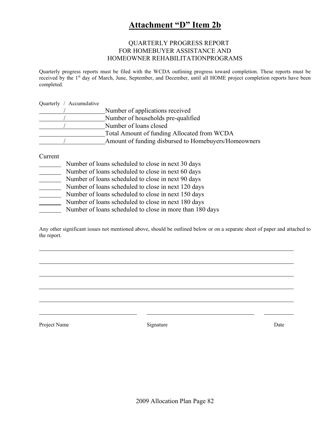## **Attachment "D" Item 2b**

#### QUARTERLY PROGRESS REPORT FOR HOMEBUYER ASSISTANCE AND HOMEOWNER REHABILITATIONPROGRAMS

Quarterly progress reports must be filed with the WCDA outlining progress toward completion. These reports must be received by the 1<sup>st</sup> day of March, June, September, and December, until all HOME project completion reports have been completed.

Quarterly / Accumulative

| Number of applications received                      |
|------------------------------------------------------|
| Number of households pre-qualified                   |
| Number of loans closed                               |
| Total Amount of funding Allocated from WCDA          |
| Amount of funding disbursed to Homebuyers/Homeowners |

Current

- Number of loans scheduled to close in next 30 days
- Number of loans scheduled to close in next 60 days
- Number of loans scheduled to close in next 90 days
- Number of loans scheduled to close in next 120 days
- 
- Number of loans scheduled to close in next 150 days<br>Number of loans scheduled to close in next 180 days Number of loans scheduled to close in next 180 days
- Number of loans scheduled to close in more than 180 days

Any other significant issues not mentioned above, should be outlined below or on a separate sheet of paper and attached to the report.

Project Name Date Signature Date Date Date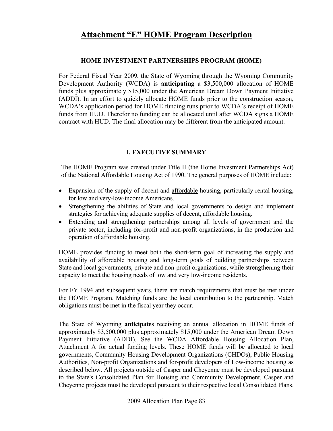#### **HOME INVESTMENT PARTNERSHIPS PROGRAM (HOME)**

For Federal Fiscal Year 2009, the State of Wyoming through the Wyoming Community Development Authority (WCDA) is **anticipating** a \$3,500,000 allocation of HOME funds plus approximately \$15,000 under the American Dream Down Payment Initiative (ADDI). In an effort to quickly allocate HOME funds prior to the construction season, WCDA's application period for HOME funding runs prior to WCDA's receipt of HOME funds from HUD. Therefor no funding can be allocated until after WCDA signs a HOME contract with HUD. The final allocation may be different from the anticipated amount.

### **I. EXECUTIVE SUMMARY**

The HOME Program was created under Title II (the Home Investment Partnerships Act) of the National Affordable Housing Act of 1990. The general purposes of HOME include:

- Expansion of the supply of decent and affordable housing, particularly rental housing, for low and very-low-income Americans.
- Strengthening the abilities of State and local governments to design and implement strategies for achieving adequate supplies of decent, affordable housing.
- Extending and strengthening partnerships among all levels of government and the private sector, including for-profit and non-profit organizations, in the production and operation of affordable housing.

HOME provides funding to meet both the short-term goal of increasing the supply and availability of affordable housing and long-term goals of building partnerships between State and local governments, private and non-profit organizations, while strengthening their capacity to meet the housing needs of low and very low-income residents.

For FY 1994 and subsequent years, there are match requirements that must be met under the HOME Program. Matching funds are the local contribution to the partnership. Match obligations must be met in the fiscal year they occur.

The State of Wyoming **anticipates** receiving an annual allocation in HOME funds of approximately \$3,500,000 plus approximately \$15,000 under the American Dream Down Payment Initiative (ADDI). See the WCDA Affordable Housing Allocation Plan, Attachment A for actual funding levels. These HOME funds will be allocated to local governments, Community Housing Development Organizations (CHDOs), Public Housing Authorities, Non-profit Organizations and for-profit developers of Low-income housing as described below. All projects outside of Casper and Cheyenne must be developed pursuant to the State's Consolidated Plan for Housing and Community Development. Casper and Cheyenne projects must be developed pursuant to their respective local Consolidated Plans.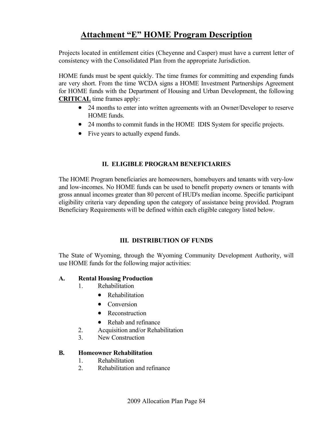Projects located in entitlement cities (Cheyenne and Casper) must have a current letter of consistency with the Consolidated Plan from the appropriate Jurisdiction.

HOME funds must be spent quickly. The time frames for committing and expending funds are very short. From the time WCDA signs a HOME Investment Partnerships Agreement for HOME funds with the Department of Housing and Urban Development, the following **CRITICAL** time frames apply:

- 24 months to enter into written agreements with an Owner/Developer to reserve HOME funds.
- 24 months to commit funds in the HOME IDIS System for specific projects.
- Five years to actually expend funds.

## **II. ELIGIBLE PROGRAM BENEFICIARIES**

The HOME Program beneficiaries are homeowners, homebuyers and tenants with very-low and low-incomes. No HOME funds can be used to benefit property owners or tenants with gross annual incomes greater than 80 percent of HUD's median income. Specific participant eligibility criteria vary depending upon the category of assistance being provided. Program Beneficiary Requirements will be defined within each eligible category listed below.

### **III. DISTRIBUTION OF FUNDS**

The State of Wyoming, through the Wyoming Community Development Authority, will use HOME funds for the following major activities:

### **A. Rental Housing Production**

- 1. Rehabilitation
	- Rehabilitation
	- Conversion
	- Reconstruction
	- Rehab and refinance
- 2. Acquisition and/or Rehabilitation
- 3. New Construction

### **B. Homeowner Rehabilitation**

- 1. Rehabilitation
- 2. Rehabilitation and refinance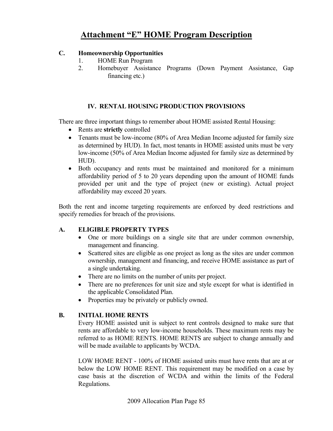## **C. Homeownership Opportunities**

- 1. HOME Run Program
- 2. Homebuyer Assistance Programs (Down Payment Assistance, Gap financing etc.)

## **IV. RENTAL HOUSING PRODUCTION PROVISIONS**

There are three important things to remember about HOME assisted Rental Housing:

- Rents are **strictly** controlled
- Tenants must be low-income (80% of Area Median Income adjusted for family size as determined by HUD). In fact, most tenants in HOME assisted units must be very low-income (50% of Area Median Income adjusted for family size as determined by HUD).
- Both occupancy and rents must be maintained and monitored for a minimum affordability period of 5 to 20 years depending upon the amount of HOME funds provided per unit and the type of project (new or existing). Actual project affordability may exceed 20 years.

Both the rent and income targeting requirements are enforced by deed restrictions and specify remedies for breach of the provisions.

### **A. ELIGIBLE PROPERTY TYPES**

- One or more buildings on a single site that are under common ownership, management and financing.
- Scattered sites are eligible as one project as long as the sites are under common ownership, management and financing, and receive HOME assistance as part of a single undertaking.
- There are no limits on the number of units per project.
- There are no preferences for unit size and style except for what is identified in the applicable Consolidated Plan.
- Properties may be privately or publicly owned.

### **B. INITIAL HOME RENTS**

 Every HOME assisted unit is subject to rent controls designed to make sure that rents are affordable to very low-income households. These maximum rents may be referred to as HOME RENTS. HOME RENTS are subject to change annually and will be made available to applicants by WCDA.

 LOW HOME RENT - 100% of HOME assisted units must have rents that are at or below the LOW HOME RENT. This requirement may be modified on a case by case basis at the discretion of WCDA and within the limits of the Federal Regulations.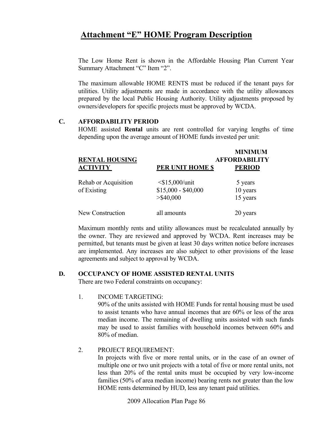The Low Home Rent is shown in the Affordable Housing Plan Current Year Summary Attachment "C" Item "2".

 The maximum allowable HOME RENTS must be reduced if the tenant pays for utilities. Utility adjustments are made in accordance with the utility allowances prepared by the local Public Housing Authority. Utility adjustments proposed by owners/developers for specific projects must be approved by WCDA.

#### **C. AFFORDABILITY PERIOD**

 HOME assisted **Rental** units are rent controlled for varying lengths of time depending upon the average amount of HOME funds invested per unit:

| <b>RENTAL HOUSING</b>               |                                                          | <b>MINIMUM</b><br><b>AFFORDABILITY</b> |
|-------------------------------------|----------------------------------------------------------|----------------------------------------|
| <b>ACTIVITY</b>                     | PER UNIT HOME \$                                         | <b>PERIOD</b>                          |
| Rehab or Acquisition<br>of Existing | $<$ \$15,000/unit<br>$$15,000 - $40,000$<br>$>$ \$40,000 | 5 years<br>10 years<br>15 years        |
| New Construction                    | all amounts                                              | 20 years                               |

 Maximum monthly rents and utility allowances must be recalculated annually by the owner. They are reviewed and approved by WCDA. Rent increases may be permitted, but tenants must be given at least 30 days written notice before increases are implemented. Any increases are also subject to other provisions of the lease agreements and subject to approval by WCDA.

### **D. OCCUPANCY OF HOME ASSISTED RENTAL UNITS**

There are two Federal constraints on occupancy:

1. INCOME TARGETING:

 90% of the units assisted with HOME Funds for rental housing must be used to assist tenants who have annual incomes that are 60% or less of the area median income. The remaining of dwelling units assisted with such funds may be used to assist families with household incomes between 60% and 80% of median.

### 2. PROJECT REQUIREMENT:

 In projects with five or more rental units, or in the case of an owner of multiple one or two unit projects with a total of five or more rental units, not less than 20% of the rental units must be occupied by very low-income families (50% of area median income) bearing rents not greater than the low HOME rents determined by HUD, less any tenant paid utilities.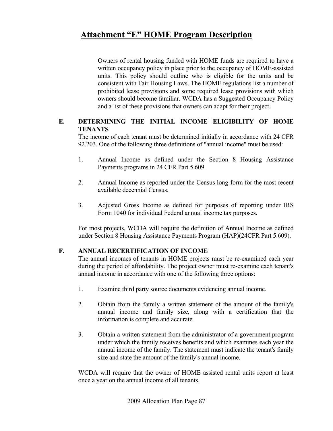Owners of rental housing funded with HOME funds are required to have a written occupancy policy in place prior to the occupancy of HOME-assisted units. This policy should outline who is eligible for the units and be consistent with Fair Housing Laws. The HOME regulations list a number of prohibited lease provisions and some required lease provisions with which owners should become familiar. WCDA has a Suggested Occupancy Policy and a list of these provisions that owners can adapt for their project.

### **E. DETERMINING THE INITIAL INCOME ELIGIBILITY OF HOME TENANTS**

 The income of each tenant must be determined initially in accordance with 24 CFR 92.203. One of the following three definitions of "annual income" must be used:

- 1. Annual Income as defined under the Section 8 Housing Assistance Payments programs in 24 CFR Part 5.609.
- 2. Annual Income as reported under the Census long-form for the most recent available decennial Census.
- 3. Adjusted Gross Income as defined for purposes of reporting under IRS Form 1040 for individual Federal annual income tax purposes.

For most projects, WCDA will require the definition of Annual Income as defined under Section 8 Housing Assistance Payments Program (HAP)(24CFR Part 5.609).

### **F. ANNUAL RECERTIFICATION OF INCOME**

 The annual incomes of tenants in HOME projects must be re-examined each year during the period of affordability. The project owner must re-examine each tenant's annual income in accordance with one of the following three options:

- 1. Examine third party source documents evidencing annual income.
- 2. Obtain from the family a written statement of the amount of the family's annual income and family size, along with a certification that the information is complete and accurate.
- 3. Obtain a written statement from the administrator of a government program under which the family receives benefits and which examines each year the annual income of the family. The statement must indicate the tenant's family size and state the amount of the family's annual income.

 WCDA will require that the owner of HOME assisted rental units report at least once a year on the annual income of all tenants.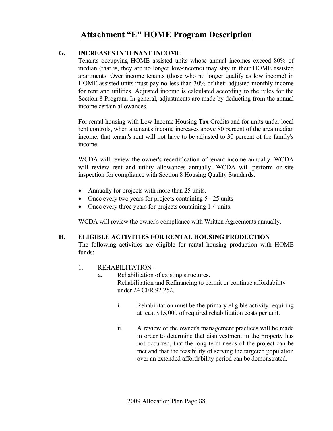## **G. INCREASES IN TENANT INCOME**

 Tenants occupying HOME assisted units whose annual incomes exceed 80% of median (that is, they are no longer low-income) may stay in their HOME assisted apartments. Over income tenants (those who no longer qualify as low income) in HOME assisted units must pay no less than 30% of their adjusted monthly income for rent and utilities. Adjusted income is calculated according to the rules for the Section 8 Program. In general, adjustments are made by deducting from the annual income certain allowances.

 For rental housing with Low-Income Housing Tax Credits and for units under local rent controls, when a tenant's income increases above 80 percent of the area median income, that tenant's rent will not have to be adjusted to 30 percent of the family's income.

 WCDA will review the owner's recertification of tenant income annually. WCDA will review rent and utility allowances annually. WCDA will perform on-site inspection for compliance with Section 8 Housing Quality Standards:

- Annually for projects with more than 25 units.
- Once every two years for projects containing 5 25 units
- Once every three years for projects containing 1-4 units.

WCDA will review the owner's compliance with Written Agreements annually.

### **H. ELIGIBLE ACTIVITIES FOR RENTAL HOUSING PRODUCTION**

 The following activities are eligible for rental housing production with HOME funds:

- 1. REHABILITATION
	- a. Rehabilitation of existing structures. Rehabilitation and Refinancing to permit or continue affordability under 24 CFR 92.252.
		- i. Rehabilitation must be the primary eligible activity requiring at least \$15,000 of required rehabilitation costs per unit.
		- ii. A review of the owner's management practices will be made in order to determine that disinvestment in the property has not occurred, that the long term needs of the project can be met and that the feasibility of serving the targeted population over an extended affordability period can be demonstrated.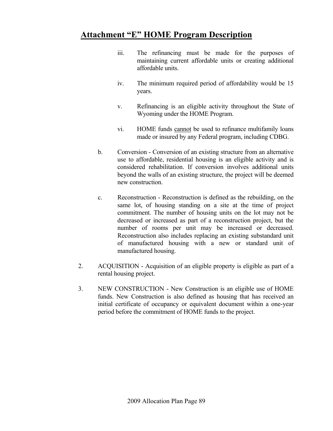- iii. The refinancing must be made for the purposes of maintaining current affordable units or creating additional affordable units.
- iv. The minimum required period of affordability would be 15 years.
- v. Refinancing is an eligible activity throughout the State of Wyoming under the HOME Program.
- vi. HOME funds cannot be used to refinance multifamily loans made or insured by any Federal program, including CDBG.
- b. Conversion Conversion of an existing structure from an alternative use to affordable, residential housing is an eligible activity and is considered rehabilitation. If conversion involves additional units beyond the walls of an existing structure, the project will be deemed new construction.
- c. Reconstruction Reconstruction is defined as the rebuilding, on the same lot, of housing standing on a site at the time of project commitment. The number of housing units on the lot may not be decreased or increased as part of a reconstruction project, but the number of rooms per unit may be increased or decreased. Reconstruction also includes replacing an existing substandard unit of manufactured housing with a new or standard unit of manufactured housing.
- 2. ACQUISITION Acquisition of an eligible property is eligible as part of a rental housing project.
- 3. NEW CONSTRUCTION New Construction is an eligible use of HOME funds. New Construction is also defined as housing that has received an initial certificate of occupancy or equivalent document within a one-year period before the commitment of HOME funds to the project.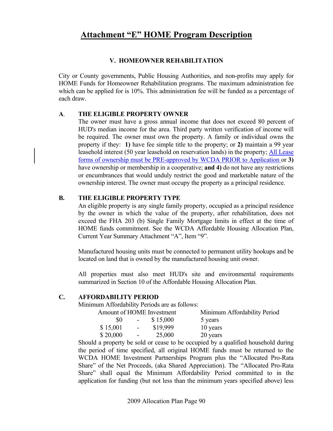### **V. HOMEOWNER REHABILITATION**

City or County governments, Public Housing Authorities, and non-profits may apply for HOME Funds for Homeowner Rehabilitation programs. The maximum administration fee which can be applied for is 10%. This administration fee will be funded as a percentage of each draw.

### **A**. **THE ELIGIBLE PROPERTY OWNER**

 The owner must have a gross annual income that does not exceed 80 percent of HUD's median income for the area. Third party written verification of income will be required. The owner must own the property. A family or individual owns the property if they: **1)** have fee simple title to the property; or **2)** maintain a 99 year leasehold interest (50 year leasehold on reservation lands) in the property; All Lease forms of ownership must be PRE-approved by WCDA PRIOR to Application or **3)** have ownership or membership in a cooperative; **and 4)** do not have any restrictions or encumbrances that would unduly restrict the good and marketable nature of the ownership interest. The owner must occupy the property as a principal residence.

## **B. THE ELIGIBLE PROPERTY TYPE**

An eligible property is any single family property, occupied as a principal residence by the owner in which the value of the property, after rehabilitation, does not exceed the FHA 203 (b) Single Family Mortgage limits in effect at the time of HOME funds commitment. See the WCDA Affordable Housing Allocation Plan, Current Year Summary Attachment "A", Item "9".

Manufactured housing units must be connected to permanent utility hookups and be located on land that is owned by the manufactured housing unit owner.

 All properties must also meet HUD's site and environmental requirements summarized in Section 10 of the Affordable Housing Allocation Plan.

### **C. AFFORDABILITY PERIOD**

Minimum Affordability Periods are as follows:

| Amount of HOME Investment |                |          | Minimum Affordability Period |
|---------------------------|----------------|----------|------------------------------|
| 80                        | $\sim$ $ \sim$ | \$15,000 | 5 years                      |
| \$15,001                  | $\sim$ $-$     | \$19,999 | 10 years                     |
| \$20,000                  | $\sim$         | 25,000   | 20 years                     |

 Should a property be sold or cease to be occupied by a qualified household during the period of time specified, all original HOME funds must be returned to the WCDA HOME Investment Partnerships Program plus the "Allocated Pro-Rata Share" of the Net Proceeds, (aka Shared Appreciation). The "Allocated Pro-Rata Share" shall equal the Minimum Affordability Period committed to in the application for funding (but not less than the minimum years specified above) less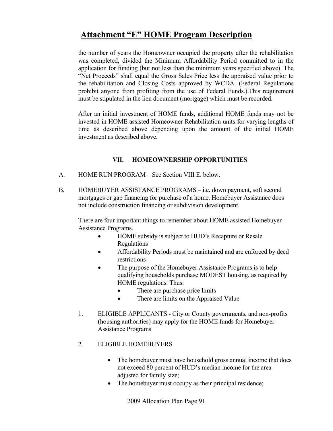the number of years the Homeowner occupied the property after the rehabilitation was completed, divided the Minimum Affordability Period committed to in the application for funding (but not less than the minimum years specified above). The "Net Proceeds" shall equal the Gross Sales Price less the appraised value prior to the rehabilitation and Closing Costs approved by WCDA. (Federal Regulations prohibit anyone from profiting from the use of Federal Funds.).This requirement must be stipulated in the lien document (mortgage) which must be recorded.

 After an initial investment of HOME funds, additional HOME funds may not be invested in HOME assisted Homeowner Rehabilitation units for varying lengths of time as described above depending upon the amount of the initial HOME investment as described above.

## **VII. HOMEOWNERSHIP OPPORTUNITIES**

- A. HOME RUN PROGRAM See Section VIII E. below.
- B. HOMEBUYER ASSISTANCE PROGRAMS i.e. down payment, soft second mortgages or gap financing for purchase of a home. Homebuyer Assistance does not include construction financing or subdivision development.

There are four important things to remember about HOME assisted Homebuyer Assistance Programs.

- HOME subsidy is subject to HUD's Recapture or Resale Regulations
- Affordability Periods must be maintained and are enforced by deed restrictions
- The purpose of the Homebuyer Assistance Programs is to help qualifying households purchase MODEST housing, as required by HOME regulations. Thus:
	- There are purchase price limits
	- There are limits on the Appraised Value
- 1. ELIGIBLE APPLICANTS City or County governments, and non-profits (housing authorities) may apply for the HOME funds for Homebuyer Assistance Programs
- 2. ELIGIBLE HOMEBUYERS
	- The homebuyer must have household gross annual income that does not exceed 80 percent of HUD's median income for the area adjusted for family size;
	- The homebuyer must occupy as their principal residence;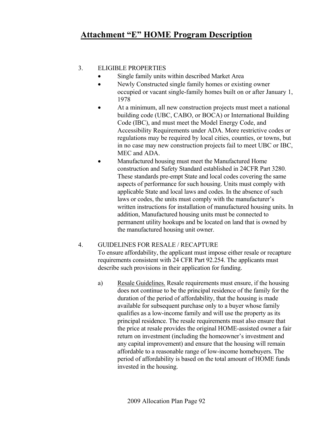## 3. ELIGIBLE PROPERTIES

- Single family units within described Market Area
- Newly Constructed single family homes or existing owner occupied or vacant single-family homes built on or after January 1, 1978
- At a minimum, all new construction projects must meet a national building code (UBC, CABO, or BOCA) or International Building Code (IBC), and must meet the Model Energy Code, and Accessibility Requirements under ADA. More restrictive codes or regulations may be required by local cities, counties, or towns, but in no case may new construction projects fail to meet UBC or IBC, MEC and ADA.
- Manufactured housing must meet the Manufactured Home construction and Safety Standard established in 24CFR Part 3280. These standards pre-empt State and local codes covering the same aspects of performance for such housing. Units must comply with applicable State and local laws and codes. In the absence of such laws or codes, the units must comply with the manufacturer's written instructions for installation of manufactured housing units. In addition, Manufactured housing units must be connected to permanent utility hookups and be located on land that is owned by the manufactured housing unit owner.

### 4. GUIDELINES FOR RESALE / RECAPTURE

 To ensure affordability, the applicant must impose either resale or recapture requirements consistent with 24 CFR Part 92.254. The applicants must describe such provisions in their application for funding.

a) Resale Guidelines. Resale requirements must ensure, if the housing does not continue to be the principal residence of the family for the duration of the period of affordability, that the housing is made available for subsequent purchase only to a buyer whose family qualifies as a low-income family and will use the property as its principal residence. The resale requirements must also ensure that the price at resale provides the original HOME-assisted owner a fair return on investment (including the homeowner's investment and any capital improvement) and ensure that the housing will remain affordable to a reasonable range of low-income homebuyers. The period of affordability is based on the total amount of HOME funds invested in the housing.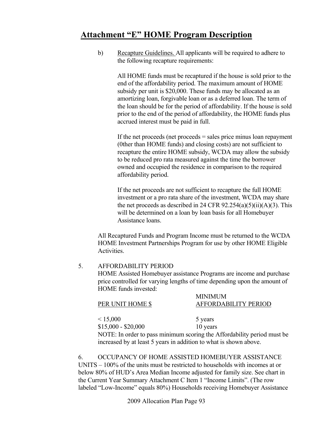b) Recapture Guidelines. All applicants will be required to adhere to the following recapture requirements:

> All HOME funds must be recaptured if the house is sold prior to the end of the affordability period. The maximum amount of HOME subsidy per unit is \$20,000. These funds may be allocated as an amortizing loan, forgivable loan or as a deferred loan. The term of the loan should be for the period of affordability. If the house is sold prior to the end of the period of affordability, the HOME funds plus accrued interest must be paid in full.

> If the net proceeds (net proceeds = sales price minus loan repayment (0ther than HOME funds) and closing costs) are not sufficient to recapture the entire HOME subsidy, WCDA may allow the subsidy to be reduced pro rata measured against the time the borrower owned and occupied the residence in comparison to the required affordability period.

> If the net proceeds are not sufficient to recapture the full HOME investment or a pro rata share of the investment, WCDA may share the net proceeds as described in 24 CFR  $92.254(a)(5)(ii)(A)(3)$ . This will be determined on a loan by loan basis for all Homebuyer Assistance loans.

 All Recaptured Funds and Program Income must be returned to the WCDA HOME Investment Partnerships Program for use by other HOME Eligible Activities.

### 5. AFFORDABILITY PERIOD

HOME Assisted Homebuyer assistance Programs are income and purchase price controlled for varying lengths of time depending upon the amount of HOME funds invested:

MINIMUM

| PER UNIT HOME \$ | <b>TATTE ATTACHMENT</b><br>AFFORDABILITY PERIOD |
|------------------|-------------------------------------------------|
| < 15,000         | 5 years                                         |

\$15,000 - \$20,000 10 years NOTE: In order to pass minimum scoring the Affordability period must be increased by at least 5 years in addition to what is shown above.

6. OCCUPANCY OF HOME ASSISTED HOMEBUYER ASSISTANCE UNITS – 100% of the units must be restricted to households with incomes at or below 80% of HUD's Area Median Income adjusted for family size. See chart in the Current Year Summary Attachment C Item 1 "Income Limits". (The row labeled "Low-Income" equals 80%) Households receiving Homebuyer Assistance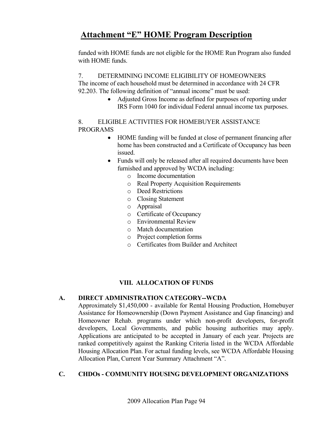funded with HOME funds are not eligible for the HOME Run Program also funded with HOME funds.

## 7. DETERMINING INCOME ELIGIBILITY OF HOMEOWNERS

The income of each household must be determined in accordance with 24 CFR 92.203. The following definition of "annual income" must be used:

> • Adjusted Gross Income as defined for purposes of reporting under IRS Form 1040 for individual Federal annual income tax purposes.

### 8. ELIGIBLE ACTIVITIES FOR HOMEBUYER ASSISTANCE PROGRAMS

- HOME funding will be funded at close of permanent financing after home has been constructed and a Certificate of Occupancy has been issued.
- Funds will only be released after all required documents have been furnished and approved by WCDA including:
	- o Income documentation
	- o Real Property Acquisition Requirements
	- o Deed Restrictions
	- o Closing Statement
	- o Appraisal
	- o Certificate of Occupancy
	- o Environmental Review
	- o Match documentation
	- o Project completion forms
	- o Certificates from Builder and Architect

## **VIII. ALLOCATION OF FUNDS**

### **A. DIRECT ADMINISTRATION CATEGORY--WCDA**

 Approximately \$1,450,000 - available for Rental Housing Production, Homebuyer Assistance for Homeownership (Down Payment Assistance and Gap financing) and Homeowner Rehab. programs under which non-profit developers, for-profit developers, Local Governments, and public housing authorities may apply. Applications are anticipated to be accepted in January of each year. Projects are ranked competitively against the Ranking Criteria listed in the WCDA Affordable Housing Allocation Plan. For actual funding levels, see WCDA Affordable Housing Allocation Plan, Current Year Summary Attachment "A".

## **C. CHDOs - COMMUNITY HOUSING DEVELOPMENT ORGANIZATIONS**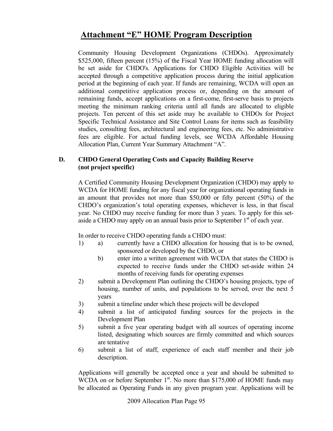Community Housing Development Organizations (CHDOs). Approximately \$525,000, fifteen percent (15%) of the Fiscal Year HOME funding allocation will be set aside for CHDO's. Applications for CHDO Eligible Activities will be accepted through a competitive application process during the initial application period at the beginning of each year. If funds are remaining, WCDA will open an additional competitive application process or, depending on the amount of remaining funds, accept applications on a first-come, first-serve basis to projects meeting the minimum ranking criteria until all funds are allocated to eligible projects. Ten percent of this set aside may be available to CHDOs for Project Specific Technical Assistance and Site Control Loans for items such as feasibility studies, consulting fees, architectural and engineering fees, etc. No administrative fees are eligible. For actual funding levels, see WCDA Affordable Housing Allocation Plan, Current Year Summary Attachment "A".

### **D. CHDO General Operating Costs and Capacity Building Reserve (not project specific)**

A Certified Community Housing Development Organization (CHDO) may apply to WCDA for HOME funding for any fiscal year for organizational operating funds in an amount that provides not more than \$50,000 or fifty percent (50%) of the CHDO's organization's total operating expenses, whichever is less, in that fiscal year. No CHDO may receive funding for more than 3 years. To apply for this setaside a CHDO may apply on an annual basis prior to September 1<sup>st</sup> of each year.

In order to receive CHDO operating funds a CHDO must:

- 1) a) currently have a CHDO allocation for housing that is to be owned, sponsored or developed by the CHDO, or
	- b) enter into a written agreement with WCDA that states the CHDO is expected to receive funds under the CHDO set-aside within 24 months of receiving funds for operating expenses
- 2) submit a Development Plan outlining the CHDO's housing projects, type of housing, number of units, and populations to be served, over the next 5 years
- 3) submit a timeline under which these projects will be developed
- 4) submit a list of anticipated funding sources for the projects in the Development Plan
- 5) submit a five year operating budget with all sources of operating income listed, designating which sources are firmly committed and which sources are tentative
- 6) submit a list of staff, experience of each staff member and their job description.

Applications will generally be accepted once a year and should be submitted to WCDA on or before September  $1<sup>st</sup>$ . No more than \$175,000 of HOME funds may be allocated as Operating Funds in any given program year. Applications will be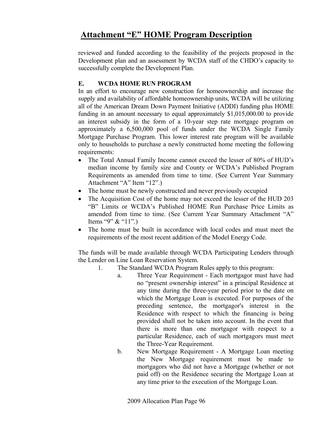reviewed and funded according to the feasibility of the projects proposed in the Development plan and an assessment by WCDA staff of the CHDO's capacity to successfully complete the Development Plan.

## **E. WCDA HOME RUN PROGRAM**

In an effort to encourage new construction for homeownership and increase the supply and availability of affordable homeownership units, WCDA will be utilizing all of the American Dream Down Payment Initiative (ADDI) funding plus HOME funding in an amount necessary to equal approximately \$1,015,000.00 to provide an interest subsidy in the form of a 10-year step rate mortgage program on approximately a 6,500,000 pool of funds under the WCDA Single Family Mortgage Purchase Program. This lower interest rate program will be available only to households to purchase a newly constructed home meeting the following requirements:

- The Total Annual Family Income cannot exceed the lesser of 80% of HUD's median income by family size and County or WCDA's Published Program Requirements as amended from time to time. (See Current Year Summary Attachment "A" Item "12".)
- The home must be newly constructed and never previously occupied
- The Acquisition Cost of the home may not exceed the lesser of the HUD 203 "B" Limits or WCDA's Published HOME Run Purchase Price Limits as amended from time to time. (See Current Year Summary Attachment "A" Items "9" & "11".)
- The home must be built in accordance with local codes and must meet the requirements of the most recent addition of the Model Energy Code.

The funds will be made available through WCDA Participating Lenders through the Lender on Line Loan Reservation System.

- 1. The Standard WCDA Program Rules apply to this program:
	- a. Three Year Requirement Each mortgagor must have had no "present ownership interest" in a principal Residence at any time during the three-year period prior to the date on which the Mortgage Loan is executed. For purposes of the preceding sentence, the mortgagor's interest in the Residence with respect to which the financing is being provided shall not be taken into account. In the event that there is more than one mortgagor with respect to a particular Residence, each of such mortgagors must meet the Three-Year Requirement.
	- b. New Mortgage Requirement A Mortgage Loan meeting the New Mortgage requirement must be made to mortgagors who did not have a Mortgage (whether or not paid off) on the Residence securing the Mortgage Loan at any time prior to the execution of the Mortgage Loan.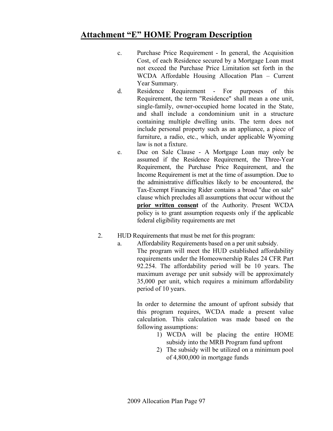- c. Purchase Price Requirement In general, the Acquisition Cost, of each Residence secured by a Mortgage Loan must not exceed the Purchase Price Limitation set forth in the WCDA Affordable Housing Allocation Plan – Current Year Summary.
- d. Residence Requirement For purposes of this Requirement, the term "Residence" shall mean a one unit, single-family, owner-occupied home located in the State, and shall include a condominium unit in a structure containing multiple dwelling units. The term does not include personal property such as an appliance, a piece of furniture, a radio, etc., which, under applicable Wyoming law is not a fixture.
- e. Due on Sale Clause A Mortgage Loan may only be assumed if the Residence Requirement, the Three-Year Requirement, the Purchase Price Requirement, and the Income Requirement is met at the time of assumption. Due to the administrative difficulties likely to be encountered, the Tax-Exempt Financing Rider contains a broad "due on sale" clause which precludes all assumptions that occur without the **prior written consent** of the Authority. Present WCDA policy is to grant assumption requests only if the applicable federal eligibility requirements are met
- 2. HUD Requirements that must be met for this program:
	- a. Affordability Requirements based on a per unit subsidy. The program will meet the HUD established affordability requirements under the Homeownership Rules 24 CFR Part 92.254. The affordability period will be 10 years. The maximum average per unit subsidy will be approximately 35,000 per unit, which requires a minimum affordability period of 10 years.

In order to determine the amount of upfront subsidy that this program requires, WCDA made a present value calculation. This calculation was made based on the following assumptions:

- 1) WCDA will be placing the entire HOME subsidy into the MRB Program fund upfront
- 2) The subsidy will be utilized on a minimum pool of 4,800,000 in mortgage funds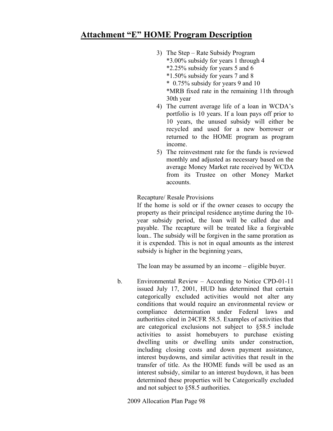- 3) The Step Rate Subsidy Program \*3.00% subsidy for years 1 through 4 \*2.25% subsidy for years 5 and 6 \*1.50% subsidy for years 7 and 8 \* 0.75% subsidy for years 9 and 10
	- \*MRB fixed rate in the remaining 11th through 30th year
- 4) The current average life of a loan in WCDA's portfolio is 10 years. If a loan pays off prior to 10 years, the unused subsidy will either be recycled and used for a new borrower or returned to the HOME program as program income.
- 5) The reinvestment rate for the funds is reviewed monthly and adjusted as necessary based on the average Money Market rate received by WCDA from its Trustee on other Money Market accounts.

Recapture/ Resale Provisions

If the home is sold or if the owner ceases to occupy the property as their principal residence anytime during the 10 year subsidy period, the loan will be called due and payable. The recapture will be treated like a forgivable loan.. The subsidy will be forgiven in the same proration as it is expended. This is not in equal amounts as the interest subsidy is higher in the beginning years,

The loan may be assumed by an income – eligible buyer.

 b. Environmental Review – According to Notice CPD-01-11 issued July 17, 2001, HUD has determined that certain categorically excluded activities would not alter any conditions that would require an environmental review or compliance determination under Federal laws and authorities cited in 24CFR 58.5. Examples of activities that are categorical exclusions not subject to §58.5 include activities to assist homebuyers to purchase existing dwelling units or dwelling units under construction, including closing costs and down payment assistance, interest buydowns, and similar activities that result in the transfer of title. As the HOME funds will be used as an interest subsidy, similar to an interest buydown, it has been determined these properties will be Categorically excluded and not subject to §58.5 authorities.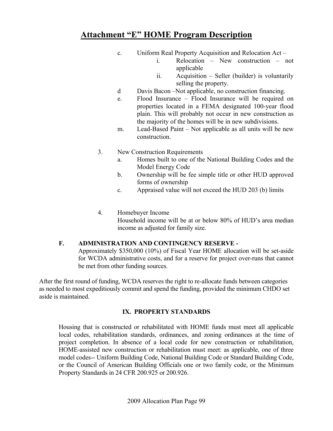- c. Uniform Real Property Acquisition and Relocation Act
	- i. Relocation New construction not applicable
	- ii. Acquisition Seller (builder) is voluntarily selling the property.
- d Davis Bacon –Not applicable, no construction financing.
- e. Flood Insurance Flood Insurance will be required on properties located in a FEMA designated 100-year flood plain. This will probably not occur in new construction as the majority of the homes will be in new subdivisions.
- m. Lead-Based Paint Not applicable as all units will be new construction.
- 3. New Construction Requirements
	- a. Homes built to one of the National Building Codes and the Model Energy Code
	- b. Ownership will be fee simple title or other HUD approved forms of ownership
	- c. Appraised value will not exceed the HUD 203 (b) limits
- 4. Homebuyer Income Household income will be at or below 80% of HUD's area median income as adjusted for family size.

## **F. ADMINISTRATION AND CONTINGENCY RESERVE -**

 Approximately \$350,000 (10%) of Fiscal Year HOME allocation will be set-aside for WCDA administrative costs, and for a reserve for project over-runs that cannot be met from other funding sources.

After the first round of funding, WCDA reserves the right to re-allocate funds between categories as needed to most expeditiously commit and spend the funding, provided the minimum CHDO set aside is maintained.

## **IX. PROPERTY STANDARDS**

Housing that is constructed or rehabilitated with HOME funds must meet all applicable local codes, rehabilitation standards, ordinances, and zoning ordinances at the time of project completion. In absence of a local code for new construction or rehabilitation, HOME-assisted new construction or rehabilitation must meet: as applicable, one of three model codes-- Uniform Building Code, National Building Code or Standard Building Code, or the Council of American Building Officials one or two family code, or the Minimum Property Standards in 24 CFR 200.925 or 200.926.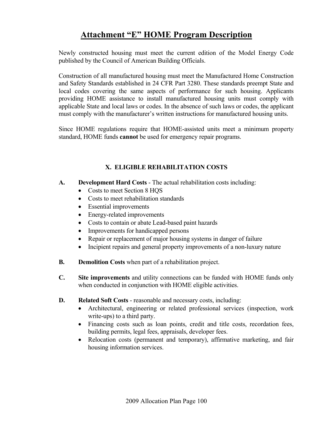Newly constructed housing must meet the current edition of the Model Energy Code published by the Council of American Building Officials.

Construction of all manufactured housing must meet the Manufactured Home Construction and Safety Standards established in 24 CFR Part 3280. These standards preempt State and local codes covering the same aspects of performance for such housing. Applicants providing HOME assistance to install manufactured housing units must comply with applicable State and local laws or codes. In the absence of such laws or codes, the applicant must comply with the manufacturer's written instructions for manufactured housing units.

Since HOME regulations require that HOME-assisted units meet a minimum property standard, HOME funds **cannot** be used for emergency repair programs.

## **X. ELIGIBLE REHABILITATION COSTS**

- **A. Development Hard Costs** The actual rehabilitation costs including:
	- Costs to meet Section 8 HOS
	- Costs to meet rehabilitation standards
	- Essential improvements
	- Energy-related improvements
	- Costs to contain or abate Lead-based paint hazards
	- Improvements for handicapped persons
	- Repair or replacement of major housing systems in danger of failure
	- Incipient repairs and general property improvements of a non-luxury nature
- **B.** Demolition Costs when part of a rehabilitation project.
- **C. Site improvements** and utility connections can be funded with HOME funds only when conducted in conjunction with HOME eligible activities.
- **D.** Related Soft Costs reasonable and necessary costs, including:
	- Architectural, engineering or related professional services (inspection, work write-ups) to a third party.
	- Financing costs such as loan points, credit and title costs, recordation fees, building permits, legal fees, appraisals, developer fees.
	- Relocation costs (permanent and temporary), affirmative marketing, and fair housing information services.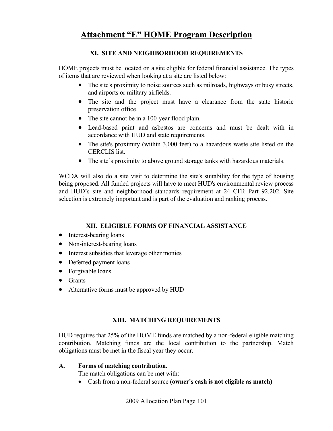## **XI. SITE AND NEIGHBORHOOD REQUIREMENTS**

HOME projects must be located on a site eligible for federal financial assistance. The types of items that are reviewed when looking at a site are listed below:

- The site's proximity to noise sources such as railroads, highways or busy streets, and airports or military airfields.
- The site and the project must have a clearance from the state historic preservation office.
- The site cannot be in a 100-year flood plain.
- Lead-based paint and asbestos are concerns and must be dealt with in accordance with HUD and state requirements.
- The site's proximity (within 3,000 feet) to a hazardous waste site listed on the CERCLIS list.
- The site's proximity to above ground storage tanks with hazardous materials.

WCDA will also do a site visit to determine the site's suitability for the type of housing being proposed. All funded projects will have to meet HUD's environmental review process and HUD's site and neighborhood standards requirement at 24 CFR Part 92.202. Site selection is extremely important and is part of the evaluation and ranking process.

## **XII. ELIGIBLE FORMS OF FINANCIAL ASSISTANCE**

- Interest-bearing loans
- Non-interest-bearing loans
- Interest subsidies that leverage other monies
- Deferred payment loans
- Forgivable loans
- Grants
- Alternative forms must be approved by HUD

## **XIII. MATCHING REQUIREMENTS**

 HUD requires that 25% of the HOME funds are matched by a non-federal eligible matching contribution. Matching funds are the local contribution to the partnership. Match obligations must be met in the fiscal year they occur.

### **A. Forms of matching contribution.**

The match obligations can be met with:

• Cash from a non-federal source **(owner's cash is not eligible as match)**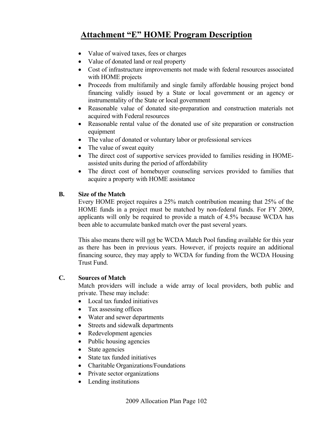- Value of waived taxes, fees or charges
- Value of donated land or real property
- Cost of infrastructure improvements not made with federal resources associated with HOME projects
- Proceeds from multifamily and single family affordable housing project bond financing validly issued by a State or local government or an agency or instrumentality of the State or local government
- Reasonable value of donated site-preparation and construction materials not acquired with Federal resources
- Reasonable rental value of the donated use of site preparation or construction equipment
- The value of donated or voluntary labor or professional services
- The value of sweat equity
- The direct cost of supportive services provided to families residing in HOMEassisted units during the period of affordability
- The direct cost of homebuyer counseling services provided to families that acquire a property with HOME assistance

## **B. Size of the Match**

 Every HOME project requires a 25% match contribution meaning that 25% of the HOME funds in a project must be matched by non-federal funds. For FY 2009, applicants will only be required to provide a match of 4.5% because WCDA has been able to accumulate banked match over the past several years.

 This also means there will not be WCDA Match Pool funding available for this year as there has been in previous years. However, if projects require an additional financing source, they may apply to WCDA for funding from the WCDA Housing Trust Fund.

## **C. Sources of Match**

 Match providers will include a wide array of local providers, both public and private. These may include:

- Local tax funded initiatives
- Tax assessing offices
- Water and sewer departments
- Streets and sidewalk departments
- Redevelopment agencies
- Public housing agencies
- State agencies
- State tax funded initiatives
- Charitable Organizations/Foundations
- Private sector organizations
- Lending institutions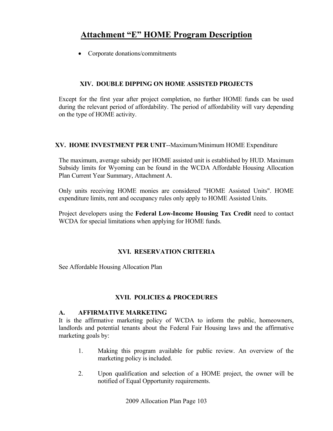• Corporate donations/commitments

## **XIV. DOUBLE DIPPING ON HOME ASSISTED PROJECTS**

Except for the first year after project completion, no further HOME funds can be used during the relevant period of affordability. The period of affordability will vary depending on the type of HOME activity.

### **XV. HOME INVESTMENT PER UNIT**--Maximum/Minimum HOME Expenditure

The maximum, average subsidy per HOME assisted unit is established by HUD. Maximum Subsidy limits for Wyoming can be found in the WCDA Affordable Housing Allocation Plan Current Year Summary, Attachment A.

Only units receiving HOME monies are considered "HOME Assisted Units". HOME expenditure limits, rent and occupancy rules only apply to HOME Assisted Units.

Project developers using the **Federal Low-Income Housing Tax Credit** need to contact WCDA for special limitations when applying for HOME funds.

## **XVI. RESERVATION CRITERIA**

See Affordable Housing Allocation Plan

## **XVII. POLICIES & PROCEDURES**

#### **A. AFFIRMATIVE MARKETING**

 It is the affirmative marketing policy of WCDA to inform the public, homeowners, landlords and potential tenants about the Federal Fair Housing laws and the affirmative marketing goals by:

- 1. Making this program available for public review. An overview of the marketing policy is included.
- 2. Upon qualification and selection of a HOME project, the owner will be notified of Equal Opportunity requirements.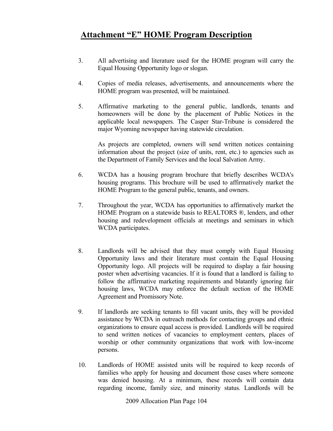- 3. All advertising and literature used for the HOME program will carry the Equal Housing Opportunity logo or slogan.
- 4. Copies of media releases, advertisements, and announcements where the HOME program was presented, will be maintained.
- 5. Affirmative marketing to the general public, landlords, tenants and homeowners will be done by the placement of Public Notices in the applicable local newspapers. The Casper Star-Tribune is considered the major Wyoming newspaper having statewide circulation.

 As projects are completed, owners will send written notices containing information about the project (size of units, rent, etc.) to agencies such as the Department of Family Services and the local Salvation Army.

- 6. WCDA has a housing program brochure that briefly describes WCDA's housing programs. This brochure will be used to affirmatively market the HOME Program to the general public, tenants, and owners.
- 7. Throughout the year, WCDA has opportunities to affirmatively market the HOME Program on a statewide basis to REALTORS ®, lenders, and other housing and redevelopment officials at meetings and seminars in which WCDA participates.
- 8. Landlords will be advised that they must comply with Equal Housing Opportunity laws and their literature must contain the Equal Housing Opportunity logo. All projects will be required to display a fair housing poster when advertising vacancies. If it is found that a landlord is failing to follow the affirmative marketing requirements and blatantly ignoring fair housing laws, WCDA may enforce the default section of the HOME Agreement and Promissory Note.
- 9. If landlords are seeking tenants to fill vacant units, they will be provided assistance by WCDA in outreach methods for contacting groups and ethnic organizations to ensure equal access is provided. Landlords will be required to send written notices of vacancies to employment centers, places of worship or other community organizations that work with low-income persons.
- 10. Landlords of HOME assisted units will be required to keep records of families who apply for housing and document those cases where someone was denied housing. At a minimum, these records will contain data regarding income, family size, and minority status. Landlords will be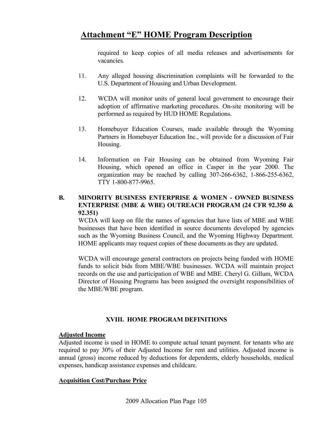required to keep copies of all media releases and advertisements for vacancies.

- 11. Any alleged housing discrimination complaints will be forwarded to the U.S. Department of Housing and Urban Development.
- 12. WCDA will monitor units of general local government to encourage their adoption of affirmative marketing procedures. On-site monitoring will be performed as required by HUD HOME Regulations.
- 13. Homebuyer Education Courses, made available through the Wyoming Partners in Homebuyer Education Inc., will provide for a discussion of Fair Housing.
- 14. Information on Fair Housing can be obtained from Wyoming Fair Housing, which opened an office in Casper in the year 2000. The organization may be reached by calling 307-266-6362, 1-866-255-6362, TTY 1-800-877-9965.

### **B. MINORITY BUSINESS ENTERPRISE & WOMEN - OWNED BUSINESS ENTERPRISE (MBE & WBE) OUTREACH PROGRAM (24 CFR 92.350 & 92.351)**

 WCDA will keep on file the names of agencies that have lists of MBE and WBE businesses that have been identified in source documents developed by agencies such as the Wyoming Business Council, and the Wyoming Highway Department. HOME applicants may request copies of these documents as they are updated.

WCDA will encourage general contractors on projects being funded with HOME funds to solicit bids from MBE/WBE businesses. WCDA will maintain project records on the use and participation of WBE and MBE. Cheryl G. Gillum, WCDA Director of Housing Programs has been assigned the oversight responsibilities of the MBE/WBE program.

## **XVIII. HOME PROGRAM DEFINITIONS**

### **Adjusted Income**

Adjusted income is used in HOME to compute actual tenant payment. for tenants who are required to pay 30% of their Adjusted Income for rent and utilities. Adjusted income is annual (gross) income reduced by deductions for dependents, elderly households, medical expenses, handicap assistance expenses and childcare.

### **Acquisition Cost/Purchase Price**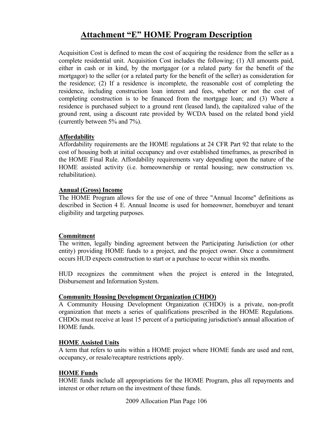Acquisition Cost is defined to mean the cost of acquiring the residence from the seller as a complete residential unit. Acquisition Cost includes the following; (1) All amounts paid, either in cash or in kind, by the mortgagor (or a related party for the benefit of the mortgagor) to the seller (or a related party for the benefit of the seller) as consideration for the residence; (2) If a residence is incomplete, the reasonable cost of completing the residence, including construction loan interest and fees, whether or not the cost of completing construction is to be financed from the mortgage loan; and (3) Where a residence is purchased subject to a ground rent (leased land), the capitalized value of the ground rent, using a discount rate provided by WCDA based on the related bond yield (currently between 5% and 7%).

### **Affordability**

Affordability requirements are the HOME regulations at 24 CFR Part 92 that relate to the cost of housing both at initial occupancy and over established timeframes, as prescribed in the HOME Final Rule. Affordability requirements vary depending upon the nature of the HOME assisted activity (i.e. homeownership or rental housing; new construction vs. rehabilitation).

### **Annual (Gross) Income**

The HOME Program allows for the use of one of three "Annual Income" definitions as described in Section 4 E. Annual Income is used for homeowner, homebuyer and tenant eligibility and targeting purposes.

### **Commitment**

The written, legally binding agreement between the Participating Jurisdiction (or other entity) providing HOME funds to a project, and the project owner. Once a commitment occurs HUD expects construction to start or a purchase to occur within six months.

HUD recognizes the commitment when the project is entered in the Integrated, Disbursement and Information System.

## **Community Housing Development Organization (CHDO)**

A Community Housing Development Organization (CHDO) is a private, non-profit organization that meets a series of qualifications prescribed in the HOME Regulations. CHDOs must receive at least 15 percent of a participating jurisdiction's annual allocation of HOME funds.

### **HOME Assisted Units**

A term that refers to units within a HOME project where HOME funds are used and rent, occupancy, or resale/recapture restrictions apply.

### **HOME Funds**

HOME funds include all appropriations for the HOME Program, plus all repayments and interest or other return on the investment of these funds.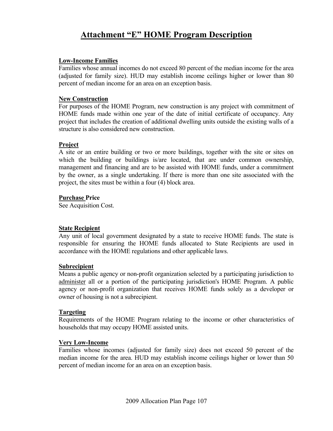#### **Low-Income Families**

Families whose annual incomes do not exceed 80 percent of the median income for the area (adjusted for family size). HUD may establish income ceilings higher or lower than 80 percent of median income for an area on an exception basis.

#### **New Construction**

For purposes of the HOME Program, new construction is any project with commitment of HOME funds made within one year of the date of initial certificate of occupancy. Any project that includes the creation of additional dwelling units outside the existing walls of a structure is also considered new construction.

### **Project**

A site or an entire building or two or more buildings, together with the site or sites on which the building or buildings is/are located, that are under common ownership, management and financing and are to be assisted with HOME funds, under a commitment by the owner, as a single undertaking. If there is more than one site associated with the project, the sites must be within a four (4) block area.

#### **Purchase Price**

See Acquisition Cost.

### **State Recipient**

Any unit of local government designated by a state to receive HOME funds. The state is responsible for ensuring the HOME funds allocated to State Recipients are used in accordance with the HOME regulations and other applicable laws.

#### **Subrecipient**

Means a public agency or non-profit organization selected by a participating jurisdiction to administer all or a portion of the participating jurisdiction's HOME Program. A public agency or non-profit organization that receives HOME funds solely as a developer or owner of housing is not a subrecipient.

#### **Targeting**

Requirements of the HOME Program relating to the income or other characteristics of households that may occupy HOME assisted units.

### **Very Low-Income**

Families whose incomes (adjusted for family size) does not exceed 50 percent of the median income for the area. HUD may establish income ceilings higher or lower than 50 percent of median income for an area on an exception basis.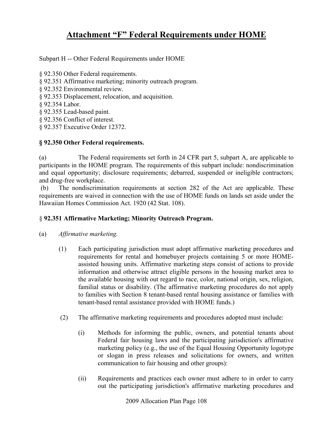## **Attachment "F" Federal Requirements under HOME**

Subpart H -- Other Federal Requirements under HOME

- § 92.350 Other Federal requirements.
- § 92.351 Affirmative marketing; minority outreach program.
- § 92.352 Environmental review.
- § 92.353 Displacement, relocation, and acquisition.
- § 92.354 Labor.
- § 92.355 Lead-based paint.
- § 92.356 Conflict of interest.
- § 92.357 Executive Order 12372.

## **§ 92.350 Other Federal requirements.**

(a) The Federal requirements set forth in 24 CFR part 5, subpart A, are applicable to participants in the HOME program. The requirements of this subpart include: nondiscrimination and equal opportunity; disclosure requirements; debarred, suspended or ineligible contractors; and drug-free workplace.

 (b) The nondiscrimination requirements at section 282 of the Act are applicable. These requirements are waived in connection with the use of HOME funds on lands set aside under the Hawaiian Homes Commission Act. 1920 (42 Stat. 108).

## § **92.351 Affirmative Marketing; Minority Outreach Program.**

- (a) *Affirmative marketing.*
	- (1) Each participating jurisdiction must adopt affirmative marketing procedures and requirements for rental and homebuyer projects containing 5 or more HOMEassisted housing units. Affirmative marketing steps consist of actions to provide information and otherwise attract eligible persons in the housing market area to the available housing with out regard to race, color, national origin, sex, religion, familial status or disability. (The affirmative marketing procedures do not apply to families with Section 8 tenant-based rental housing assistance or families with tenant-based rental assistance provided with HOME funds.)
	- (2) The affirmative marketing requirements and procedures adopted must include:
		- (i) Methods for informing the public, owners, and potential tenants about Federal fair housing laws and the participating jurisdiction's affirmative marketing policy (e.g., the use of the Equal Housing Opportunity logotype or slogan in press releases and solicitations for owners, and written communication to fair housing and other groups):
		- (ii) Requirements and practices each owner must adhere to in order to carry out the participating jurisdiction's affirmative marketing procedures and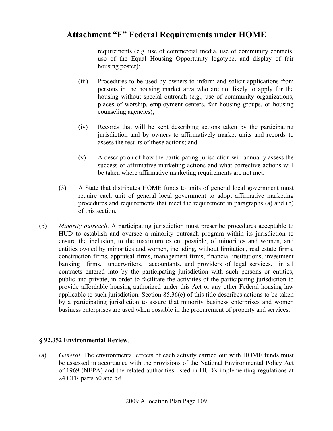requirements (e.g. use of commercial media, use of community contacts, use of the Equal Housing Opportunity logotype, and display of fair housing poster):

- (iii) Procedures to be used by owners to inform and solicit applications from persons in the housing market area who are not likely to apply for the housing without special outreach (e.g., use of community organizations, places of worship, employment centers, fair housing groups, or housing counseling agencies);
- (iv) Records that will be kept describing actions taken by the participating jurisdiction and by owners to affirmatively market units and records to assess the results of these actions; and
- (v) A description of how the participating jurisdiction will annually assess the success of affirmative marketing actions and what corrective actions will be taken where affirmative marketing requirements are not met.
- (3) A State that distributes HOME funds to units of general local government must require each unit of general local government to adopt affirmative marketing procedures and requirements that meet the requirement in paragraphs (a) and (b) of this section.
- (b) *Minority outreach*. A participating jurisdiction must prescribe procedures acceptable to HUD to establish and oversee a minority outreach program within its jurisdiction to ensure the inclusion, to the maximum extent possible, of minorities and women, and entities owned by minorities and women, including, without limitation, real estate firms, construction firms, appraisal firms, management firms, financial institutions, investment banking firms, underwriters, accountants, and providers of legal services, in all contracts entered into by the participating jurisdiction with such persons or entities, public and private, in order to facilitate the activities of the participating jurisdiction to provide affordable housing authorized under this Act or any other Federal housing law applicable to such jurisdiction. Section  $85.36(e)$  of this title describes actions to be taken by a participating jurisdiction to assure that minority business enterprises and women business enterprises are used when possible in the procurement of property and services.

### **§ 92.352 Environmental Review**.

(a) *General.* The environmental effects of each activity carried out with HOME funds must be assessed in accordance with the provisions of the National Environmental Policy Act of 1969 (NEPA) and the related authorities listed in HUD's implementing regulations at 24 CFR parts 50 and *58.*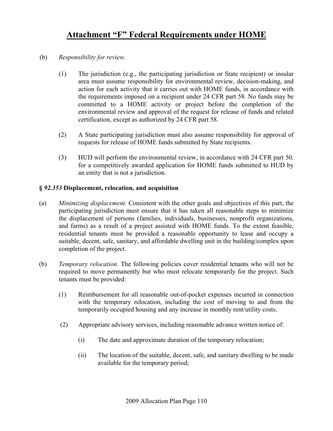- (b) *Responsibility for review.* 
	- (1) The jurisdiction (e.g., the participating jurisdiction or State recipient) or insular area must assume responsibility for environmental review, decision-making, and action for each activity that it carries out with HOME funds, in accordance with the requirements imposed on a recipient under 24 CFR part 58*.* No funds may be committed to a HOME activity or project before the completion of the environmental review and approval of the request for release of funds and related certification, except as authorized by 24 CFR part 58.
	- (2) A State participating jurisdiction must also assume responsibility for approval of requests for release of HOME funds submitted by State recipients.
	- (3) HUD will perform the environmental review, in accordance with 24 CFR part 50*,*  for a competitively awarded application for HOME funds submitted to HUD by an entity that is not a jurisdiction.

### **§** *92.353* **Displacement, relocation, and acquisition**

- (a) *Minimizing displacement.* Consistent with the other goals and objectives of this part, the participating jurisdiction must ensure that it has taken all reasonable steps to minimize the displacement of persons (families, individuals, businesses, nonprofit organizations, and farms) as a result of a project assisted with HOME funds. To the extent feasible, residential tenants must be provided a reasonable opportunity to lease and occupy a suitable, decent, safe, sanitary, and affordable dwelling unit in the building/complex upon completion of the project.
- (b) *Temporary relocation.* The following policies cover residential tenants who will not be required to move permanently but who must relocate temporarily for the project. Such tenants must be provided:
	- (1) Reimbursement for all reasonable out-of-pocket expenses incurred in connection with the temporary relocation, including the cost of moving to and from the temporarily occupied housing and any increase in monthly rent/utility costs.
	- (2) Appropriate advisory services, including reasonable advance written notice of:
		- (i) The date and approximate duration of the temporary relocation;
		- (ii) The location of the suitable, decent, safe, and sanitary dwelling to be made available for the temporary period;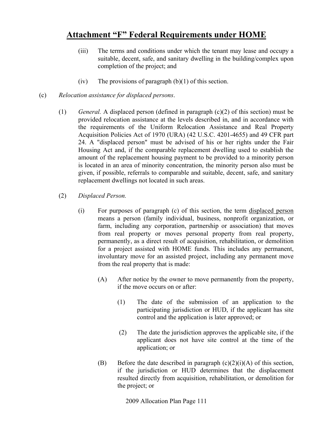- (iii) The terms and conditions under which the tenant may lease and occupy a suitable, decent, safe, and sanitary dwelling in the building/complex upon completion of the project; and
- (iv) The provisions of paragraph  $(b)(1)$  of this section.
- (c) *Relocation assistance for displaced persons*.
	- (1) *General.* A displaced person (defined in paragraph (c)(2) of this section) must be provided relocation assistance at the levels described in, and in accordance with the requirements of the Uniform Relocation Assistance and Real Property Acquisition Policies Act of 1970 (URA) (42 U.S.C. 4201-4655) and 49 CFR part 24. A "displaced person" must be advised of his or her rights under the Fair Housing Act and, if the comparable replacement dwelling used to establish the amount of the replacement housing payment to be provided to a minority person is located in an area of minority concentration, the minority person also must be given, if possible, referrals to comparable and suitable, decent, safe, and sanitary replacement dwellings not located in such areas.
	- (2) *Displaced Person.* 
		- (i) For purposes of paragraph (c) of this section, the term displaced person means a person (family individual, business, nonprofit organization, or farm, including any corporation, partnership or association) that moves from real property or moves personal property from real property, permanently, as a direct result of acquisition, rehabilitation, or demolition for a project assisted with HOME funds. This includes any permanent, involuntary move for an assisted project, including any permanent move from the real property that is made:
			- (A) After notice by the owner to move permanently from the property, if the move occurs on or after:
				- (1) The date of the submission of an application to the participating jurisdiction or HUD, if the applicant has site control and the application is later approved; or
				- (2) The date the jurisdiction approves the applicable site, if the applicant does not have site control at the time of the application; or
			- (B) Before the date described in paragraph  $(c)(2)(i)(A)$  of this section, if the jurisdiction or HUD determines that the displacement resulted directly from acquisition, rehabilitation, or demolition for the project; or

2009 Allocation Plan Page 111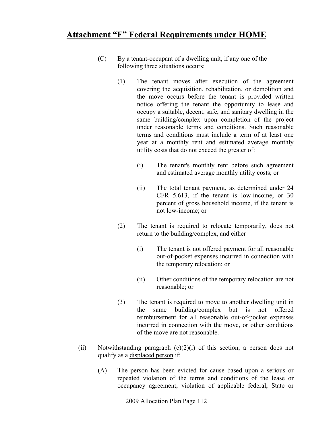- (C) By a tenant-occupant of a dwelling unit, if any one of the following three situations occurs:
	- (1) The tenant moves after execution of the agreement covering the acquisition, rehabilitation, or demolition and the move occurs before the tenant is provided written notice offering the tenant the opportunity to lease and occupy a suitable, decent, safe, and sanitary dwelling in the same building/complex upon completion of the project under reasonable terms and conditions. Such reasonable terms and conditions must include a term of at least one year at a monthly rent and estimated average monthly utility costs that do not exceed the greater of:
		- (i) The tenant's monthly rent before such agreement and estimated average monthly utility costs; or
		- (ii) The total tenant payment, as determined under 24 CFR 5.613, if the tenant is low-income, or 30 percent of gross household income, if the tenant is not low-income; or
	- (2) The tenant is required to relocate temporarily, does not return to the building/complex, and either
		- (i) The tenant is not offered payment for all reasonable out-of-pocket expenses incurred in connection with the temporary relocation; or
		- (ii) Other conditions of the temporary relocation are not reasonable; or
	- (3) The tenant is required to move to another dwelling unit in the same building/complex but is not offered reimbursement for all reasonable out-of-pocket expenses incurred in connection with the move, or other conditions of the move are not reasonable.
- (ii) Notwithstanding paragraph  $(c)(2)(i)$  of this section, a person does not qualify as a displaced person if:
	- (A) The person has been evicted for cause based upon a serious or repeated violation of the terms and conditions of the lease or occupancy agreement, violation of applicable federal, State or

2009 Allocation Plan Page 112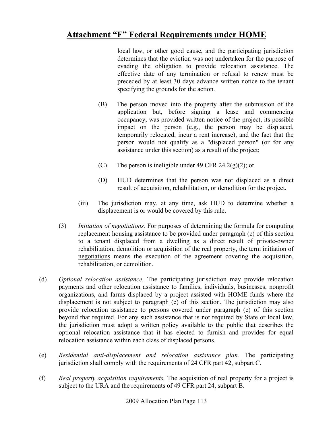local law, or other good cause, and the participating jurisdiction determines that the eviction was not undertaken for the purpose of evading the obligation to provide relocation assistance. The effective date of any termination or refusal to renew must be preceded by at least 30 days advance written notice to the tenant specifying the grounds for the action.

- (B) The person moved into the property after the submission of the application but, before signing a lease and commencing occupancy, was provided written notice of the project, its possible impact on the person (e.g., the person may be displaced, temporarily relocated, incur a rent increase), and the fact that the person would not qualify as a "displaced person" (or for any assistance under this section) as a result of the project;
- (C) The person is ineligible under 49 CFR 24.2(g)(2); or
- (D) HUD determines that the person was not displaced as a direct result of acquisition, rehabilitation, or demolition for the project.
- (iii) The jurisdiction may, at any time, ask HUD to determine whether a displacement is or would be covered by this rule.
- (3) *Initiation of negotiations.* For purposes of determining the formula for computing replacement housing assistance to be provided under paragraph (c) of this section to a tenant displaced from a dwelling as a direct result of private-owner rehabilitation, demolition or acquisition of the real property, the term initiation of negotiations means the execution of the agreement covering the acquisition, rehabilitation, or demolition.
- (d) *Optional relocation assistance.* The participating jurisdiction may provide relocation payments and other relocation assistance to families, individuals, businesses, nonprofit organizations, and farms displaced by a project assisted with HOME funds where the displacement is not subject to paragraph (c) of this section. The jurisdiction may also provide relocation assistance to persons covered under paragraph (c) of this section beyond that required. For any such assistance that is not required by State or local law, the jurisdiction must adopt a written policy available to the public that describes the optional relocation assistance that it has elected to furnish and provides for equal relocation assistance within each class of displaced persons.
- (e) *Residential anti-displacement and relocation assistance plan.* The participating jurisdiction shall comply with the requirements of 24 CFR part 42, subpart C.
- (f) *Real property acquisition requirements.* The acquisition of real property for a project is subject to the URA and the requirements of 49 CFR part 24, subpart B.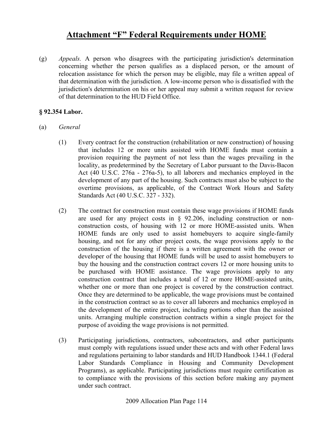(g) *Appeals.* A person who disagrees with the participating jurisdiction's determination concerning whether the person qualifies as a displaced person, or the amount of relocation assistance for which the person may be eligible, may file a written appeal of that determination with the jurisdiction. A low-income person who is dissatisfied with the jurisdiction's determination on his or her appeal may submit a written request for review of that determination to the HUD Field Office.

#### **§ 92.354 Labor.**

- (a) *General* 
	- (1) Every contract for the construction (rehabilitation or new construction) of housing that includes 12 or more units assisted with HOME funds must contain a provision requiring the payment of not less than the wages prevailing in the locality, as predetermined by the Secretary of Labor pursuant to the Davis-Bacon Act (40 U.S.C. 276a - 276a-5), to all laborers and mechanics employed in the development of any part of the housing. Such contracts must also be subject to the overtime provisions, as applicable, of the Contract Work Hours and Safety Standards Act (40 U.S.C. 327 - 332).
	- (2) The contract for construction must contain these wage provisions if HOME funds are used for any project costs in § 92.206, including construction or nonconstruction costs, of housing with 12 or more HOME-assisted units. When HOME funds are only used to assist homebuyers to acquire single-family housing, and not for any other project costs, the wage provisions apply to the construction of the housing if there is a written agreement with the owner or developer of the housing that HOME funds will be used to assist homebuyers to buy the housing and the construction contract covers 12 or more housing units to be purchased with HOME assistance. The wage provisions apply to any construction contract that includes a total of 12 or more HOME-assisted units, whether one or more than one project is covered by the construction contract. Once they are determined to be applicable, the wage provisions must be contained in the construction contract so as to cover all laborers and mechanics employed in the development of the entire project, including portions other than the assisted units. Arranging multiple construction contracts within a single project for the purpose of avoiding the wage provisions is not permitted.
	- (3) Participating jurisdictions, contractors, subcontractors, and other participants must comply with regulations issued under these acts and with other Federal laws and regulations pertaining to labor standards and HUD Handbook 1344.1 (Federal Labor Standards Compliance in Housing and Community Development Programs), as applicable. Participating jurisdictions must require certification as to compliance with the provisions of this section before making any payment under such contract.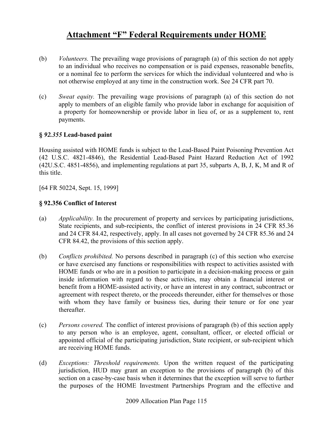- (b) *Volunteers.* The prevailing wage provisions of paragraph (a) of this section do not apply to an individual who receives no compensation or is paid expenses, reasonable benefits, or a nominal fee to perform the services for which the individual volunteered and who is not otherwise employed at any time in the construction work. See 24 CFR part 70.
- (c) *Sweat equity.* The prevailing wage provisions of paragraph (a) of this section do not apply to members of an eligible family who provide labor in exchange for acquisition of a property for homeownership or provide labor in lieu of, or as a supplement to, rent payments.

### **§** *92.355* **Lead-based paint**

Housing assisted with HOME funds is subject to the Lead-Based Paint Poisoning Prevention Act (42 U.S.C. 4821-4846), the Residential Lead-Based Paint Hazard Reduction Act of 1992 (42U.S.C. 4851-4856), and implementing regulations at part 35, subparts A, B, J, K, M and R of this title.

[64 FR 50224, Sept. 15, 1999]

### **§ 92.356 Conflict of Interest**

- (a) *Applicability.* In the procurement of property and services by participating jurisdictions, State recipients, and sub-recipients, the conflict of interest provisions in 24 CFR 85.36 and 24 CFR 84.42, respectively, apply. In all cases not governed by 24 CFR 85.36 and 24 CFR 84.42, the provisions of this section apply.
- (b) *Conflicts prohibited.* No persons described in paragraph (c) of this section who exercise or have exercised any functions or responsibilities with respect to activities assisted with HOME funds or who are in a position to participate in a decision-making process or gain inside information with regard to these activities, may obtain a financial interest or benefit from a HOME-assisted activity, or have an interest in any contract, subcontract or agreement with respect thereto, or the proceeds thereunder, either for themselves or those with whom they have family or business ties, during their tenure or for one year thereafter.
- (c) *Persons covered.* The conflict of interest provisions of paragraph (b) of this section apply to any person who is an employee, agent, consultant, officer, or elected official or appointed official of the participating jurisdiction, State recipient, or sub-recipient which are receiving HOME funds.
- (d) *Exceptions: Threshold requirements.* Upon the written request of the participating jurisdiction, HUD may grant an exception to the provisions of paragraph (b) of this section on a case-by-case basis when it determines that the exception will serve to further the purposes of the HOME Investment Partnerships Program and the effective and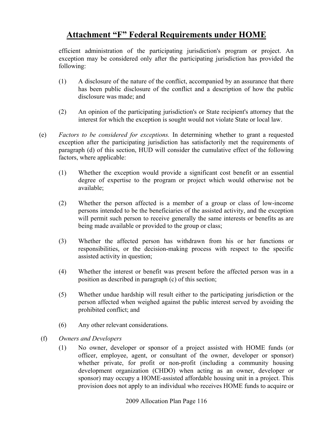efficient administration of the participating jurisdiction's program or project. An exception may be considered only after the participating jurisdiction has provided the following:

- (1) A disclosure of the nature of the conflict, accompanied by an assurance that there has been public disclosure of the conflict and a description of how the public disclosure was made; and
- (2) An opinion of the participating jurisdiction's or State recipient's attorney that the interest for which the exception is sought would not violate State or local law.
- (e) *Factors to be considered for exceptions.* In determining whether to grant a requested exception after the participating jurisdiction has satisfactorily met the requirements of paragraph (d) of this section, HUD will consider the cumulative effect of the following factors, where applicable:
	- (1) Whether the exception would provide a significant cost benefit or an essential degree of expertise to the program or project which would otherwise not be available;
	- (2) Whether the person affected is a member of a group or class of low-income persons intended to be the beneficiaries of the assisted activity, and the exception will permit such person to receive generally the same interests or benefits as are being made available or provided to the group or class;
	- (3) Whether the affected person has withdrawn from his or her functions or responsibilities, or the decision-making process with respect to the specific assisted activity in question;
	- (4) Whether the interest or benefit was present before the affected person was in a position as described in paragraph (c) of this section;
	- (5) Whether undue hardship will result either to the participating jurisdiction or the person affected when weighed against the public interest served by avoiding the prohibited conflict; and
	- (6) Any other relevant considerations.
- (f) *Owners and Developers* 
	- (1) No owner, developer or sponsor of a project assisted with HOME funds (or officer, employee, agent, or consultant of the owner, developer or sponsor) whether private, for profit or non-profit (including a community housing development organization (CHDO) when acting as an owner, developer or sponsor) may occupy a HOME-assisted affordable housing unit in a project. This provision does not apply to an individual who receives HOME funds to acquire or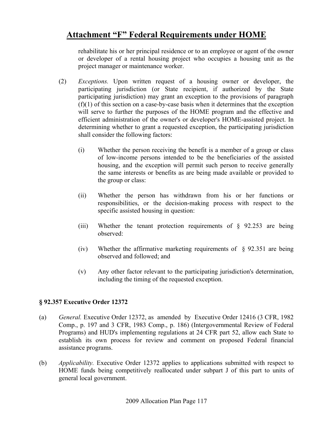rehabilitate his or her principal residence or to an employee or agent of the owner or developer of a rental housing project who occupies a housing unit as the project manager or maintenance worker.

- (2) *Exceptions.* Upon written request of a housing owner or developer, the participating jurisdiction (or State recipient, if authorized by the State participating jurisdiction) may grant an exception to the provisions of paragraph  $(f)(1)$  of this section on a case-by-case basis when it determines that the exception will serve to further the purposes of the HOME program and the effective and efficient administration of the owner's or developer's HOME-assisted project. In determining whether to grant a requested exception, the participating jurisdiction shall consider the following factors:
	- (i) Whether the person receiving the benefit is a member of a group or class of low-income persons intended to be the beneficiaries of the assisted housing, and the exception will permit such person to receive generally the same interests or benefits as are being made available or provided to the group or class:
	- (ii) Whether the person has withdrawn from his or her functions or responsibilities, or the decision-making process with respect to the specific assisted housing in question:
	- (iii) Whether the tenant protection requirements of  $\S$  92.253 are being observed:
	- (iv) Whether the affirmative marketing requirements of  $\S$  92.351 are being observed and followed; and
	- (v) Any other factor relevant to the participating jurisdiction's determination, including the timing of the requested exception.

#### **§ 92.357 Executive Order 12372**

- (a) *General.* Executive Order 12372, as amended by Executive Order 12416 (3 CFR, 1982 Comp., p. 197 and 3 CFR, 1983 Comp., p. 186) (Intergovernmental Review of Federal Programs) and HUD's implementing regulations at 24 CFR part 52, allow each State to establish its own process for review and comment on proposed Federal financial assistance programs.
- (b) *Applicability.* Executive Order 12372 applies to applications submitted with respect to HOME funds being competitively reallocated under subpart J of this part to units of general local government.